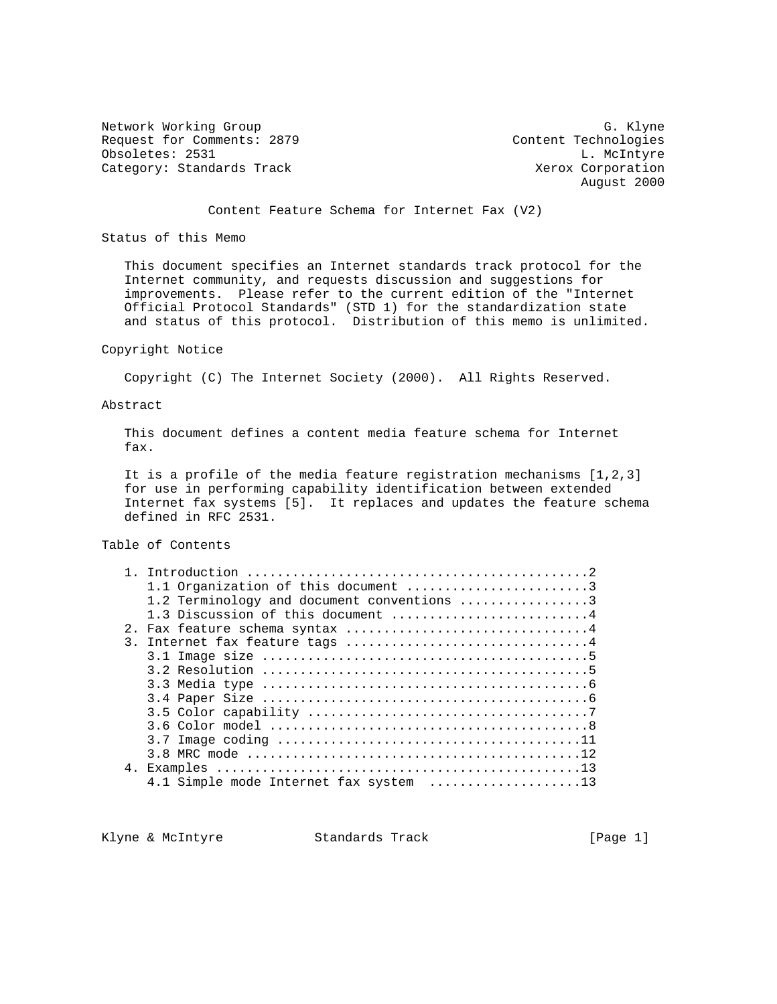Network Working Group G. Klyne Request for Comments: 2879 Content Technologies Obsoletes: 2531 L. McIntyre Category: Standards Track Xerox Corporation

August 2000

Content Feature Schema for Internet Fax (V2)

Status of this Memo

 This document specifies an Internet standards track protocol for the Internet community, and requests discussion and suggestions for improvements. Please refer to the current edition of the "Internet Official Protocol Standards" (STD 1) for the standardization state and status of this protocol. Distribution of this memo is unlimited.

## Copyright Notice

Copyright (C) The Internet Society (2000). All Rights Reserved.

#### Abstract

 This document defines a content media feature schema for Internet fax.

 It is a profile of the media feature registration mechanisms [1,2,3] for use in performing capability identification between extended Internet fax systems [5]. It replaces and updates the feature schema defined in RFC 2531.

Table of Contents

| 1.1 Organization of this document 3        |
|--------------------------------------------|
| 1.2 Terminology and document conventions 3 |
| 1.3 Discussion of this document 4          |
| 2. Fax feature schema syntax 4             |
| 3. Internet fax feature tags 4             |
|                                            |
|                                            |
|                                            |
|                                            |
|                                            |
|                                            |
|                                            |
|                                            |
|                                            |
| 4.1 Simple mode Internet fax system 13     |
|                                            |

Klyne & McIntyre  $\sim$  Standards Track [Page 1]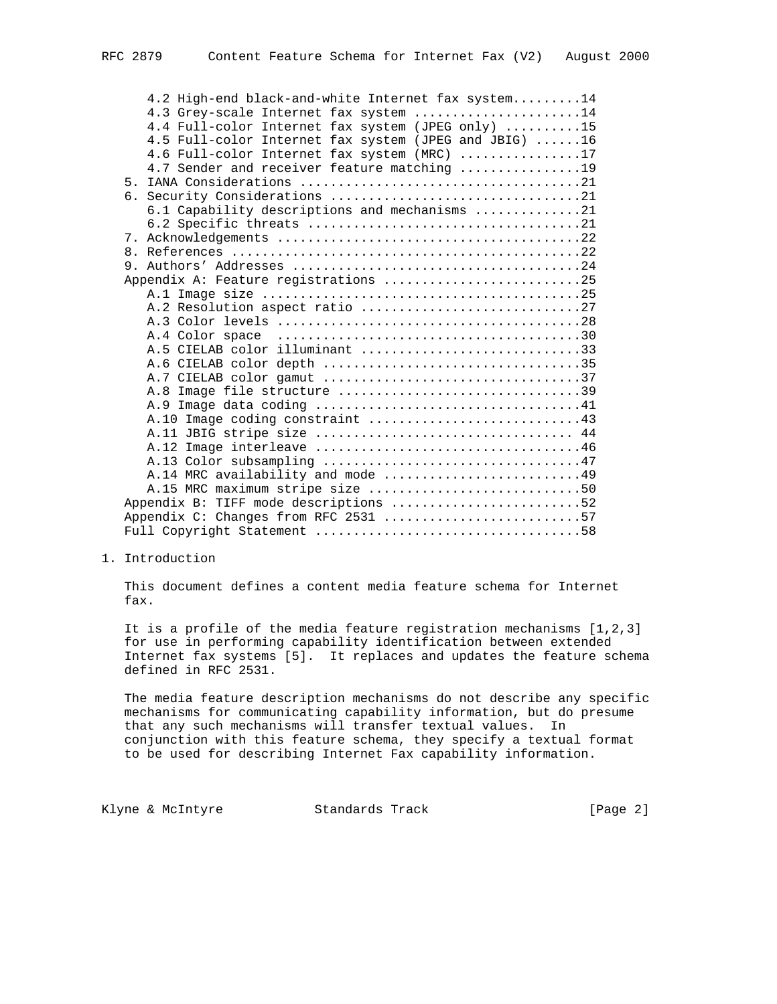| 4.2 High-end black-and-white Internet fax system14    |  |
|-------------------------------------------------------|--|
| 4.3 Grey-scale Internet fax system 14                 |  |
| 4.4 Full-color Internet fax system (JPEG only) 15     |  |
| 4.5 Full-color Internet fax system (JPEG and JBIG) 16 |  |
| 4.6 Full-color Internet fax system (MRC) 17           |  |
| 4.7 Sender and receiver feature matching 19           |  |
|                                                       |  |
|                                                       |  |
| 6.1 Capability descriptions and mechanisms 21         |  |
|                                                       |  |
|                                                       |  |
|                                                       |  |
|                                                       |  |
| Appendix A: Feature registrations 25                  |  |
|                                                       |  |
| A.2 Resolution aspect ratio 27                        |  |
|                                                       |  |
|                                                       |  |
| A.5 CIELAB color illuminant 33                        |  |
|                                                       |  |
|                                                       |  |
|                                                       |  |
|                                                       |  |
|                                                       |  |
| A.11 JBIG stripe size  44                             |  |
|                                                       |  |
|                                                       |  |
| A.14 MRC availability and mode 49                     |  |
| A.15 MRC maximum stripe size 50                       |  |
| Appendix B: TIFF mode descriptions 52                 |  |
| Appendix C: Changes from RFC 2531 57                  |  |
|                                                       |  |

1. Introduction

 This document defines a content media feature schema for Internet fax.

 It is a profile of the media feature registration mechanisms [1,2,3] for use in performing capability identification between extended Internet fax systems [5]. It replaces and updates the feature schema defined in RFC 2531.

 The media feature description mechanisms do not describe any specific mechanisms for communicating capability information, but do presume that any such mechanisms will transfer textual values. In conjunction with this feature schema, they specify a textual format to be used for describing Internet Fax capability information.

Klyne & McIntyre  $\sim$  Standards Track [Page 2]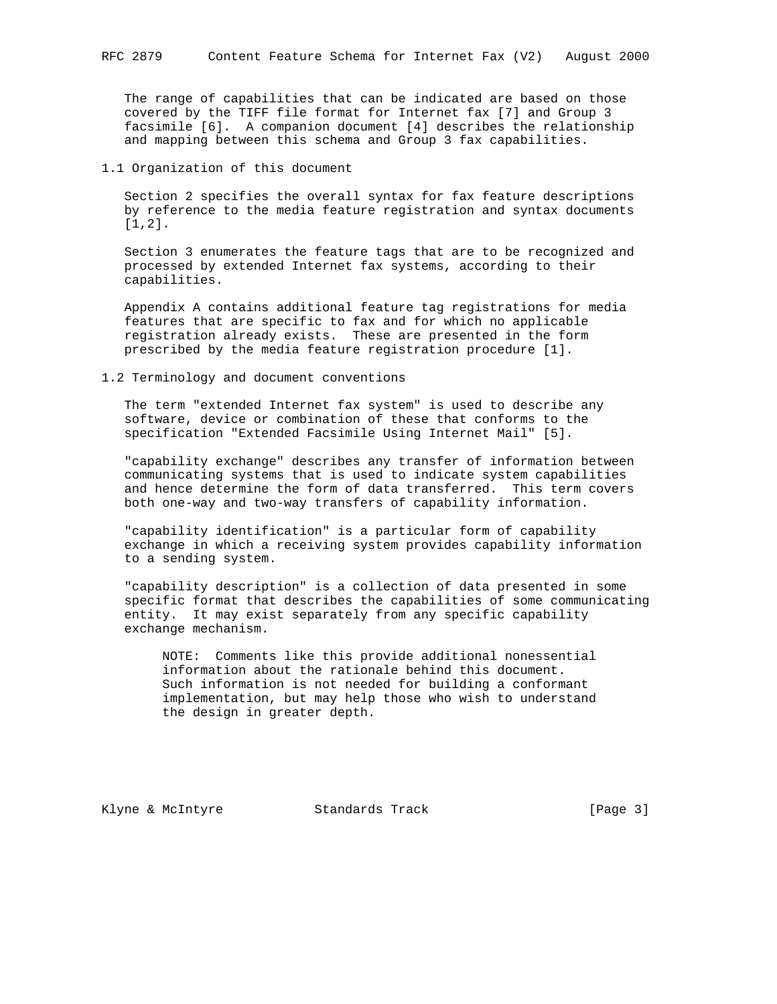The range of capabilities that can be indicated are based on those covered by the TIFF file format for Internet fax [7] and Group 3 facsimile [6]. A companion document [4] describes the relationship and mapping between this schema and Group 3 fax capabilities.

1.1 Organization of this document

 Section 2 specifies the overall syntax for fax feature descriptions by reference to the media feature registration and syntax documents [1,2].

 Section 3 enumerates the feature tags that are to be recognized and processed by extended Internet fax systems, according to their capabilities.

 Appendix A contains additional feature tag registrations for media features that are specific to fax and for which no applicable registration already exists. These are presented in the form prescribed by the media feature registration procedure [1].

#### 1.2 Terminology and document conventions

 The term "extended Internet fax system" is used to describe any software, device or combination of these that conforms to the specification "Extended Facsimile Using Internet Mail" [5].

 "capability exchange" describes any transfer of information between communicating systems that is used to indicate system capabilities and hence determine the form of data transferred. This term covers both one-way and two-way transfers of capability information.

 "capability identification" is a particular form of capability exchange in which a receiving system provides capability information to a sending system.

 "capability description" is a collection of data presented in some specific format that describes the capabilities of some communicating entity. It may exist separately from any specific capability exchange mechanism.

 NOTE: Comments like this provide additional nonessential information about the rationale behind this document. Such information is not needed for building a conformant implementation, but may help those who wish to understand the design in greater depth.

Klyne & McIntyre  $\sim$  Standards Track [Page 3]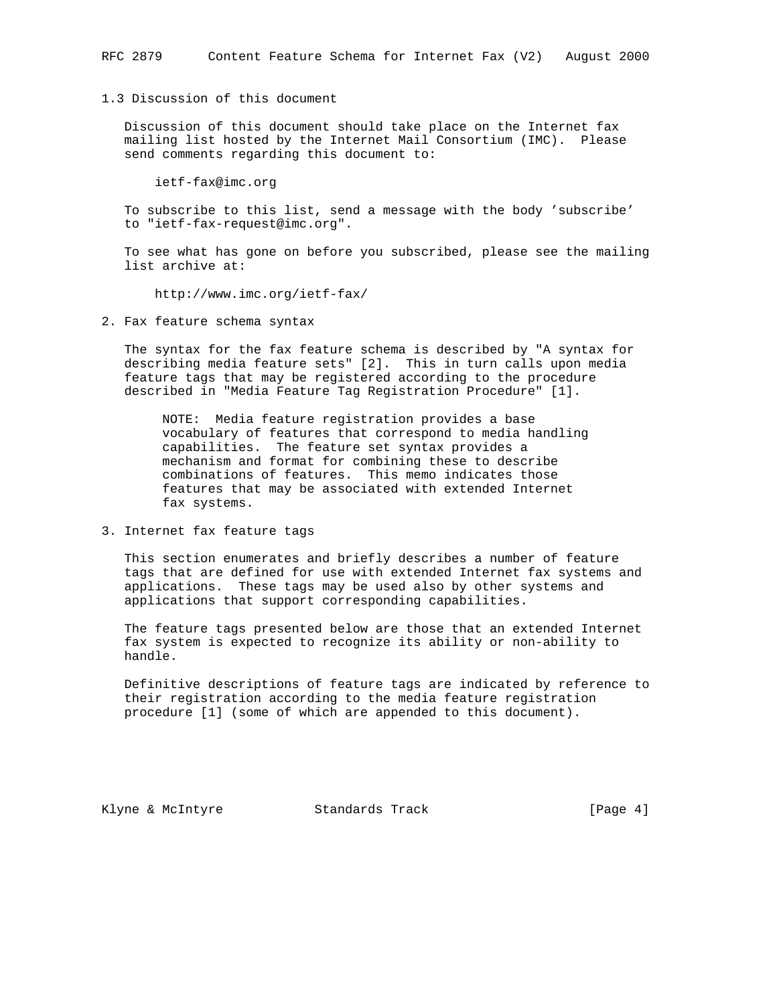# 1.3 Discussion of this document

 Discussion of this document should take place on the Internet fax mailing list hosted by the Internet Mail Consortium (IMC). Please send comments regarding this document to:

ietf-fax@imc.org

 To subscribe to this list, send a message with the body 'subscribe' to "ietf-fax-request@imc.org".

 To see what has gone on before you subscribed, please see the mailing list archive at:

http://www.imc.org/ietf-fax/

2. Fax feature schema syntax

 The syntax for the fax feature schema is described by "A syntax for describing media feature sets" [2]. This in turn calls upon media feature tags that may be registered according to the procedure described in "Media Feature Tag Registration Procedure" [1].

 NOTE: Media feature registration provides a base vocabulary of features that correspond to media handling capabilities. The feature set syntax provides a mechanism and format for combining these to describe combinations of features. This memo indicates those features that may be associated with extended Internet fax systems.

3. Internet fax feature tags

 This section enumerates and briefly describes a number of feature tags that are defined for use with extended Internet fax systems and applications. These tags may be used also by other systems and applications that support corresponding capabilities.

 The feature tags presented below are those that an extended Internet fax system is expected to recognize its ability or non-ability to handle.

 Definitive descriptions of feature tags are indicated by reference to their registration according to the media feature registration procedure [1] (some of which are appended to this document).

Klyne & McIntyre  $\sim$  Standards Track [Page 4]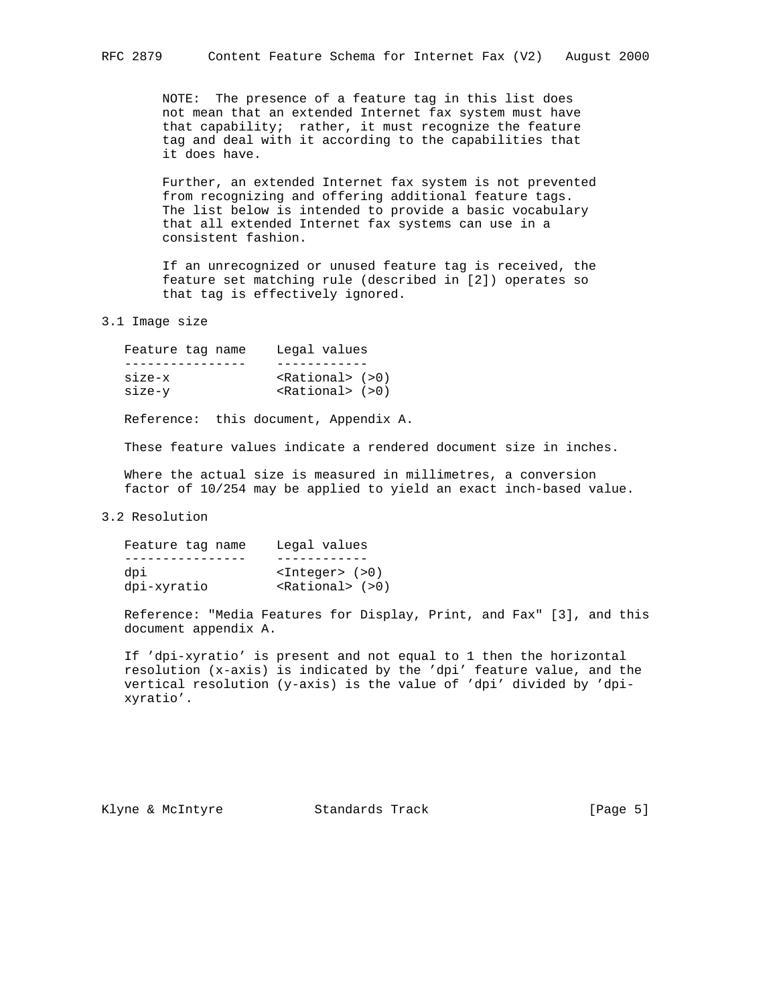NOTE: The presence of a feature tag in this list does not mean that an extended Internet fax system must have that capability; rather, it must recognize the feature tag and deal with it according to the capabilities that it does have.

 Further, an extended Internet fax system is not prevented from recognizing and offering additional feature tags. The list below is intended to provide a basic vocabulary that all extended Internet fax systems can use in a consistent fashion.

 If an unrecognized or unused feature tag is received, the feature set matching rule (described in [2]) operates so that tag is effectively ignored.

3.1 Image size

| Feature tag name | Legal values               |
|------------------|----------------------------|
|                  |                            |
| $size-x$         | $\langle$ Rational> $(>0)$ |
| size-v           | $\langle$ Rational> $(>0)$ |
|                  |                            |

Reference: this document, Appendix A.

These feature values indicate a rendered document size in inches.

 Where the actual size is measured in millimetres, a conversion factor of 10/254 may be applied to yield an exact inch-based value.

## 3.2 Resolution

| Feature tag name | Legal values                                 |
|------------------|----------------------------------------------|
|                  |                                              |
| dpi              | $ $ <integer> <math>(</math>&gt;0)</integer> |
| dpi-xyratio      | $\epsilon$ Rational> $(>0)$                  |

 Reference: "Media Features for Display, Print, and Fax" [3], and this document appendix A.

 If 'dpi-xyratio' is present and not equal to 1 then the horizontal resolution (x-axis) is indicated by the 'dpi' feature value, and the vertical resolution (y-axis) is the value of 'dpi' divided by 'dpi xyratio'.

Klyne & McIntyre  $\sim$  Standards Track [Page 5]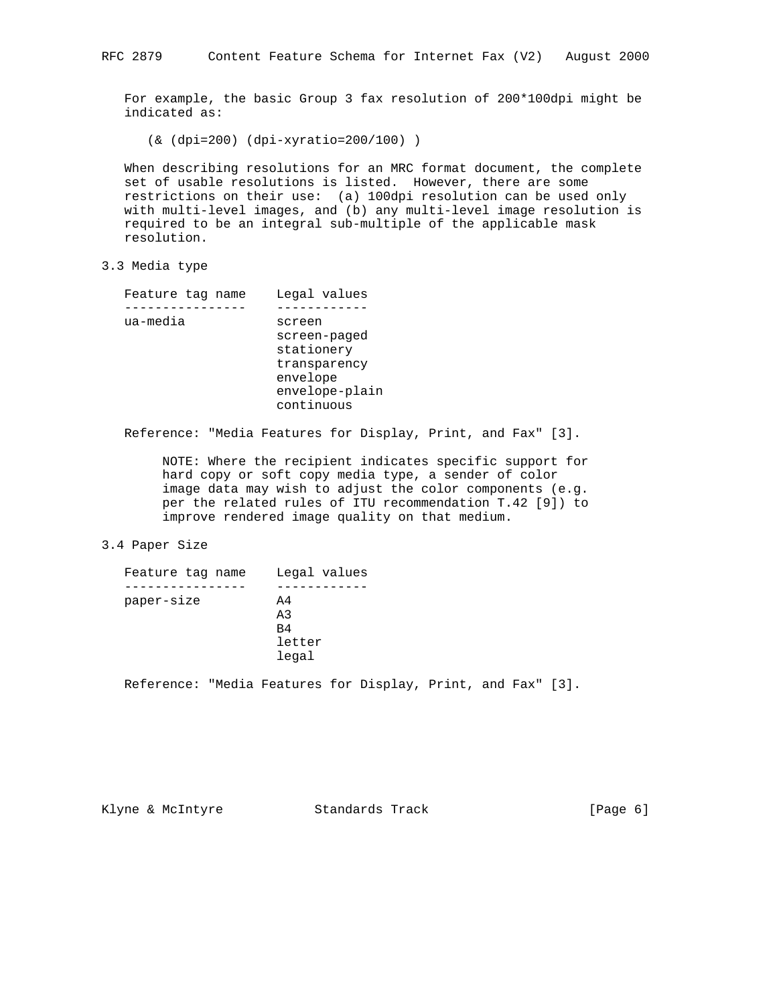For example, the basic Group 3 fax resolution of 200\*100dpi might be indicated as:

(& (dpi=200) (dpi-xyratio=200/100) )

 When describing resolutions for an MRC format document, the complete set of usable resolutions is listed. However, there are some restrictions on their use: (a) 100dpi resolution can be used only with multi-level images, and (b) any multi-level image resolution is required to be an integral sub-multiple of the applicable mask resolution.

3.3 Media type

| Feature tag name | Legal values   |
|------------------|----------------|
|                  |                |
| ua-media         | screen         |
|                  | screen-paged   |
|                  | stationery     |
|                  | transparency   |
|                  | envelope       |
|                  | envelope-plain |
|                  | continuous     |
|                  |                |

Reference: "Media Features for Display, Print, and Fax" [3].

 NOTE: Where the recipient indicates specific support for hard copy or soft copy media type, a sender of color image data may wish to adjust the color components (e.g. per the related rules of ITU recommendation T.42 [9]) to improve rendered image quality on that medium.

# 3.4 Paper Size

| Feature tag name | Legal values    |
|------------------|-----------------|
|                  |                 |
| paper-size       | $\overline{A}4$ |
|                  | A <sub>3</sub>  |
|                  | B4              |
|                  | letter          |
|                  | legal           |

Reference: "Media Features for Display, Print, and Fax" [3].

Klyne & McIntyre  $\sim$  Standards Track [Page 6]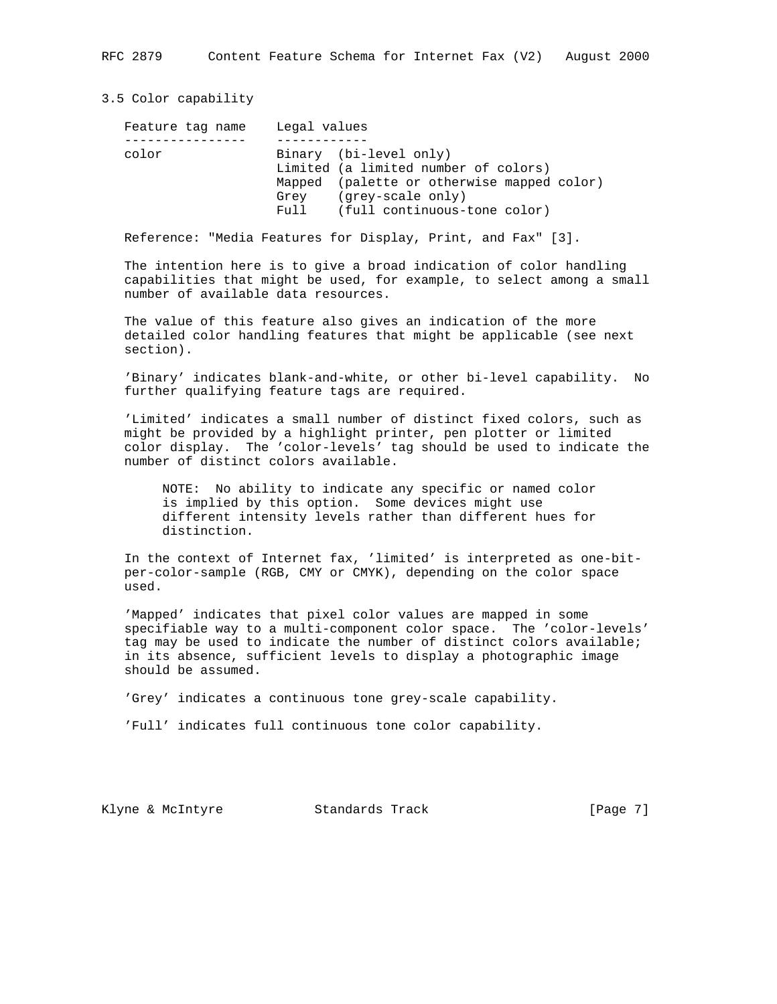3.5 Color capability

| Feature tag name | Legal values |                                            |
|------------------|--------------|--------------------------------------------|
|                  |              |                                            |
| color            |              | Binary (bi-level only)                     |
|                  |              | Limited (a limited number of colors)       |
|                  |              | Mapped (palette or otherwise mapped color) |
|                  | Grev         | (grey-scale only)                          |
|                  | Full         | (full continuous-tone color)               |

Reference: "Media Features for Display, Print, and Fax" [3].

 The intention here is to give a broad indication of color handling capabilities that might be used, for example, to select among a small number of available data resources.

 The value of this feature also gives an indication of the more detailed color handling features that might be applicable (see next section).

 'Binary' indicates blank-and-white, or other bi-level capability. No further qualifying feature tags are required.

 'Limited' indicates a small number of distinct fixed colors, such as might be provided by a highlight printer, pen plotter or limited color display. The 'color-levels' tag should be used to indicate the number of distinct colors available.

 NOTE: No ability to indicate any specific or named color is implied by this option. Some devices might use different intensity levels rather than different hues for distinction.

 In the context of Internet fax, 'limited' is interpreted as one-bit per-color-sample (RGB, CMY or CMYK), depending on the color space used.

 'Mapped' indicates that pixel color values are mapped in some specifiable way to a multi-component color space. The 'color-levels' tag may be used to indicate the number of distinct colors available; in its absence, sufficient levels to display a photographic image should be assumed.

'Grey' indicates a continuous tone grey-scale capability.

'Full' indicates full continuous tone color capability.

Klyne & McIntyre  $\sim$  Standards Track [Page 7]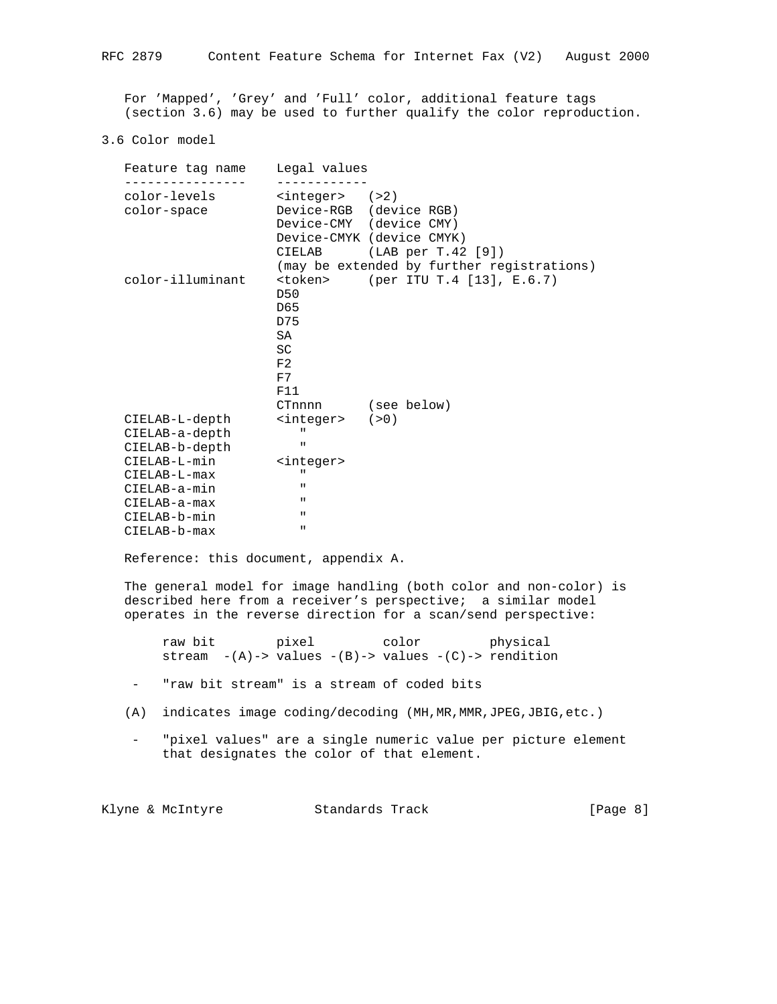For 'Mapped', 'Grey' and 'Full' color, additional feature tags (section 3.6) may be used to further qualify the color reproduction.

### 3.6 Color model

| Feature tag name Legal values |                                              |
|-------------------------------|----------------------------------------------|
| color-levels                  | $<$ integer> $(>2)$                          |
| color-space                   | Device-RGB (device RGB)                      |
|                               | Device-CMY (device CMY)                      |
|                               | Device-CMYK (device CMYK)                    |
|                               | CIELAB (LAB per T.42 [9])                    |
|                               | (may be extended by further registrations)   |
| color-illuminant              | (per ITU T.4 [13], E.6.7)<br><token></token> |
|                               | D50<br>D <sub>65</sub>                       |
|                               | D75                                          |
|                               | SA                                           |
|                               | <b>SC</b>                                    |
|                               | F2                                           |
|                               | F7                                           |
|                               | F11                                          |
|                               | CTnnnn (see below)                           |
| CIELAB-L-depth                | $<$ integer> $(>0)$                          |
| CIELAB-a-depth                | $\mathbf{u}$                                 |
| CIELAB-b-depth                | $\mathbf{H}$                                 |
| CIELAB-L-min                  | <integer></integer>                          |
| CIELAB-L-max                  | $\mathbf{H}$                                 |
| CIELAB-a-min                  | $\mathbf{u}$                                 |
| CIELAB-a-max                  | $\mathbf{u}$                                 |
| CIELAB-b-min                  | $\mathbf{H}$<br>ш                            |
| CIELAB-b-max                  |                                              |

Reference: this document, appendix A.

 The general model for image handling (both color and non-color) is described here from a receiver's perspective; a similar model operates in the reverse direction for a scan/send perspective:

raw bit pixel color physical stream  $-(A)$ -> values  $-(B)$ -> values  $-(C)$ -> rendition

- "raw bit stream" is a stream of coded bits
- (A) indicates image coding/decoding (MH,MR,MMR,JPEG,JBIG,etc.)
	- "pixel values" are a single numeric value per picture element that designates the color of that element.

Klyne & McIntyre  $\sim$  Standards Track [Page 8]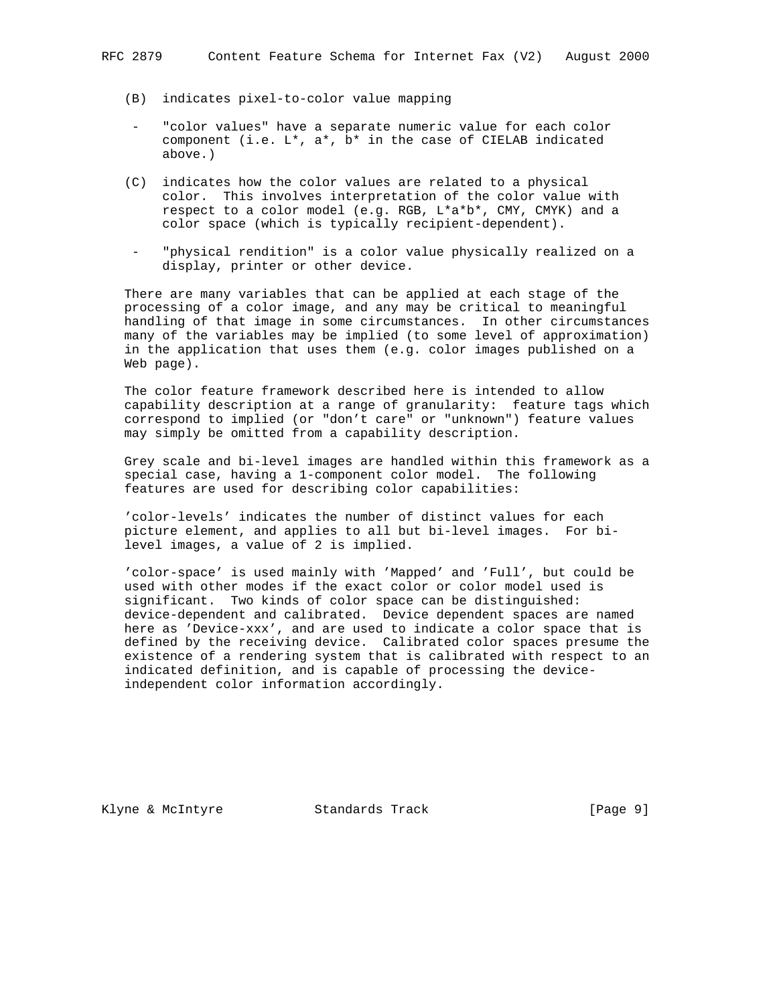- (B) indicates pixel-to-color value mapping
- "color values" have a separate numeric value for each color component (i.e.  $L^*$ ,  $a^*$ ,  $b^*$  in the case of CIELAB indicated above.)
- (C) indicates how the color values are related to a physical color. This involves interpretation of the color value with respect to a color model (e.g. RGB, L\*a\*b\*, CMY, CMYK) and a color space (which is typically recipient-dependent).
- "physical rendition" is a color value physically realized on a display, printer or other device.

 There are many variables that can be applied at each stage of the processing of a color image, and any may be critical to meaningful handling of that image in some circumstances. In other circumstances many of the variables may be implied (to some level of approximation) in the application that uses them (e.g. color images published on a Web page).

 The color feature framework described here is intended to allow capability description at a range of granularity: feature tags which correspond to implied (or "don't care" or "unknown") feature values may simply be omitted from a capability description.

 Grey scale and bi-level images are handled within this framework as a special case, having a 1-component color model. The following features are used for describing color capabilities:

 'color-levels' indicates the number of distinct values for each picture element, and applies to all but bi-level images. For bi level images, a value of 2 is implied.

 'color-space' is used mainly with 'Mapped' and 'Full', but could be used with other modes if the exact color or color model used is significant. Two kinds of color space can be distinguished: device-dependent and calibrated. Device dependent spaces are named here as 'Device-xxx', and are used to indicate a color space that is defined by the receiving device. Calibrated color spaces presume the existence of a rendering system that is calibrated with respect to an indicated definition, and is capable of processing the device independent color information accordingly.

Klyne & McIntyre  $\sim$  Standards Track [Page 9]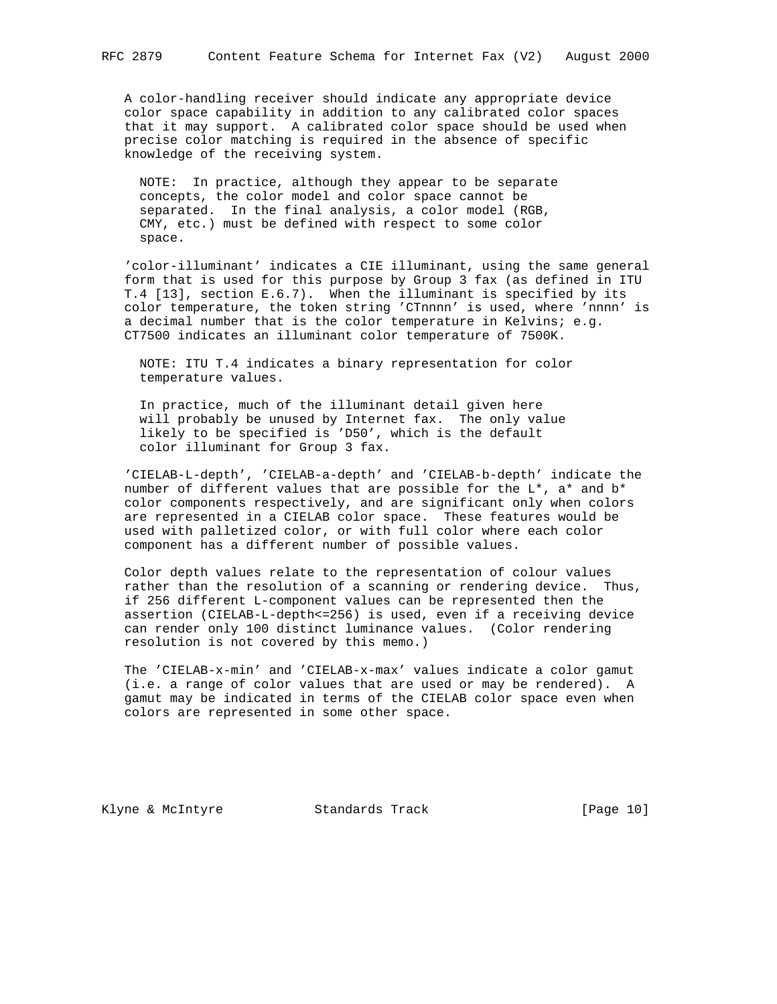A color-handling receiver should indicate any appropriate device color space capability in addition to any calibrated color spaces that it may support. A calibrated color space should be used when precise color matching is required in the absence of specific knowledge of the receiving system.

 NOTE: In practice, although they appear to be separate concepts, the color model and color space cannot be separated. In the final analysis, a color model (RGB, CMY, etc.) must be defined with respect to some color space.

 'color-illuminant' indicates a CIE illuminant, using the same general form that is used for this purpose by Group 3 fax (as defined in ITU T.4 [13], section E.6.7). When the illuminant is specified by its color temperature, the token string 'CTnnnn' is used, where 'nnnn' is a decimal number that is the color temperature in Kelvins; e.g. CT7500 indicates an illuminant color temperature of 7500K.

 NOTE: ITU T.4 indicates a binary representation for color temperature values.

 In practice, much of the illuminant detail given here will probably be unused by Internet fax. The only value likely to be specified is 'D50', which is the default color illuminant for Group 3 fax.

 'CIELAB-L-depth', 'CIELAB-a-depth' and 'CIELAB-b-depth' indicate the number of different values that are possible for the L\*, a\* and b\* color components respectively, and are significant only when colors are represented in a CIELAB color space. These features would be used with palletized color, or with full color where each color component has a different number of possible values.

 Color depth values relate to the representation of colour values rather than the resolution of a scanning or rendering device. Thus, if 256 different L-component values can be represented then the assertion (CIELAB-L-depth<=256) is used, even if a receiving device can render only 100 distinct luminance values. (Color rendering resolution is not covered by this memo.)

 The 'CIELAB-x-min' and 'CIELAB-x-max' values indicate a color gamut (i.e. a range of color values that are used or may be rendered). A gamut may be indicated in terms of the CIELAB color space even when colors are represented in some other space.

Klyne & McIntyre  $\sim$  Standards Track [Page 10]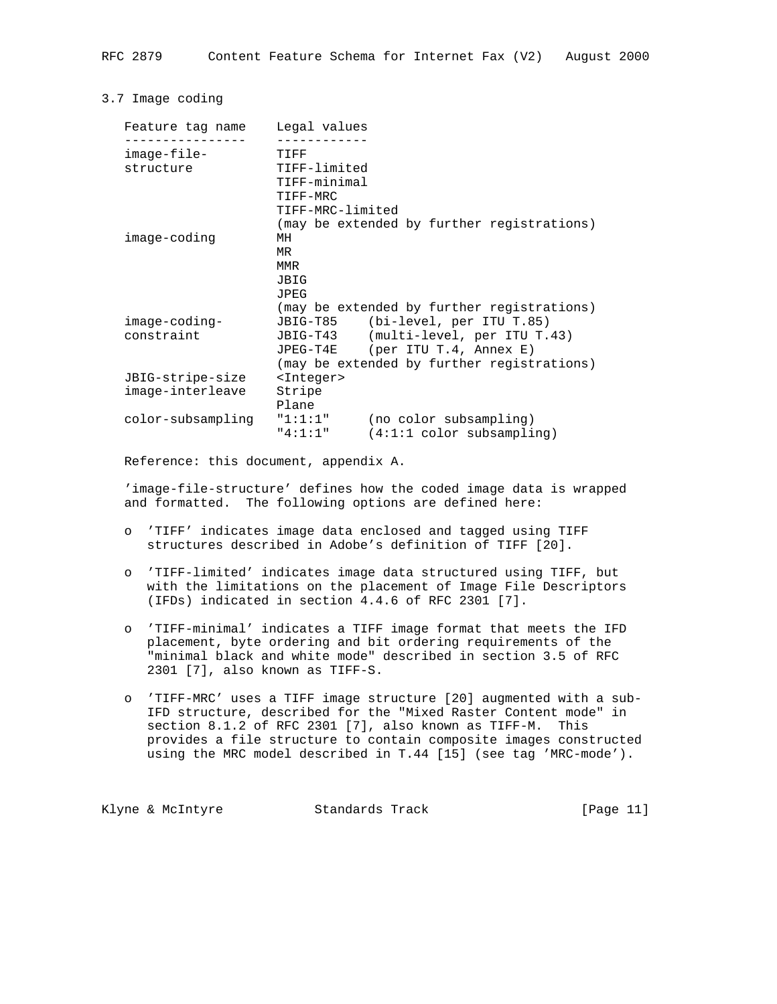## 3.7 Image coding

| Legal values<br>Feature tag name                                        |  |
|-------------------------------------------------------------------------|--|
|                                                                         |  |
| $image$ -file-<br>TIFF                                                  |  |
| TIFF-limited<br>structure                                               |  |
| TIFF-minimal                                                            |  |
| TIFF-MRC                                                                |  |
| TIFF-MRC-limited                                                        |  |
| (may be extended by further registrations)                              |  |
| image-coding<br>MН                                                      |  |
| MR                                                                      |  |
| MMR                                                                     |  |
| JBIG                                                                    |  |
| JPEG                                                                    |  |
| (may be extended by further registrations)                              |  |
| image-coding-<br>JBIG-T85 (bi-level, per ITU T.85)                      |  |
| constraint<br>JBIG-T43 (multi-level, per ITU T.43)                      |  |
| $(\text{per} \text{ITU} \text{T.4}, \text{Annex} \text{E})$<br>JPEG-T4E |  |
| (may be extended by further registrations)                              |  |
| JBIG-stripe-size<br><integer></integer>                                 |  |
| image-interleave<br>Stripe                                              |  |
| Plane                                                                   |  |
| "1:1:1"<br>color-subsampling<br>(no color subsampling)                  |  |
| "4:1:1"<br>$(4:1:1 \text{ color subsampling})$                          |  |

Reference: this document, appendix A.

 'image-file-structure' defines how the coded image data is wrapped and formatted. The following options are defined here:

- o 'TIFF' indicates image data enclosed and tagged using TIFF structures described in Adobe's definition of TIFF [20].
- o 'TIFF-limited' indicates image data structured using TIFF, but with the limitations on the placement of Image File Descriptors (IFDs) indicated in section 4.4.6 of RFC 2301 [7].
- o 'TIFF-minimal' indicates a TIFF image format that meets the IFD placement, byte ordering and bit ordering requirements of the "minimal black and white mode" described in section 3.5 of RFC 2301 [7], also known as TIFF-S.
- o 'TIFF-MRC' uses a TIFF image structure [20] augmented with a sub- IFD structure, described for the "Mixed Raster Content mode" in section 8.1.2 of RFC 2301 [7], also known as TIFF-M. This provides a file structure to contain composite images constructed using the MRC model described in T.44 [15] (see tag 'MRC-mode').

Klyne & McIntyre  $\sim$  Standards Track [Page 11]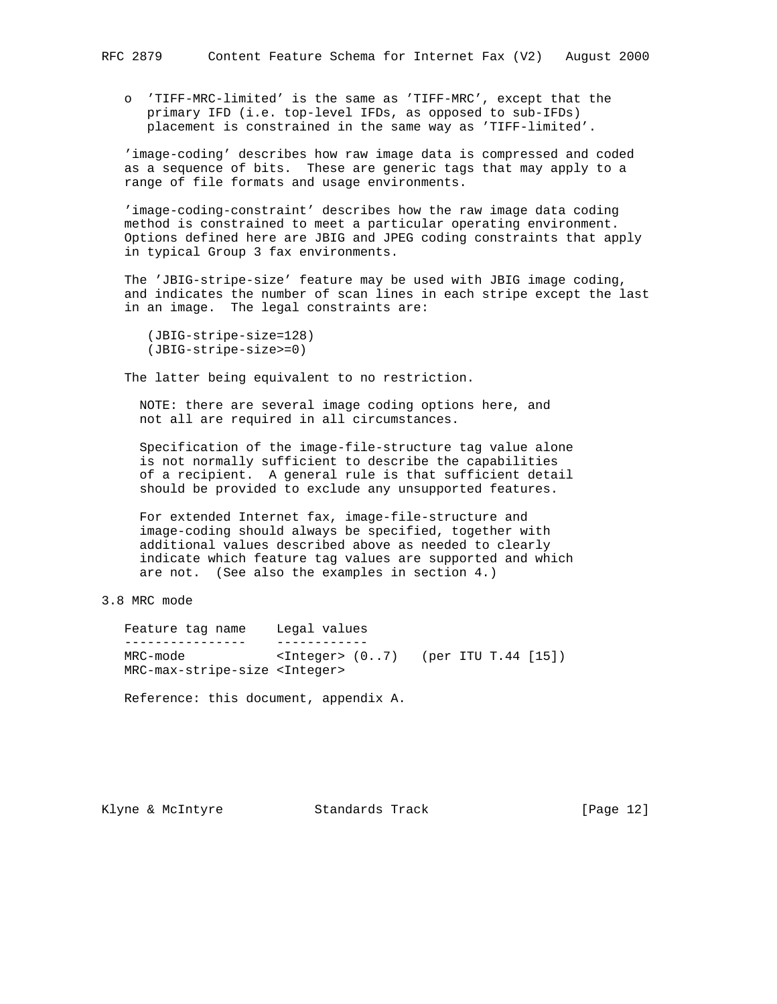o 'TIFF-MRC-limited' is the same as 'TIFF-MRC', except that the primary IFD (i.e. top-level IFDs, as opposed to sub-IFDs) placement is constrained in the same way as 'TIFF-limited'.

 'image-coding' describes how raw image data is compressed and coded as a sequence of bits. These are generic tags that may apply to a range of file formats and usage environments.

 'image-coding-constraint' describes how the raw image data coding method is constrained to meet a particular operating environment. Options defined here are JBIG and JPEG coding constraints that apply in typical Group 3 fax environments.

 The 'JBIG-stripe-size' feature may be used with JBIG image coding, and indicates the number of scan lines in each stripe except the last in an image. The legal constraints are:

 (JBIG-stripe-size=128) (JBIG-stripe-size>=0)

The latter being equivalent to no restriction.

 NOTE: there are several image coding options here, and not all are required in all circumstances.

 Specification of the image-file-structure tag value alone is not normally sufficient to describe the capabilities of a recipient. A general rule is that sufficient detail should be provided to exclude any unsupported features.

 For extended Internet fax, image-file-structure and image-coding should always be specified, together with additional values described above as needed to clearly indicate which feature tag values are supported and which are not. (See also the examples in section 4.)

# 3.8 MRC mode

 Feature tag name Legal values ---------------- ------------ MRC-mode <Integer> (0..7) (per ITU T.44 [15]) MRC-max-stripe-size <Integer> Reference: this document, appendix A.

Klyne & McIntyre Standards Track [Page 12]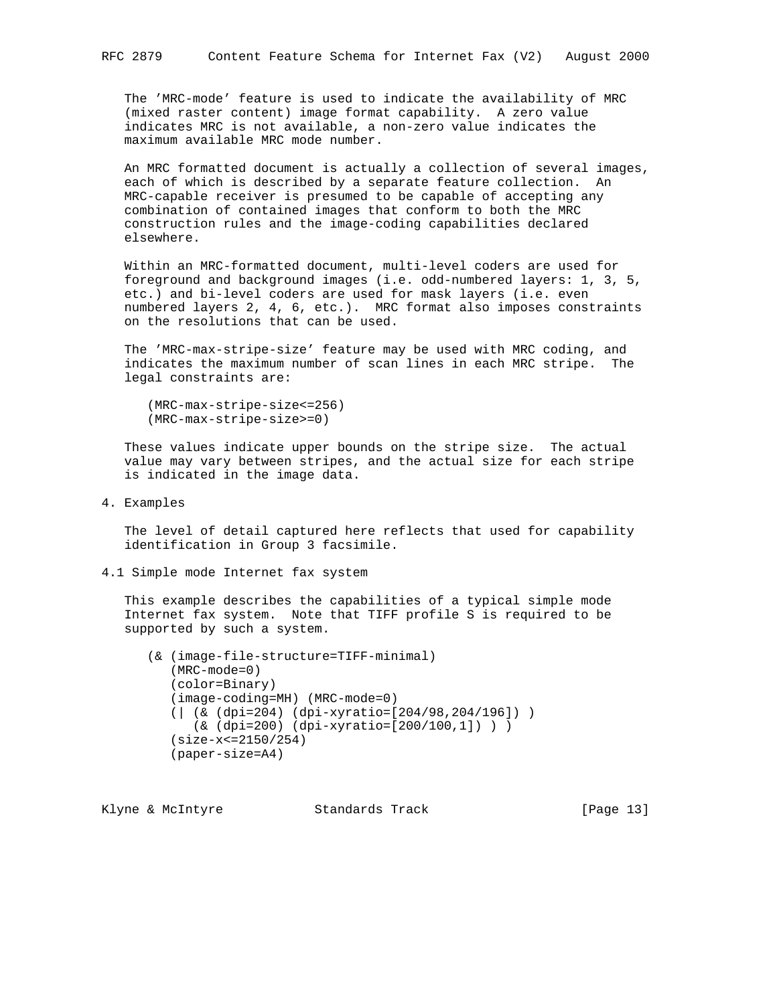The 'MRC-mode' feature is used to indicate the availability of MRC (mixed raster content) image format capability. A zero value indicates MRC is not available, a non-zero value indicates the maximum available MRC mode number.

 An MRC formatted document is actually a collection of several images, each of which is described by a separate feature collection. An MRC-capable receiver is presumed to be capable of accepting any combination of contained images that conform to both the MRC construction rules and the image-coding capabilities declared elsewhere.

 Within an MRC-formatted document, multi-level coders are used for foreground and background images (i.e. odd-numbered layers: 1, 3, 5, etc.) and bi-level coders are used for mask layers (i.e. even numbered layers 2, 4, 6, etc.). MRC format also imposes constraints on the resolutions that can be used.

 The 'MRC-max-stripe-size' feature may be used with MRC coding, and indicates the maximum number of scan lines in each MRC stripe. The legal constraints are:

```
 (MRC-max-stripe-size<=256)
 (MRC-max-stripe-size>=0)
```
 These values indicate upper bounds on the stripe size. The actual value may vary between stripes, and the actual size for each stripe is indicated in the image data.

4. Examples

 The level of detail captured here reflects that used for capability identification in Group 3 facsimile.

4.1 Simple mode Internet fax system

 This example describes the capabilities of a typical simple mode Internet fax system. Note that TIFF profile S is required to be supported by such a system.

 (& (image-file-structure=TIFF-minimal) (MRC-mode=0) (color=Binary) (image-coding=MH) (MRC-mode=0) (| (& (dpi=204) (dpi-xyratio=[204/98,204/196]) ) (& (dpi=200) (dpi-xyratio=[200/100,1]) ) ) (size-x<=2150/254) (paper-size=A4)

Klyne & McIntyre  $\sim$  Standards Track [Page 13]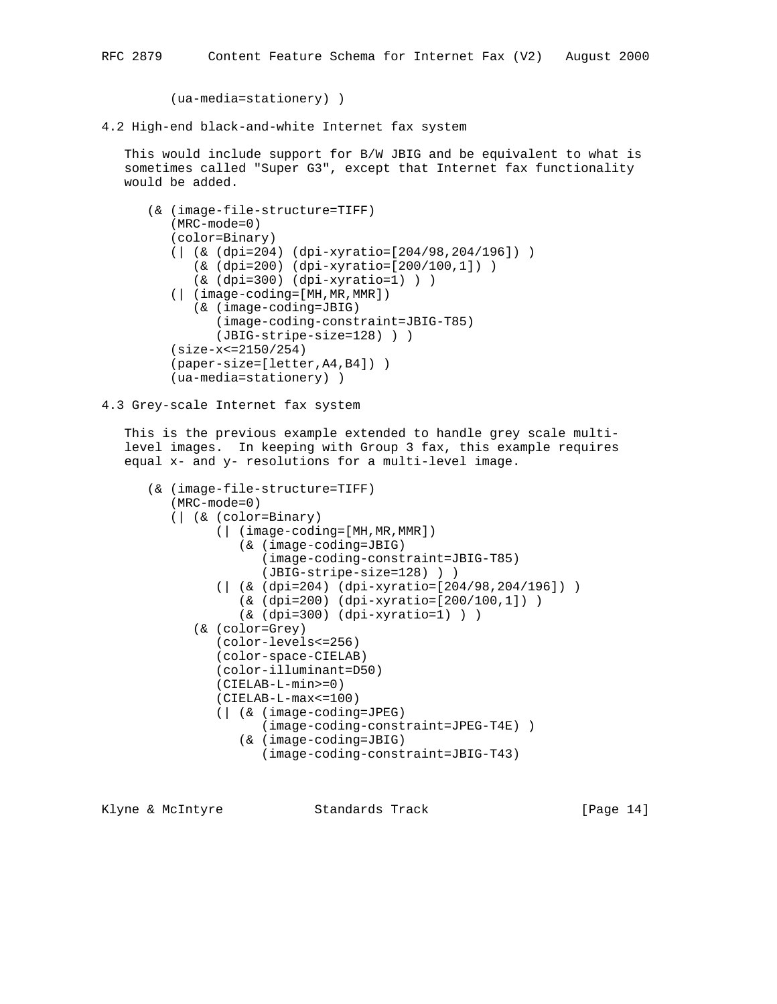(ua-media=stationery) )

4.2 High-end black-and-white Internet fax system

 This would include support for B/W JBIG and be equivalent to what is sometimes called "Super G3", except that Internet fax functionality would be added.

```
 (& (image-file-structure=TIFF)
    (MRC-mode=0)
    (color=Binary)
    (| (& (dpi=204) (dpi-xyratio=[204/98,204/196]) )
       (& (dpi=200) (dpi-xyratio=[200/100,1]) )
       (& (dpi=300) (dpi-xyratio=1) ) )
    (| (image-coding=[MH,MR,MMR])
       (& (image-coding=JBIG)
          (image-coding-constraint=JBIG-T85)
          (JBIG-stripe-size=128) ) )
    (size-x<=2150/254)
    (paper-size=[letter,A4,B4]) )
    (ua-media=stationery) )
```
4.3 Grey-scale Internet fax system

 This is the previous example extended to handle grey scale multi level images. In keeping with Group 3 fax, this example requires equal x- and y- resolutions for a multi-level image.

```
 (& (image-file-structure=TIFF)
    (MRC-mode=0)
    (| (& (color=Binary)
          (| (image-coding=[MH,MR,MMR])
             (& (image-coding=JBIG)
                (image-coding-constraint=JBIG-T85)
                 (JBIG-stripe-size=128) ) )
          (| (& (dpi=204) (dpi-xyratio=[204/98,204/196]) )
             (& (dpi=200) (dpi-xyratio=[200/100,1]) )
             (& (dpi=300) (dpi-xyratio=1) ) )
       (& (color=Grey)
          (color-levels<=256)
          (color-space-CIELAB)
          (color-illuminant=D50)
          (CIELAB-L-min>=0)
          (CIELAB-L-max<=100)
          (| (& (image-coding=JPEG)
                (image-coding-constraint=JPEG-T4E) )
             (& (image-coding=JBIG)
                 (image-coding-constraint=JBIG-T43)
```
Klyne & McIntyre  $\sim$  Standards Track [Page 14]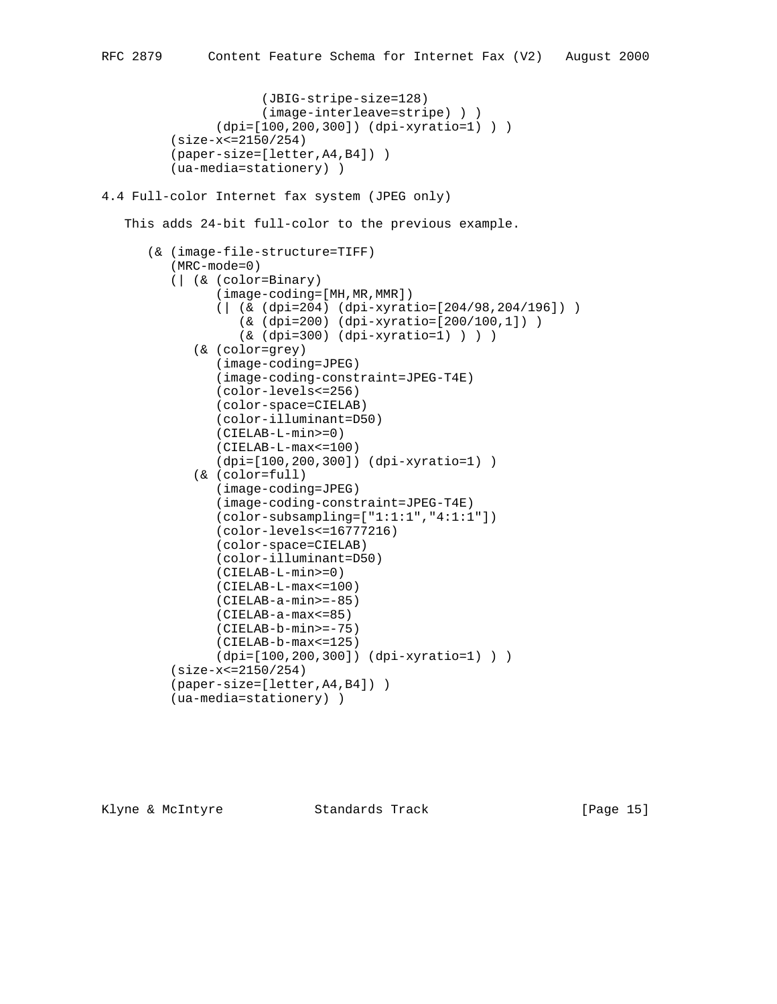```
 (JBIG-stripe-size=128)
                       (image-interleave=stripe) ) )
                 (dpi=[100,200,300]) (dpi-xyratio=1) ) )
          (size-x<=2150/254)
          (paper-size=[letter,A4,B4]) )
          (ua-media=stationery) )
4.4 Full-color Internet fax system (JPEG only)
    This adds 24-bit full-color to the previous example.
       (& (image-file-structure=TIFF)
          (MRC-mode=0)
          (| (& (color=Binary)
                 (image-coding=[MH,MR,MMR])
                 (| (& (dpi=204) (dpi-xyratio=[204/98,204/196]) )
                    (& (dpi=200) (dpi-xyratio=[200/100,1]) )
                    (& (dpi=300) (dpi-xyratio=1) ) ) )
```

```
 (& (color=grey)
       (image-coding=JPEG)
       (image-coding-constraint=JPEG-T4E)
       (color-levels<=256)
       (color-space=CIELAB)
       (color-illuminant=D50)
       (CIELAB-L-min>=0)
       (CIELAB-L-max<=100)
       (dpi=[100,200,300]) (dpi-xyratio=1) )
    (& (color=full)
       (image-coding=JPEG)
       (image-coding-constraint=JPEG-T4E)
       (color-subsampling=["1:1:1","4:1:1"])
       (color-levels<=16777216)
       (color-space=CIELAB)
       (color-illuminant=D50)
       (CIELAB-L-min>=0)
       (CIELAB-L-max<=100)
       (CIELAB-a-min>=-85)
       (CIELAB-a-max<=85)
       (CIELAB-b-min>=-75)
       (CIELAB-b-max<=125)
       (dpi=[100,200,300]) (dpi-xyratio=1) ) )
 (size-x<=2150/254)
 (paper-size=[letter,A4,B4]) )
 (ua-media=stationery) )
```
Klyne & McIntyre  $\sim$  Standards Track [Page 15]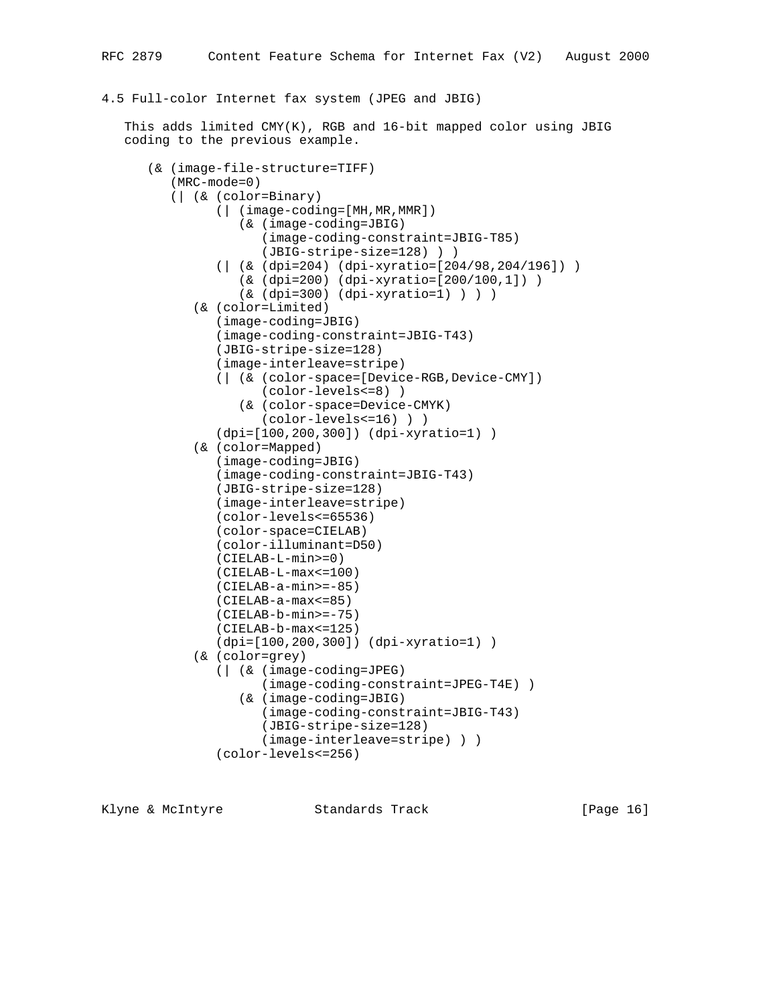### 4.5 Full-color Internet fax system (JPEG and JBIG)

 This adds limited CMY(K), RGB and 16-bit mapped color using JBIG coding to the previous example.

```
 (& (image-file-structure=TIFF)
    (MRC-mode=0)
    (| (& (color=Binary)
          (| (image-coding=[MH,MR,MMR])
             (& (image-coding=JBIG)
                 (image-coding-constraint=JBIG-T85)
                 (JBIG-stripe-size=128) ) )
          (| (& (dpi=204) (dpi-xyratio=[204/98,204/196]) )
              (& (dpi=200) (dpi-xyratio=[200/100,1]) )
              (& (dpi=300) (dpi-xyratio=1) ) ) )
       (& (color=Limited)
          (image-coding=JBIG)
          (image-coding-constraint=JBIG-T43)
          (JBIG-stripe-size=128)
          (image-interleave=stripe)
          (| (& (color-space=[Device-RGB,Device-CMY])
                (color-levels<=8) )
             (& (color-space=Device-CMYK)
                 (color-levels<=16) ) )
          (dpi=[100,200,300]) (dpi-xyratio=1) )
       (& (color=Mapped)
          (image-coding=JBIG)
          (image-coding-constraint=JBIG-T43)
          (JBIG-stripe-size=128)
          (image-interleave=stripe)
          (color-levels<=65536)
          (color-space=CIELAB)
          (color-illuminant=D50)
          (CIELAB-L-min>=0)
          (CIELAB-L-max<=100)
          (CIELAB-a-min>=-85)
          (CIELAB-a-max<=85)
          (CIELAB-b-min>=-75)
          (CIELAB-b-max<=125)
          (dpi=[100,200,300]) (dpi-xyratio=1) )
       (& (color=grey)
          (| (& (image-coding=JPEG)
                (image-coding-constraint=JPEG-T4E) )
             (& (image-coding=JBIG)
                (image-coding-constraint=JBIG-T43)
                 (JBIG-stripe-size=128)
                 (image-interleave=stripe) ) )
          (color-levels<=256)
```
Klyne & McIntyre  $\sim$  Standards Track [Page 16]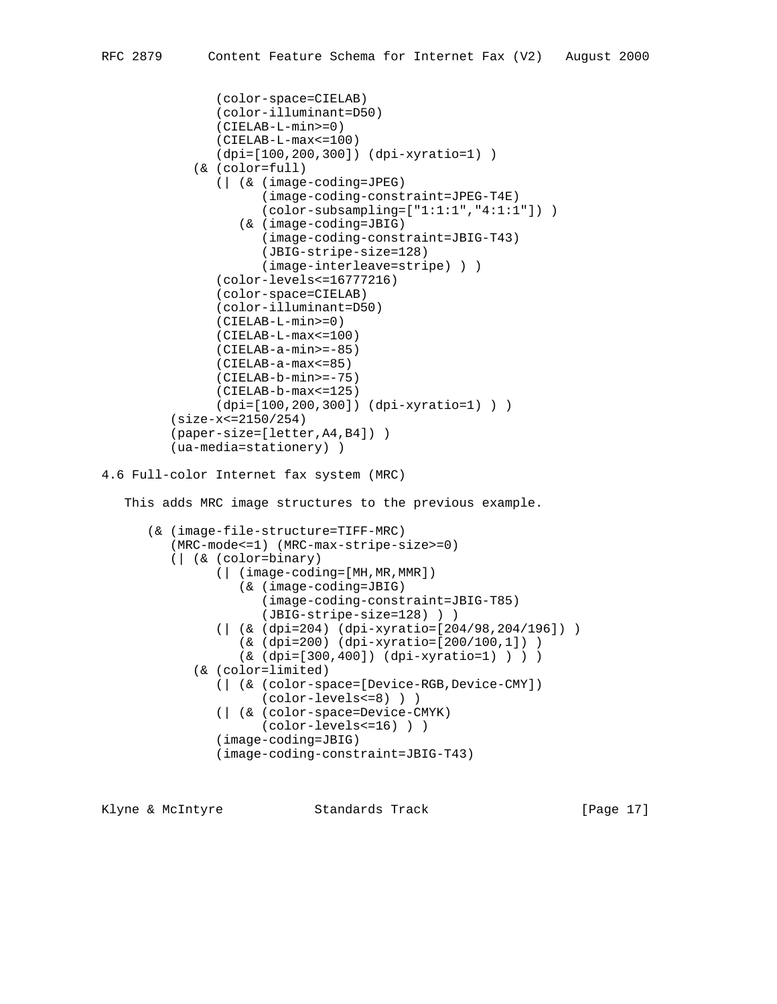```
 (color-space=CIELAB)
                 (color-illuminant=D50)
                 (CIELAB-L-min>=0)
                 (CIELAB-L-max<=100)
                 (dpi=[100,200,300]) (dpi-xyratio=1) )
             (& (color=full)
                 (| (& (image-coding=JPEG)
                       (image-coding-constraint=JPEG-T4E)
                       (color-subsampling=["1:1:1","4:1:1"]) )
                    (& (image-coding=JBIG)
                       (image-coding-constraint=JBIG-T43)
                       (JBIG-stripe-size=128)
                       (image-interleave=stripe) ) )
                 (color-levels<=16777216)
                 (color-space=CIELAB)
                 (color-illuminant=D50)
                 (CIELAB-L-min>=0)
                 (CIELAB-L-max<=100)
                (CIELAB-a-min>=-85)
                (CIELAB-a-max<=85)
                (CIELAB-b-min>=-75)
                (CIELAB-b-max<=125)
                 (dpi=[100,200,300]) (dpi-xyratio=1) ) )
          (size-x<=2150/254)
          (paper-size=[letter,A4,B4]) )
          (ua-media=stationery) )
4.6 Full-color Internet fax system (MRC)
    This adds MRC image structures to the previous example.
       (& (image-file-structure=TIFF-MRC)
          (MRC-mode<=1) (MRC-max-stripe-size>=0)
          (| (& (color=binary)
                 (| (image-coding=[MH,MR,MMR])
                    (& (image-coding=JBIG)
                       (image-coding-constraint=JBIG-T85)
                       (JBIG-stripe-size=128) ) )
                 (| (& (dpi=204) (dpi-xyratio=[204/98,204/196]) )
                    (& (dpi=200) (dpi-xyratio=[200/100,1]) )
                    (& (dpi=[300,400]) (dpi-xyratio=1) ) ) )
             (& (color=limited)
                 (| (& (color-space=[Device-RGB,Device-CMY])
                       (color-levels<=8) ) )
                 (| (& (color-space=Device-CMYK)
                       (color-levels<=16) ) )
                 (image-coding=JBIG)
                 (image-coding-constraint=JBIG-T43)
```
Klyne & McIntyre  $\sim$  Standards Track [Page 17]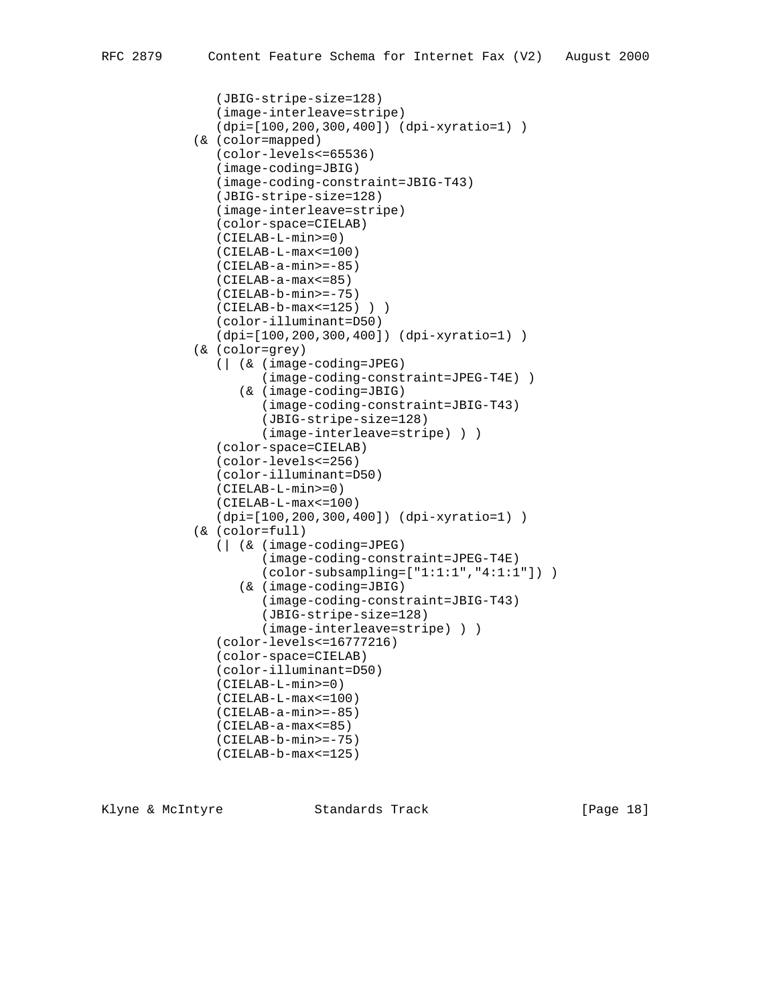```
 (JBIG-stripe-size=128)
    (image-interleave=stripe)
    (dpi=[100,200,300,400]) (dpi-xyratio=1) )
 (& (color=mapped)
    (color-levels<=65536)
    (image-coding=JBIG)
    (image-coding-constraint=JBIG-T43)
    (JBIG-stripe-size=128)
    (image-interleave=stripe)
    (color-space=CIELAB)
    (CIELAB-L-min>=0)
    (CIELAB-L-max<=100)
    (CIELAB-a-min>=-85)
    (CIELAB-a-max<=85)
    (CIELAB-b-min>=-75)
    (CIELAB-b-max<=125) ) )
    (color-illuminant=D50)
    (dpi=[100,200,300,400]) (dpi-xyratio=1) )
 (& (color=grey)
    (| (& (image-coding=JPEG)
          (image-coding-constraint=JPEG-T4E) )
       (& (image-coding=JBIG)
          (image-coding-constraint=JBIG-T43)
          (JBIG-stripe-size=128)
          (image-interleave=stripe) ) )
    (color-space=CIELAB)
    (color-levels<=256)
    (color-illuminant=D50)
    (CIELAB-L-min>=0)
    (CIELAB-L-max<=100)
    (dpi=[100,200,300,400]) (dpi-xyratio=1) )
 (& (color=full)
    (| (& (image-coding=JPEG)
          (image-coding-constraint=JPEG-T4E)
          (color-subsampling=["1:1:1","4:1:1"]) )
       (& (image-coding=JBIG)
          (image-coding-constraint=JBIG-T43)
          (JBIG-stripe-size=128)
          (image-interleave=stripe) ) )
    (color-levels<=16777216)
    (color-space=CIELAB)
    (color-illuminant=D50)
    (CIELAB-L-min>=0)
    (CIELAB-L-max<=100)
    (CIELAB-a-min>=-85)
    (CIELAB-a-max<=85)
    (CIELAB-b-min>=-75)
    (CIELAB-b-max<=125)
```
Klyne & McIntyre  $\sim$  Standards Track [Page 18]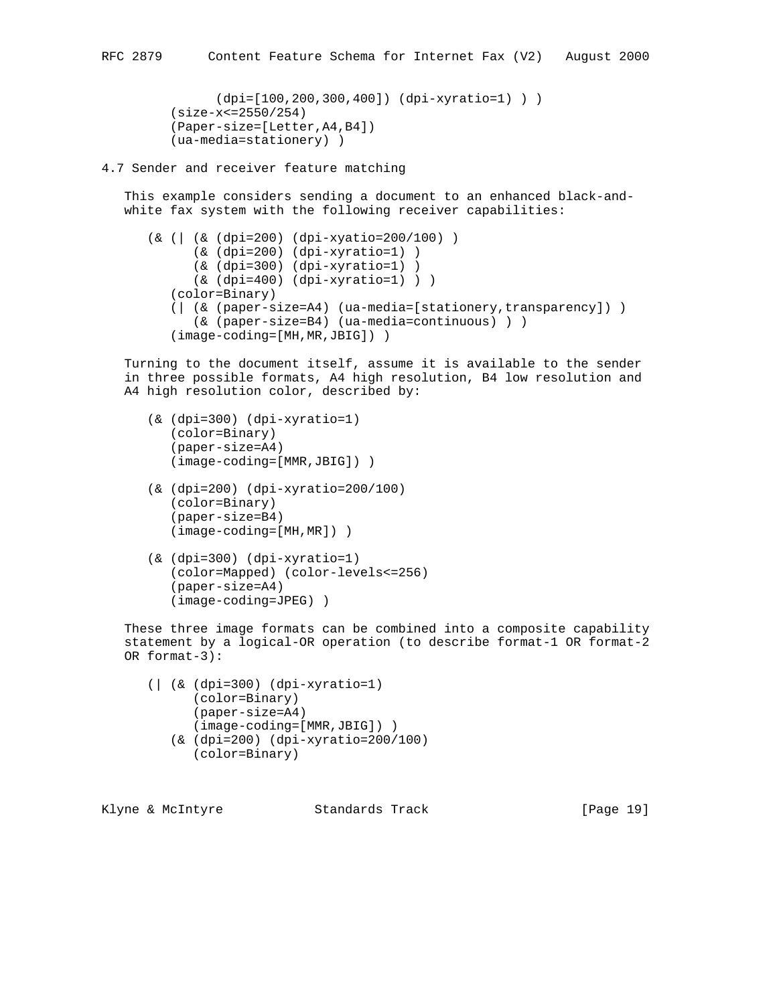```
 (dpi=[100,200,300,400]) (dpi-xyratio=1) ) )
 (size-x<=2550/254)
 (Paper-size=[Letter,A4,B4])
 (ua-media=stationery) )
```
#### 4.7 Sender and receiver feature matching

 This example considers sending a document to an enhanced black-and white fax system with the following receiver capabilities:

```
 (& (| (& (dpi=200) (dpi-xyatio=200/100) )
       (& (dpi=200) (dpi-xyratio=1) )
       (& (dpi=300) (dpi-xyratio=1) )
       (& (dpi=400) (dpi-xyratio=1) ) )
    (color=Binary)
    (| (& (paper-size=A4) (ua-media=[stationery,transparency]) )
       (& (paper-size=B4) (ua-media=continuous) ) )
    (image-coding=[MH,MR,JBIG]) )
```
 Turning to the document itself, assume it is available to the sender in three possible formats, A4 high resolution, B4 low resolution and A4 high resolution color, described by:

- (& (dpi=300) (dpi-xyratio=1) (color=Binary) (paper-size=A4) (image-coding=[MMR,JBIG]) )
- (& (dpi=200) (dpi-xyratio=200/100) (color=Binary) (paper-size=B4) (image-coding=[MH,MR]) )
- (& (dpi=300) (dpi-xyratio=1) (color=Mapped) (color-levels<=256) (paper-size=A4) (image-coding=JPEG) )

 These three image formats can be combined into a composite capability statement by a logical-OR operation (to describe format-1 OR format-2 OR format-3):

```
 (| (& (dpi=300) (dpi-xyratio=1)
       (color=Binary)
       (paper-size=A4)
       (image-coding=[MMR,JBIG]) )
    (& (dpi=200) (dpi-xyratio=200/100)
       (color=Binary)
```

| [Page 19]<br>Klyne & McIntyre<br>Standards Track |  |  |
|--------------------------------------------------|--|--|
|--------------------------------------------------|--|--|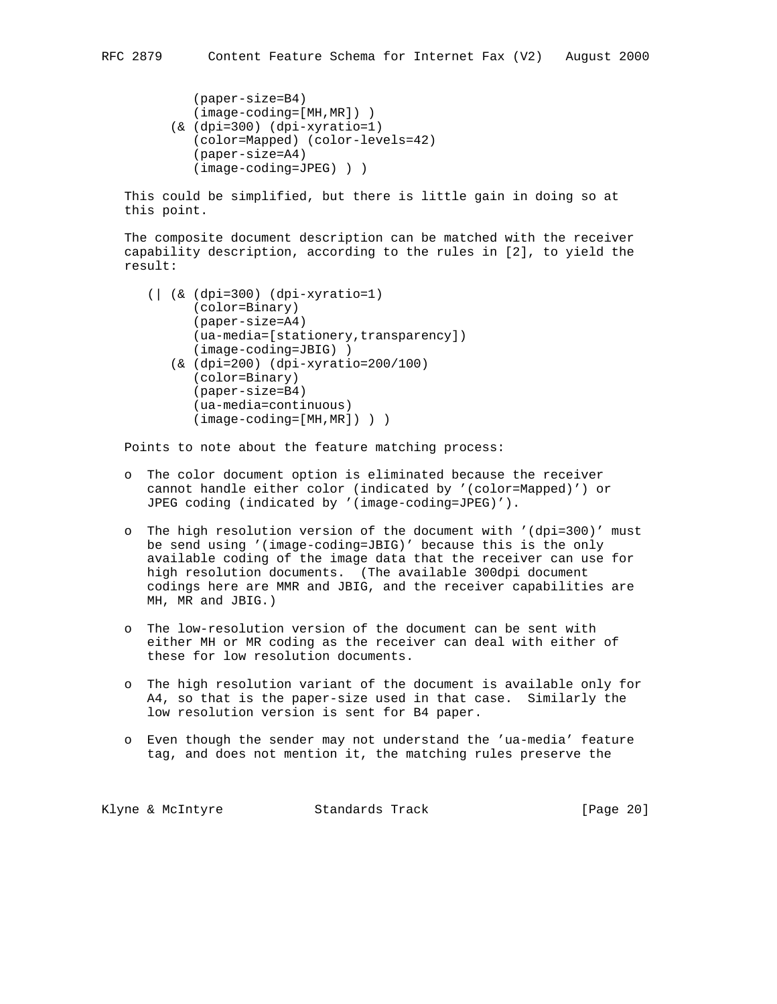```
 (paper-size=B4)
    (image-coding=[MH,MR]) )
 (& (dpi=300) (dpi-xyratio=1)
    (color=Mapped) (color-levels=42)
    (paper-size=A4)
    (image-coding=JPEG) ) )
```
 This could be simplified, but there is little gain in doing so at this point.

 The composite document description can be matched with the receiver capability description, according to the rules in [2], to yield the result:

```
 (| (& (dpi=300) (dpi-xyratio=1)
       (color=Binary)
       (paper-size=A4)
       (ua-media=[stationery,transparency])
       (image-coding=JBIG) )
    (& (dpi=200) (dpi-xyratio=200/100)
       (color=Binary)
       (paper-size=B4)
       (ua-media=continuous)
       (image-coding=[MH,MR]) ) )
```
Points to note about the feature matching process:

- o The color document option is eliminated because the receiver cannot handle either color (indicated by '(color=Mapped)') or JPEG coding (indicated by '(image-coding=JPEG)').
- o The high resolution version of the document with '(dpi=300)' must be send using '(image-coding=JBIG)' because this is the only available coding of the image data that the receiver can use for high resolution documents. (The available 300dpi document codings here are MMR and JBIG, and the receiver capabilities are MH, MR and JBIG.)
- o The low-resolution version of the document can be sent with either MH or MR coding as the receiver can deal with either of these for low resolution documents.
- o The high resolution variant of the document is available only for A4, so that is the paper-size used in that case. Similarly the low resolution version is sent for B4 paper.
- o Even though the sender may not understand the 'ua-media' feature tag, and does not mention it, the matching rules preserve the

Klyne & McIntyre  $\sim$  Standards Track [Page 20]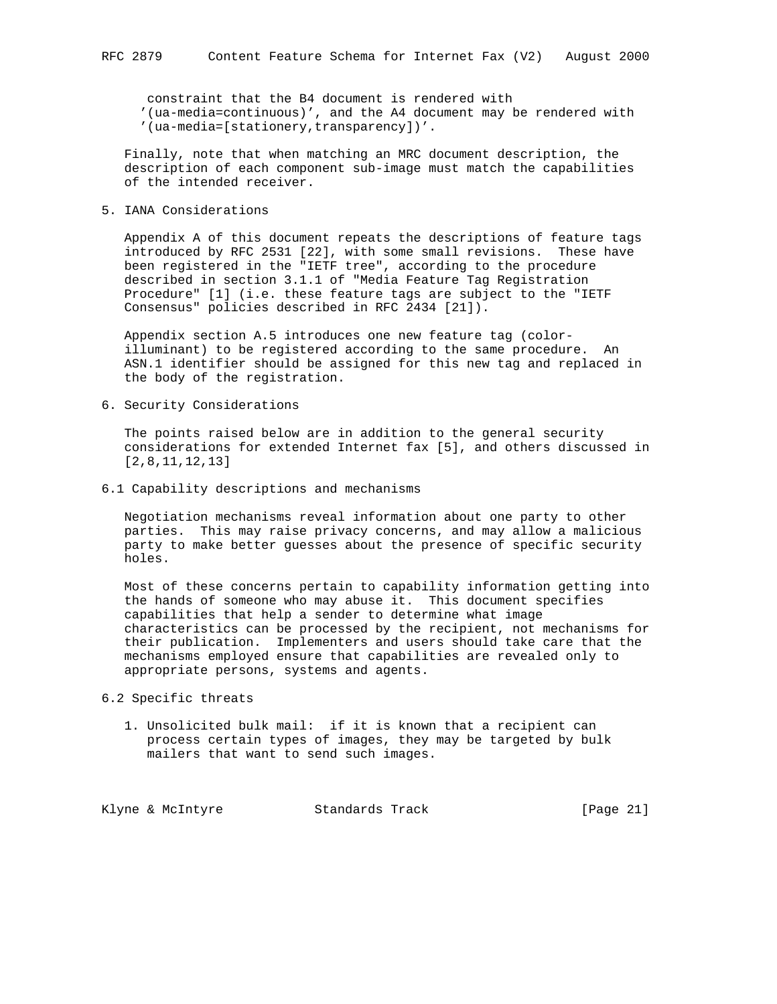constraint that the B4 document is rendered with '(ua-media=continuous)', and the A4 document may be rendered with '(ua-media=[stationery,transparency])'.

 Finally, note that when matching an MRC document description, the description of each component sub-image must match the capabilities of the intended receiver.

5. IANA Considerations

 Appendix A of this document repeats the descriptions of feature tags introduced by RFC 2531 [22], with some small revisions. These have been registered in the "IETF tree", according to the procedure described in section 3.1.1 of "Media Feature Tag Registration Procedure" [1] (i.e. these feature tags are subject to the "IETF Consensus" policies described in RFC 2434 [21]).

 Appendix section A.5 introduces one new feature tag (color illuminant) to be registered according to the same procedure. An ASN.1 identifier should be assigned for this new tag and replaced in the body of the registration.

6. Security Considerations

 The points raised below are in addition to the general security considerations for extended Internet fax [5], and others discussed in [2,8,11,12,13]

6.1 Capability descriptions and mechanisms

 Negotiation mechanisms reveal information about one party to other parties. This may raise privacy concerns, and may allow a malicious party to make better guesses about the presence of specific security holes.

 Most of these concerns pertain to capability information getting into the hands of someone who may abuse it. This document specifies capabilities that help a sender to determine what image characteristics can be processed by the recipient, not mechanisms for their publication. Implementers and users should take care that the mechanisms employed ensure that capabilities are revealed only to appropriate persons, systems and agents.

- 6.2 Specific threats
	- 1. Unsolicited bulk mail: if it is known that a recipient can process certain types of images, they may be targeted by bulk mailers that want to send such images.

Klyne & McIntyre Standards Track [Page 21]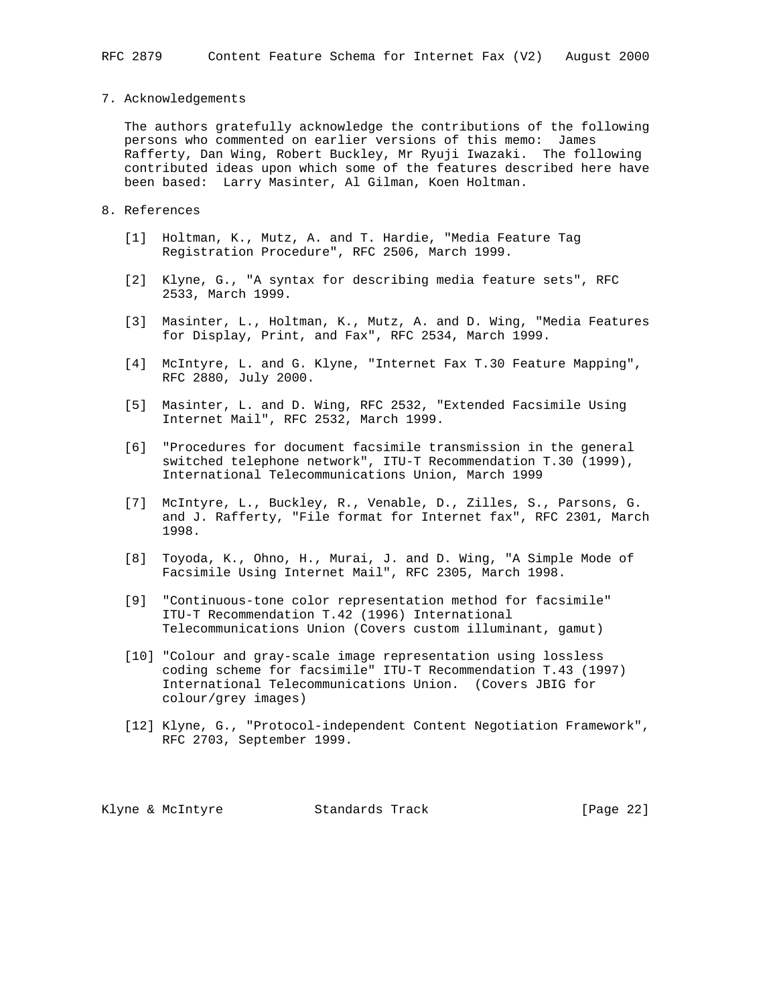#### 7. Acknowledgements

 The authors gratefully acknowledge the contributions of the following persons who commented on earlier versions of this memo: James Rafferty, Dan Wing, Robert Buckley, Mr Ryuji Iwazaki. The following contributed ideas upon which some of the features described here have been based: Larry Masinter, Al Gilman, Koen Holtman.

# 8. References

- [1] Holtman, K., Mutz, A. and T. Hardie, "Media Feature Tag Registration Procedure", RFC 2506, March 1999.
- [2] Klyne, G., "A syntax for describing media feature sets", RFC 2533, March 1999.
- [3] Masinter, L., Holtman, K., Mutz, A. and D. Wing, "Media Features for Display, Print, and Fax", RFC 2534, March 1999.
- [4] McIntyre, L. and G. Klyne, "Internet Fax T.30 Feature Mapping", RFC 2880, July 2000.
- [5] Masinter, L. and D. Wing, RFC 2532, "Extended Facsimile Using Internet Mail", RFC 2532, March 1999.
- [6] "Procedures for document facsimile transmission in the general switched telephone network", ITU-T Recommendation T.30 (1999), International Telecommunications Union, March 1999
- [7] McIntyre, L., Buckley, R., Venable, D., Zilles, S., Parsons, G. and J. Rafferty, "File format for Internet fax", RFC 2301, March 1998.
- [8] Toyoda, K., Ohno, H., Murai, J. and D. Wing, "A Simple Mode of Facsimile Using Internet Mail", RFC 2305, March 1998.
- [9] "Continuous-tone color representation method for facsimile" ITU-T Recommendation T.42 (1996) International Telecommunications Union (Covers custom illuminant, gamut)
- [10] "Colour and gray-scale image representation using lossless coding scheme for facsimile" ITU-T Recommendation T.43 (1997) International Telecommunications Union. (Covers JBIG for colour/grey images)
- [12] Klyne, G., "Protocol-independent Content Negotiation Framework", RFC 2703, September 1999.

Klyne & McIntyre  $\sim$  Standards Track [Page 22]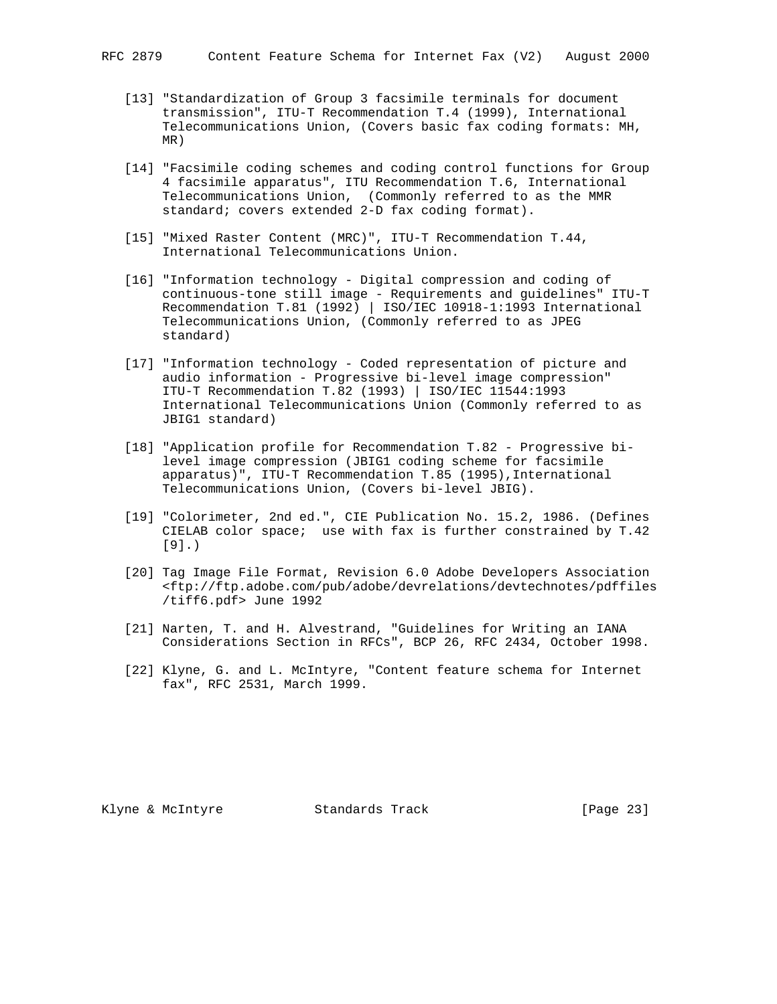- [13] "Standardization of Group 3 facsimile terminals for document transmission", ITU-T Recommendation T.4 (1999), International Telecommunications Union, (Covers basic fax coding formats: MH, MR)
- [14] "Facsimile coding schemes and coding control functions for Group 4 facsimile apparatus", ITU Recommendation T.6, International Telecommunications Union, (Commonly referred to as the MMR standard; covers extended 2-D fax coding format).
- [15] "Mixed Raster Content (MRC)", ITU-T Recommendation T.44, International Telecommunications Union.
- [16] "Information technology Digital compression and coding of continuous-tone still image - Requirements and guidelines" ITU-T Recommendation T.81 (1992) | ISO/IEC 10918-1:1993 International Telecommunications Union, (Commonly referred to as JPEG standard)
	- [17] "Information technology Coded representation of picture and audio information - Progressive bi-level image compression" ITU-T Recommendation T.82 (1993) | ISO/IEC 11544:1993 International Telecommunications Union (Commonly referred to as JBIG1 standard)
	- [18] "Application profile for Recommendation T.82 Progressive bi level image compression (JBIG1 coding scheme for facsimile apparatus)", ITU-T Recommendation T.85 (1995),International Telecommunications Union, (Covers bi-level JBIG).
	- [19] "Colorimeter, 2nd ed.", CIE Publication No. 15.2, 1986. (Defines CIELAB color space; use with fax is further constrained by T.42 [9].)
	- [20] Tag Image File Format, Revision 6.0 Adobe Developers Association <ftp://ftp.adobe.com/pub/adobe/devrelations/devtechnotes/pdffiles /tiff6.pdf> June 1992
	- [21] Narten, T. and H. Alvestrand, "Guidelines for Writing an IANA Considerations Section in RFCs", BCP 26, RFC 2434, October 1998.
	- [22] Klyne, G. and L. McIntyre, "Content feature schema for Internet fax", RFC 2531, March 1999.

Klyne & McIntyre Standards Track [Page 23]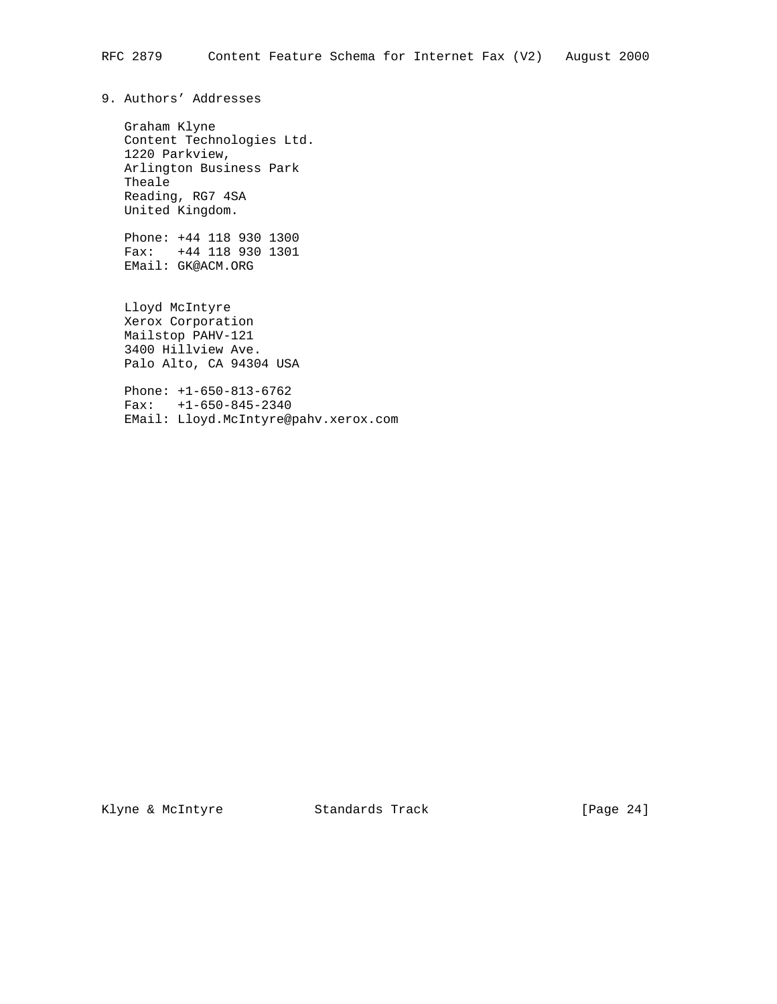9. Authors' Addresses

 Graham Klyne Content Technologies Ltd. 1220 Parkview, Arlington Business Park Theale Reading, RG7 4SA United Kingdom.

 Phone: +44 118 930 1300 Fax: +44 118 930 1301 EMail: GK@ACM.ORG

 Lloyd McIntyre Xerox Corporation Mailstop PAHV-121 3400 Hillview Ave. Palo Alto, CA 94304 USA

 Phone: +1-650-813-6762 Fax: +1-650-845-2340 EMail: Lloyd.McIntyre@pahv.xerox.com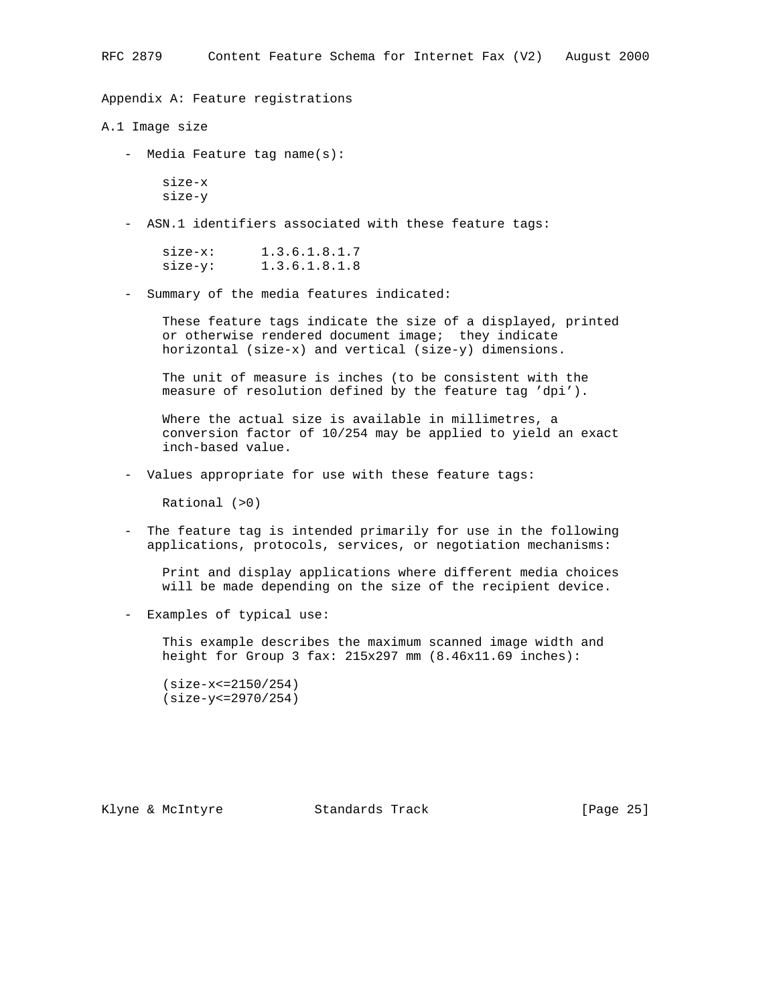Appendix A: Feature registrations

A.1 Image size

- Media Feature tag name(s):

 size-x size-y

- ASN.1 identifiers associated with these feature tags:

 size-x: 1.3.6.1.8.1.7 size-y: 1.3.6.1.8.1.8

- Summary of the media features indicated:

 These feature tags indicate the size of a displayed, printed or otherwise rendered document image; they indicate horizontal (size-x) and vertical (size-y) dimensions.

 The unit of measure is inches (to be consistent with the measure of resolution defined by the feature tag 'dpi').

 Where the actual size is available in millimetres, a conversion factor of 10/254 may be applied to yield an exact inch-based value.

- Values appropriate for use with these feature tags:

Rational (>0)

 - The feature tag is intended primarily for use in the following applications, protocols, services, or negotiation mechanisms:

 Print and display applications where different media choices will be made depending on the size of the recipient device.

- Examples of typical use:

 This example describes the maximum scanned image width and height for Group 3 fax: 215x297 mm (8.46x11.69 inches):

 (size-x<=2150/254) (size-y<=2970/254)

Klyne & McIntyre  $\sim$  Standards Track [Page 25]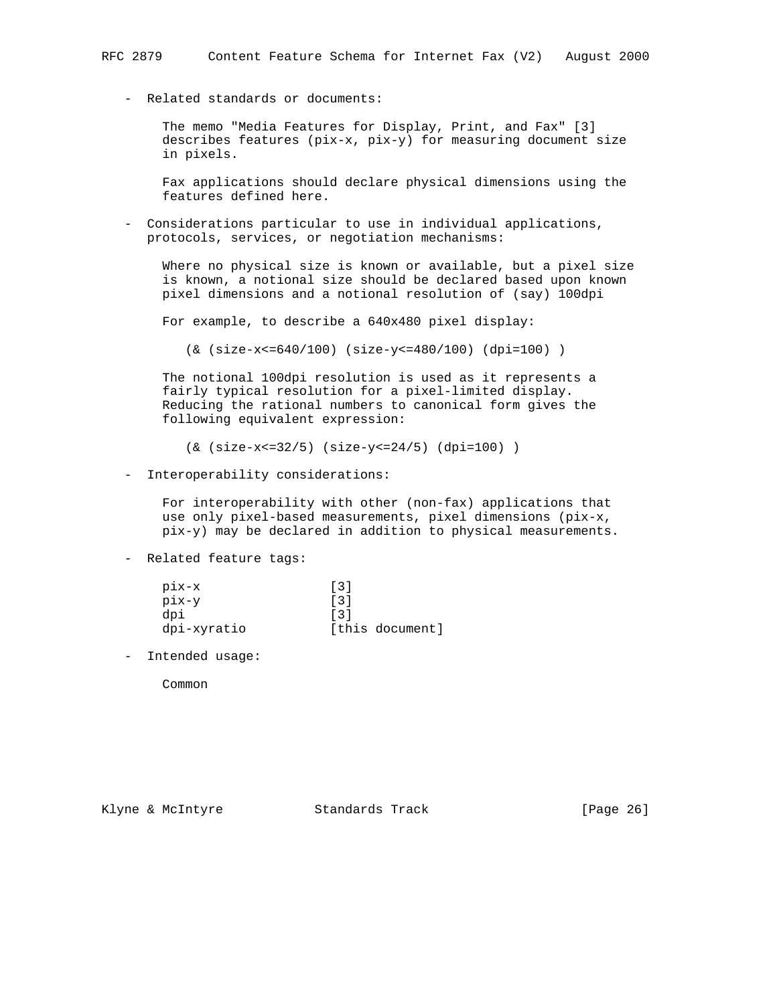- Related standards or documents:

 The memo "Media Features for Display, Print, and Fax" [3] describes features (pix-x, pix-y) for measuring document size in pixels.

 Fax applications should declare physical dimensions using the features defined here.

 - Considerations particular to use in individual applications, protocols, services, or negotiation mechanisms:

 Where no physical size is known or available, but a pixel size is known, a notional size should be declared based upon known pixel dimensions and a notional resolution of (say) 100dpi

For example, to describe a 640x480 pixel display:

(& (size-x<=640/100) (size-y<=480/100) (dpi=100) )

 The notional 100dpi resolution is used as it represents a fairly typical resolution for a pixel-limited display. Reducing the rational numbers to canonical form gives the following equivalent expression:

(& (size-x<=32/5) (size-y<=24/5) (dpi=100) )

- Interoperability considerations:

 For interoperability with other (non-fax) applications that use only pixel-based measurements, pixel dimensions (pix-x, pix-y) may be declared in addition to physical measurements.

- Related feature tags:

| pix-x       | $\lceil 3 \rceil$ |
|-------------|-------------------|
| pix-y       | $\lceil 3 \rceil$ |
| dpi         | $\lceil 3 \rceil$ |
| dpi-xyratio | [this document]   |

- Intended usage:

Common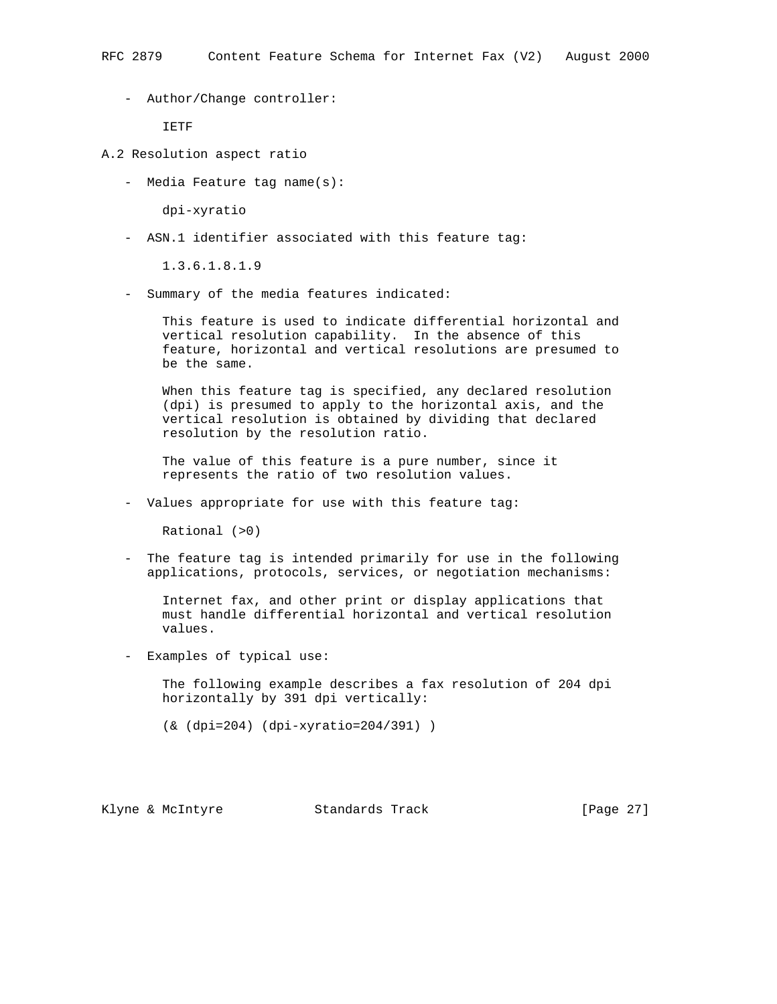- Author/Change controller:

IETF

- A.2 Resolution aspect ratio
	- Media Feature tag name(s):

dpi-xyratio

- ASN.1 identifier associated with this feature tag:

1.3.6.1.8.1.9

- Summary of the media features indicated:

 This feature is used to indicate differential horizontal and vertical resolution capability. In the absence of this feature, horizontal and vertical resolutions are presumed to be the same.

 When this feature tag is specified, any declared resolution (dpi) is presumed to apply to the horizontal axis, and the vertical resolution is obtained by dividing that declared resolution by the resolution ratio.

 The value of this feature is a pure number, since it represents the ratio of two resolution values.

- Values appropriate for use with this feature tag:

Rational (>0)

 - The feature tag is intended primarily for use in the following applications, protocols, services, or negotiation mechanisms:

 Internet fax, and other print or display applications that must handle differential horizontal and vertical resolution values.

- Examples of typical use:

 The following example describes a fax resolution of 204 dpi horizontally by 391 dpi vertically:

(& (dpi=204) (dpi-xyratio=204/391) )

Klyne & McIntyre  $\sim$  Standards Track [Page 27]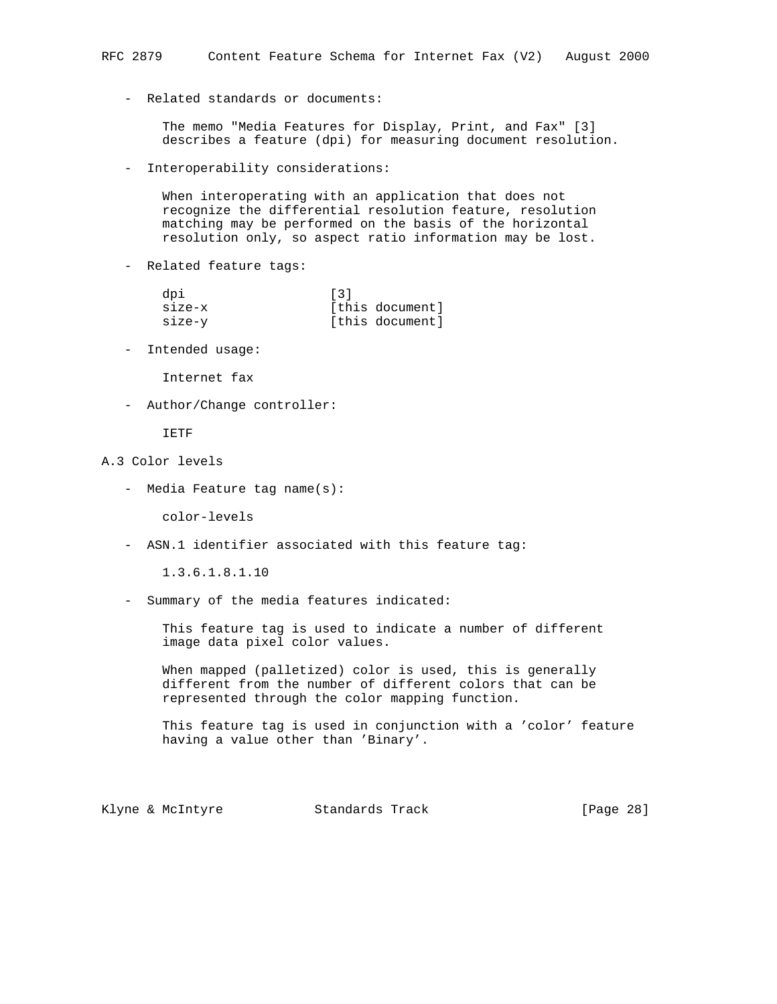- Related standards or documents:

 The memo "Media Features for Display, Print, and Fax" [3] describes a feature (dpi) for measuring document resolution.

- Interoperability considerations:

 When interoperating with an application that does not recognize the differential resolution feature, resolution matching may be performed on the basis of the horizontal resolution only, so aspect ratio information may be lost.

- Related feature tags:

| dpi      | $\lceil 3 \rceil$ |
|----------|-------------------|
| $size-x$ | [this document]   |
| size-v   | [this document]   |

- Intended usage:

Internet fax

- Author/Change controller:

IETF

# A.3 Color levels

- Media Feature tag name(s):

color-levels

- ASN.1 identifier associated with this feature tag:

1.3.6.1.8.1.10

- Summary of the media features indicated:

 This feature tag is used to indicate a number of different image data pixel color values.

 When mapped (palletized) color is used, this is generally different from the number of different colors that can be represented through the color mapping function.

 This feature tag is used in conjunction with a 'color' feature having a value other than 'Binary'.

Klyne & McIntyre  $\sim$  Standards Track [Page 28]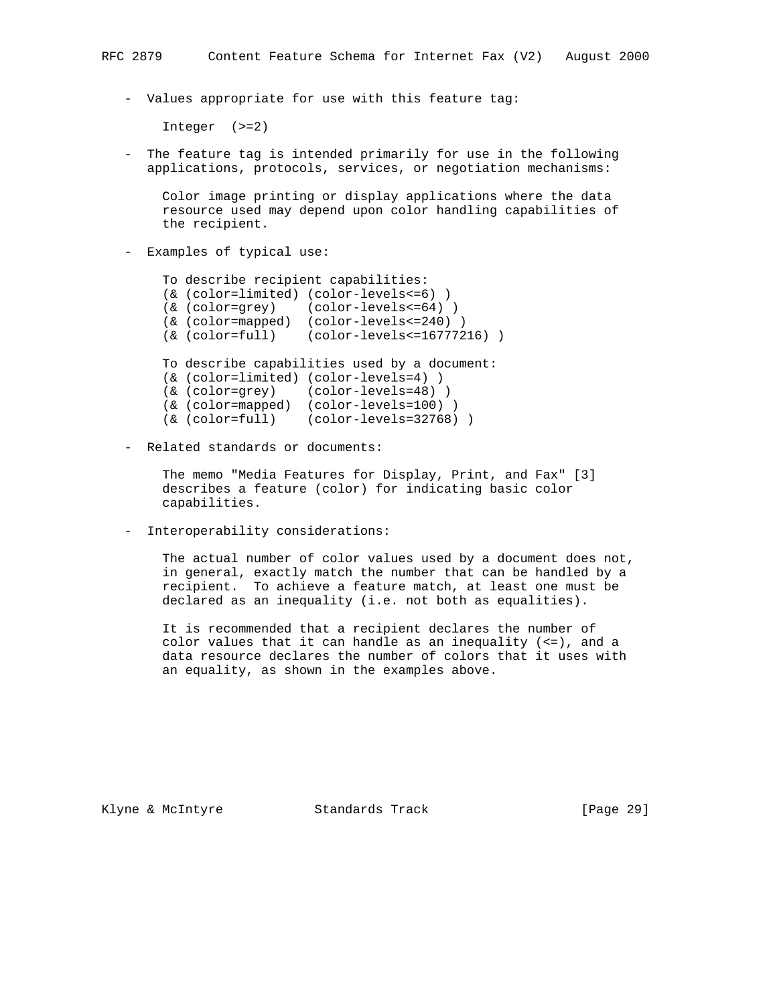- Values appropriate for use with this feature tag:

Integer (>=2)

 - The feature tag is intended primarily for use in the following applications, protocols, services, or negotiation mechanisms:

 Color image printing or display applications where the data resource used may depend upon color handling capabilities of the recipient.

- Examples of typical use:

```
 To describe recipient capabilities:
 (& (color=limited) (color-levels<=6) )
 (& (color=grey) (color-levels<=64) )
 (& (color=mapped) (color-levels<=240) )
 (& (color=full) (color-levels<=16777216) )
 To describe capabilities used by a document:
 (& (color=limited) (color-levels=4) )
 (& (color=grey) (color-levels=48) )
 (& (color=mapped) (color-levels=100) )
 (& (color=full) (color-levels=32768) )
```
- Related standards or documents:

 The memo "Media Features for Display, Print, and Fax" [3] describes a feature (color) for indicating basic color capabilities.

- Interoperability considerations:

 The actual number of color values used by a document does not, in general, exactly match the number that can be handled by a recipient. To achieve a feature match, at least one must be declared as an inequality (i.e. not both as equalities).

 It is recommended that a recipient declares the number of color values that it can handle as an inequality (<=), and a data resource declares the number of colors that it uses with an equality, as shown in the examples above.

Klyne & McIntyre  $\sim$  Standards Track [Page 29]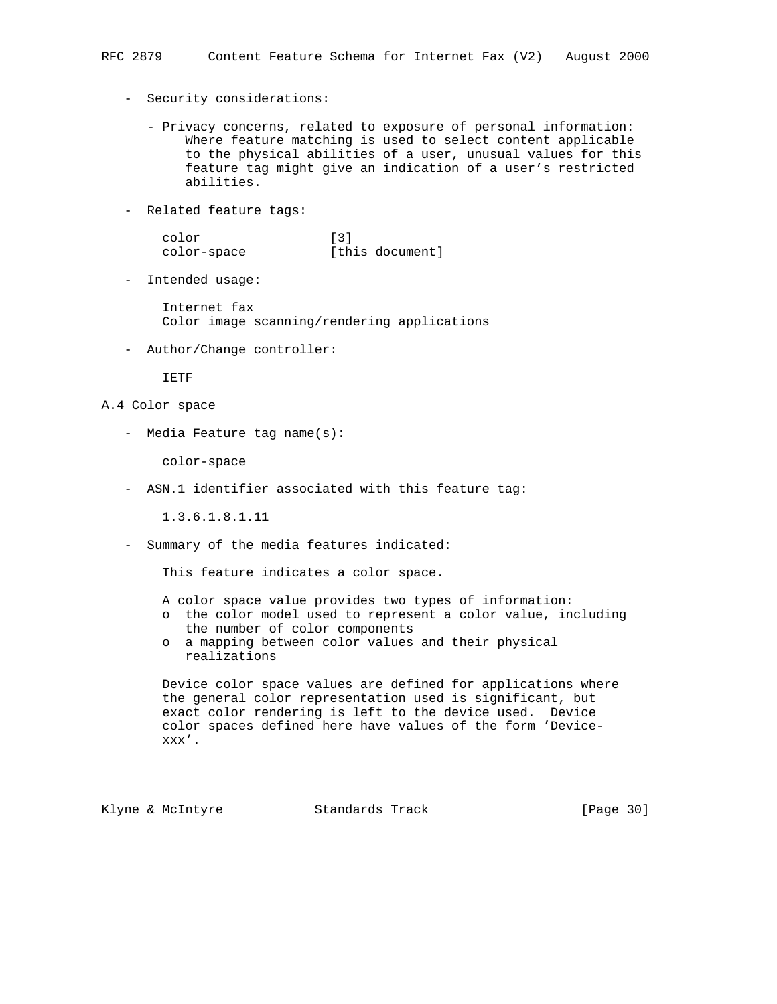- Security considerations:
	- Privacy concerns, related to exposure of personal information: Where feature matching is used to select content applicable to the physical abilities of a user, unusual values for this feature tag might give an indication of a user's restricted abilities.
- Related feature tags:
- color [3] color-space [this document]
	- Intended usage:

 Internet fax Color image scanning/rendering applications

- Author/Change controller:

IETF

- A.4 Color space
	- Media Feature tag name(s):

color-space

- ASN.1 identifier associated with this feature tag:

1.3.6.1.8.1.11

- Summary of the media features indicated:

This feature indicates a color space.

A color space value provides two types of information:

- o the color model used to represent a color value, including the number of color components
- o a mapping between color values and their physical realizations

 Device color space values are defined for applications where the general color representation used is significant, but exact color rendering is left to the device used. Device color spaces defined here have values of the form 'Device xxx'.

Klyne & McIntyre  $\sim$  Standards Track [Page 30]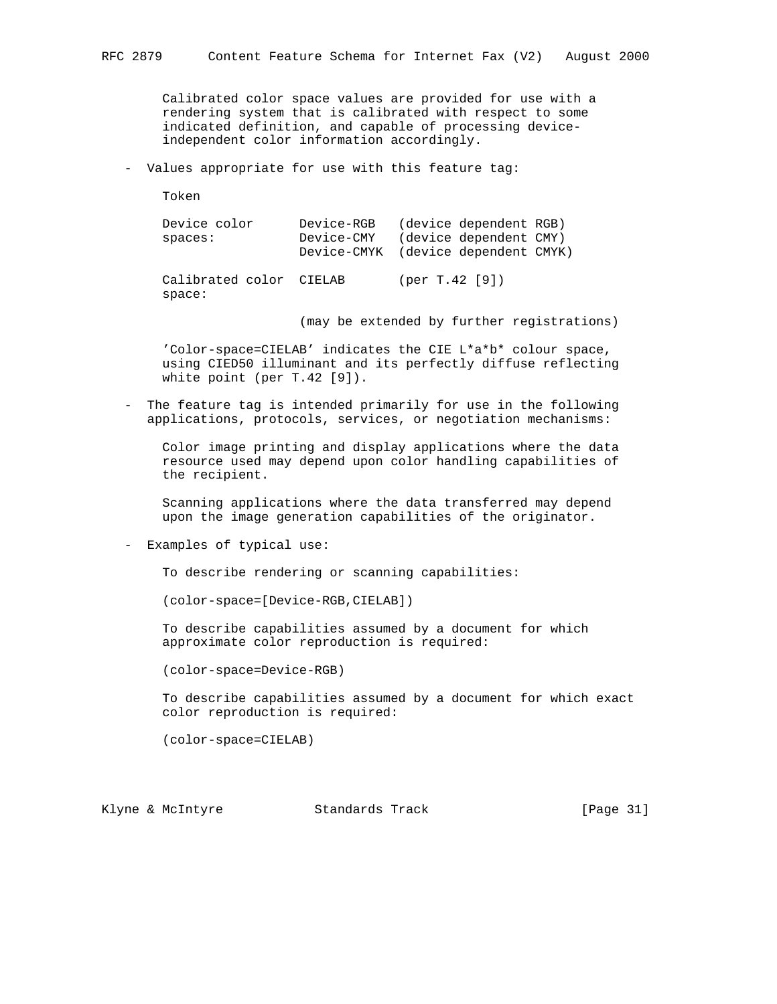Calibrated color space values are provided for use with a rendering system that is calibrated with respect to some indicated definition, and capable of processing device independent color information accordingly.

- Values appropriate for use with this feature tag:

Token

 Device color Device-RGB (device dependent RGB) spaces: Device-CMY (device dependent CMY) Device-CMYK (device dependent CMYK)

 Calibrated color CIELAB (per T.42 [9]) space:

(may be extended by further registrations)

 'Color-space=CIELAB' indicates the CIE L\*a\*b\* colour space, using CIED50 illuminant and its perfectly diffuse reflecting white point (per T.42 [9]).

 - The feature tag is intended primarily for use in the following applications, protocols, services, or negotiation mechanisms:

 Color image printing and display applications where the data resource used may depend upon color handling capabilities of the recipient.

 Scanning applications where the data transferred may depend upon the image generation capabilities of the originator.

- Examples of typical use:

To describe rendering or scanning capabilities:

(color-space=[Device-RGB,CIELAB])

 To describe capabilities assumed by a document for which approximate color reproduction is required:

(color-space=Device-RGB)

 To describe capabilities assumed by a document for which exact color reproduction is required:

(color-space=CIELAB)

Klyne & McIntyre  $\sim$  Standards Track [Page 31]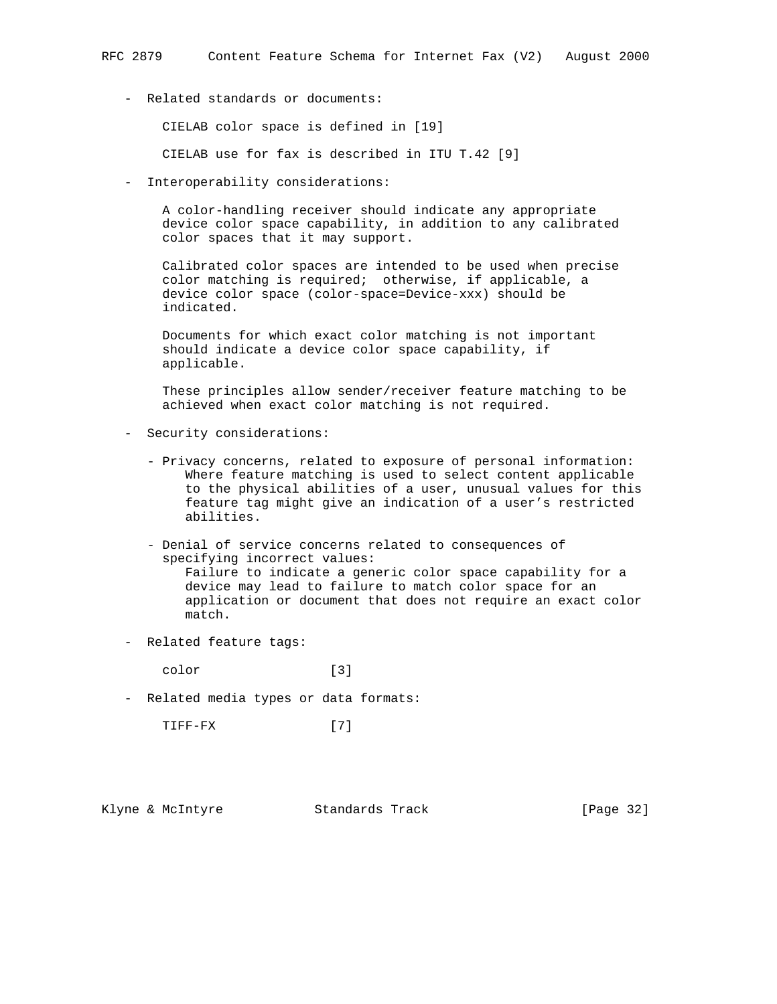- Related standards or documents:

CIELAB color space is defined in [19]

CIELAB use for fax is described in ITU T.42 [9]

- Interoperability considerations:

 A color-handling receiver should indicate any appropriate device color space capability, in addition to any calibrated color spaces that it may support.

 Calibrated color spaces are intended to be used when precise color matching is required; otherwise, if applicable, a device color space (color-space=Device-xxx) should be indicated.

 Documents for which exact color matching is not important should indicate a device color space capability, if applicable.

 These principles allow sender/receiver feature matching to be achieved when exact color matching is not required.

- Security considerations:
	- Privacy concerns, related to exposure of personal information: Where feature matching is used to select content applicable to the physical abilities of a user, unusual values for this feature tag might give an indication of a user's restricted abilities.
	- Denial of service concerns related to consequences of specifying incorrect values: Failure to indicate a generic color space capability for a device may lead to failure to match color space for an application or document that does not require an exact color match.
- Related feature tags:

color [3]

- Related media types or data formats:

TIFF-FX [7]

Klyne & McIntyre  $\sim$  Standards Track [Page 32]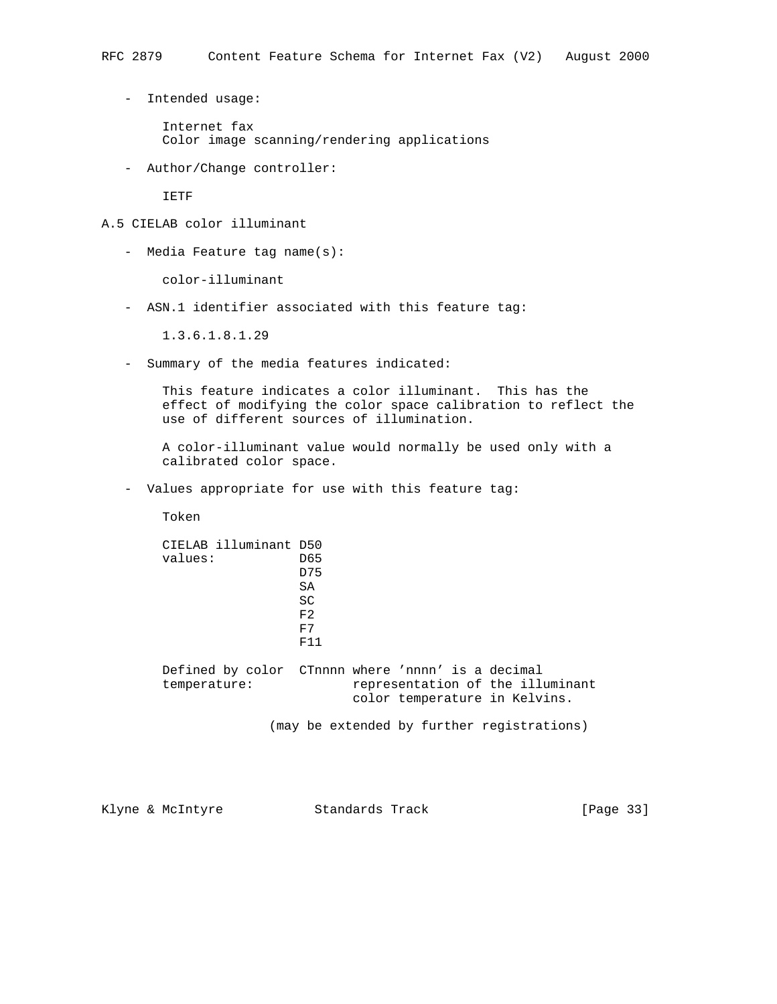- Intended usage:
	- Internet fax Color image scanning/rendering applications
- Author/Change controller:

IETF

# A.5 CIELAB color illuminant

- Media Feature tag name(s):

color-illuminant

- ASN.1 identifier associated with this feature tag:

1.3.6.1.8.1.29

- Summary of the media features indicated:

 This feature indicates a color illuminant. This has the effect of modifying the color space calibration to reflect the use of different sources of illumination.

 A color-illuminant value would normally be used only with a calibrated color space.

- Values appropriate for use with this feature tag:

Token

# CIELAB illuminant D50 values: D65 D75 SA SC  $F<sub>2</sub>$  F7 **F11**

 Defined by color CTnnnn where 'nnnn' is a decimal temperature: representation of the illuminant color temperature in Kelvins.

(may be extended by further registrations)

Klyne & McIntyre Standards Track [Page 33]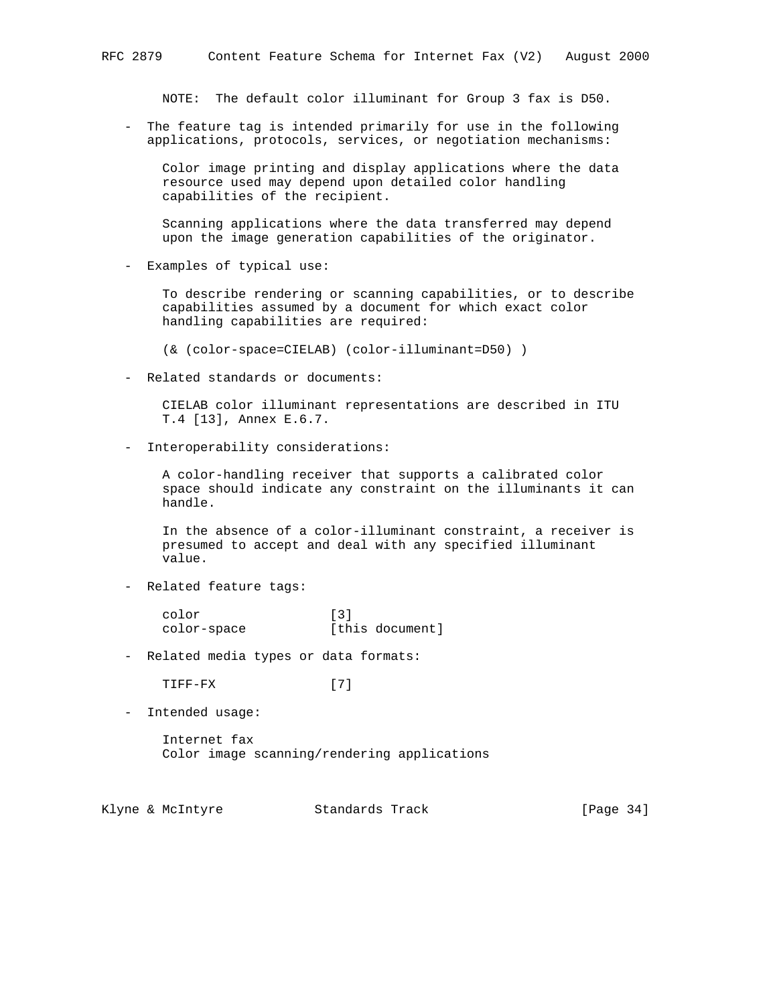NOTE: The default color illuminant for Group 3 fax is D50.

 - The feature tag is intended primarily for use in the following applications, protocols, services, or negotiation mechanisms:

 Color image printing and display applications where the data resource used may depend upon detailed color handling capabilities of the recipient.

 Scanning applications where the data transferred may depend upon the image generation capabilities of the originator.

- Examples of typical use:

 To describe rendering or scanning capabilities, or to describe capabilities assumed by a document for which exact color handling capabilities are required:

(& (color-space=CIELAB) (color-illuminant=D50) )

- Related standards or documents:

 CIELAB color illuminant representations are described in ITU T.4 [13], Annex E.6.7.

- Interoperability considerations:

 A color-handling receiver that supports a calibrated color space should indicate any constraint on the illuminants it can handle.

 In the absence of a color-illuminant constraint, a receiver is presumed to accept and deal with any specified illuminant value.

- Related feature tags:

 color [3] color-space [this document]

- Related media types or data formats:

TIFF-FX [7]

- Intended usage:

 Internet fax Color image scanning/rendering applications

Klyne & McIntyre  $\sim$  Standards Track [Page 34]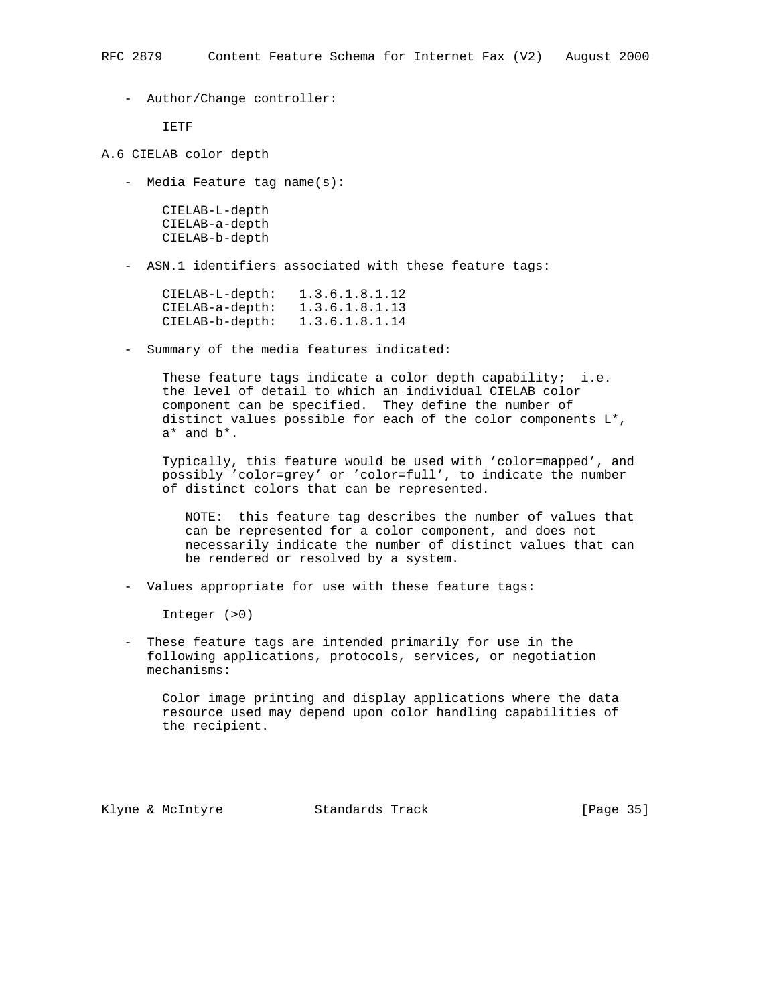- Author/Change controller:

IETF

- A.6 CIELAB color depth
	- Media Feature tag name(s):

 CIELAB-L-depth CIELAB-a-depth CIELAB-b-depth

- ASN.1 identifiers associated with these feature tags:

| CIELAB-L-depth:   | 1.3.6.1.8.1.12 |
|-------------------|----------------|
| $CIELAB-a-depth:$ | 1.3.6.1.8.1.13 |
| $CIELAB-b-depth:$ | 1.3.6.1.8.1.14 |

- Summary of the media features indicated:

These feature tags indicate a color depth capability; i.e. the level of detail to which an individual CIELAB color component can be specified. They define the number of distinct values possible for each of the color components L\*, a\* and b\*.

 Typically, this feature would be used with 'color=mapped', and possibly 'color=grey' or 'color=full', to indicate the number of distinct colors that can be represented.

 NOTE: this feature tag describes the number of values that can be represented for a color component, and does not necessarily indicate the number of distinct values that can be rendered or resolved by a system.

- Values appropriate for use with these feature tags:

Integer (>0)

 - These feature tags are intended primarily for use in the following applications, protocols, services, or negotiation mechanisms:

 Color image printing and display applications where the data resource used may depend upon color handling capabilities of the recipient.

Klyne & McIntyre  $\sim$  Standards Track [Page 35]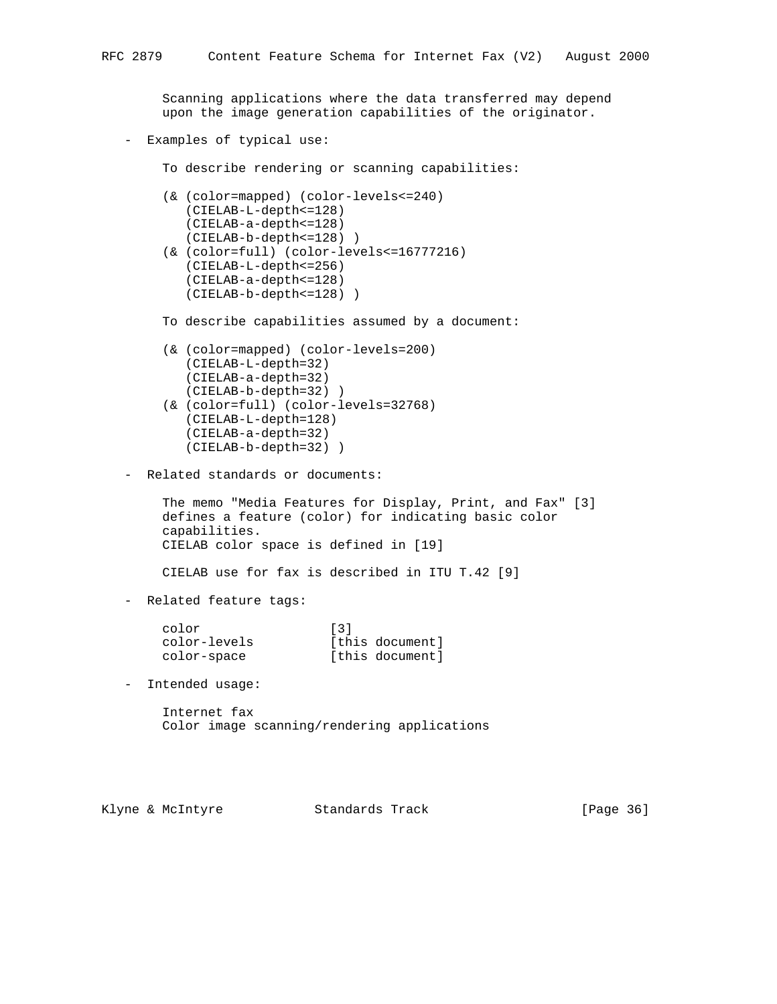Scanning applications where the data transferred may depend upon the image generation capabilities of the originator. - Examples of typical use: To describe rendering or scanning capabilities: (& (color=mapped) (color-levels<=240) (CIELAB-L-depth<=128) (CIELAB-a-depth<=128) (CIELAB-b-depth<=128) ) (& (color=full) (color-levels<=16777216) (CIELAB-L-depth<=256) (CIELAB-a-depth<=128) (CIELAB-b-depth<=128) ) To describe capabilities assumed by a document: (& (color=mapped) (color-levels=200) (CIELAB-L-depth=32) (CIELAB-a-depth=32) (CIELAB-b-depth=32) ) (& (color=full) (color-levels=32768) (CIELAB-L-depth=128) (CIELAB-a-depth=32) (CIELAB-b-depth=32) ) - Related standards or documents: The memo "Media Features for Display, Print, and Fax" [3] defines a feature (color) for indicating basic color capabilities. CIELAB color space is defined in [19] CIELAB use for fax is described in ITU T.42 [9] - Related feature tags: color [3] color-levels [this document] color-space [this document] - Intended usage: Internet fax Color image scanning/rendering applications

Klyne & McIntyre  $\sim$  Standards Track [Page 36]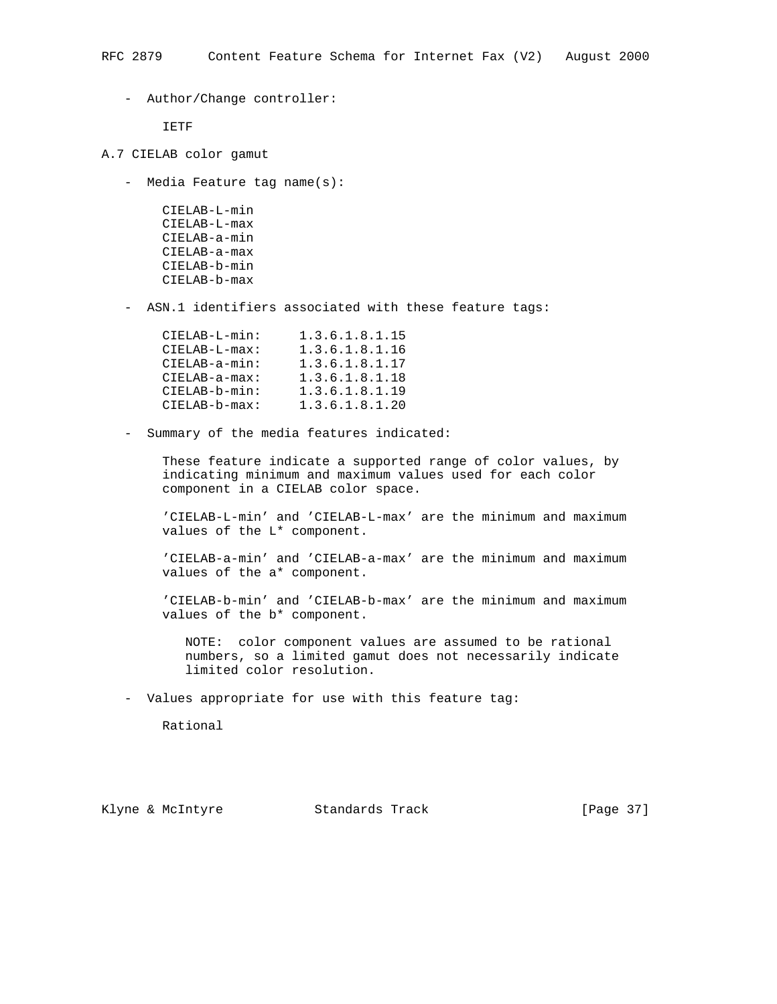- Author/Change controller:

IETF

- A.7 CIELAB color gamut
	- Media Feature tag name(s):

 CIELAB-L-min CIELAB-L-max CIELAB-a-min CIELAB-a-max CIELAB-b-min CIELAB-b-max

- ASN.1 identifiers associated with these feature tags:

| CIELAB-L-min:   | 1.3.6.1.8.1.15 |
|-----------------|----------------|
| $CIELAB-L-max:$ | 1.3.6.1.8.1.16 |
| $CIELAB-a-min:$ | 1.3.6.1.8.1.17 |
| $CIELAB-a-max:$ | 1.3.6.1.8.1.18 |
| CIELAB-b-min:   | 1.3.6.1.8.1.19 |
| $CIELAB-b-max:$ | 1.3.6.1.8.1.20 |

- Summary of the media features indicated:

 These feature indicate a supported range of color values, by indicating minimum and maximum values used for each color component in a CIELAB color space.

 'CIELAB-L-min' and 'CIELAB-L-max' are the minimum and maximum values of the L\* component.

 'CIELAB-a-min' and 'CIELAB-a-max' are the minimum and maximum values of the a\* component.

 'CIELAB-b-min' and 'CIELAB-b-max' are the minimum and maximum values of the b\* component.

 NOTE: color component values are assumed to be rational numbers, so a limited gamut does not necessarily indicate limited color resolution.

- Values appropriate for use with this feature tag:

Rational

Klyne & McIntyre Standards Track [Page 37]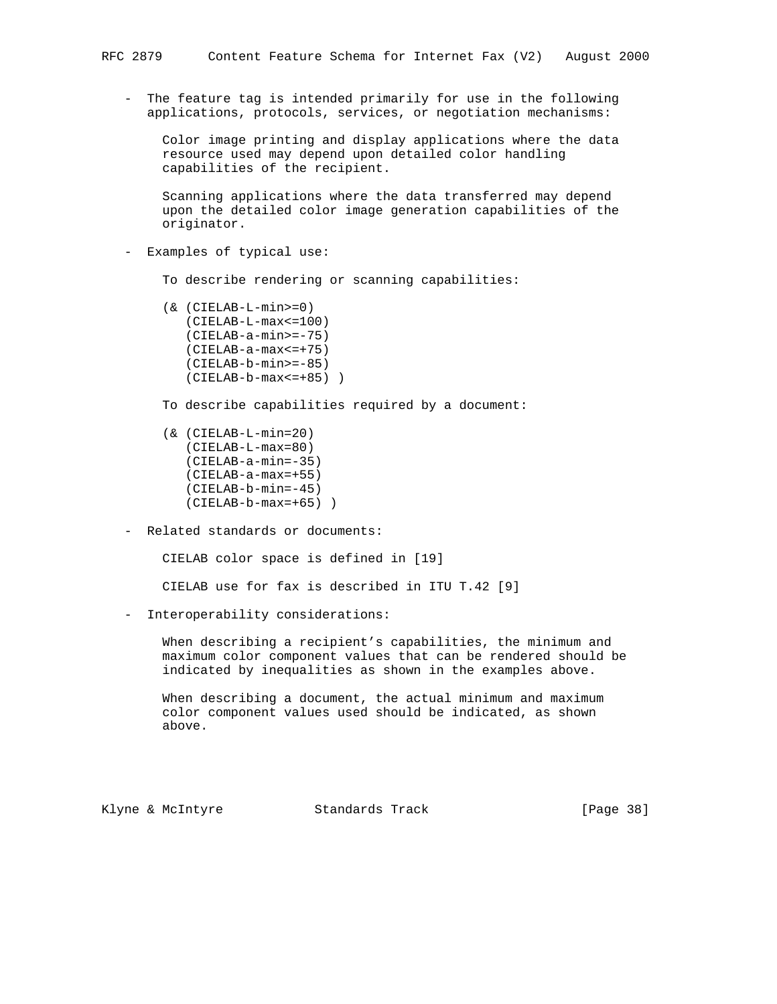- The feature tag is intended primarily for use in the following applications, protocols, services, or negotiation mechanisms:

 Color image printing and display applications where the data resource used may depend upon detailed color handling capabilities of the recipient.

 Scanning applications where the data transferred may depend upon the detailed color image generation capabilities of the originator.

- Examples of typical use:

To describe rendering or scanning capabilities:

- (& (CIELAB-L-min>=0) (CIELAB-L-max<=100) (CIELAB-a-min>=-75) (CIELAB-a-max<=+75) (CIELAB-b-min>=-85) (CIELAB-b-max<=+85) )
- To describe capabilities required by a document:
- (& (CIELAB-L-min=20) (CIELAB-L-max=80) (CIELAB-a-min=-35) (CIELAB-a-max=+55) (CIELAB-b-min=-45) (CIELAB-b-max=+65) )
- Related standards or documents:

CIELAB color space is defined in [19]

CIELAB use for fax is described in ITU T.42 [9]

- Interoperability considerations:

 When describing a recipient's capabilities, the minimum and maximum color component values that can be rendered should be indicated by inequalities as shown in the examples above.

 When describing a document, the actual minimum and maximum color component values used should be indicated, as shown above.

Klyne & McIntyre  $\sim$  Standards Track [Page 38]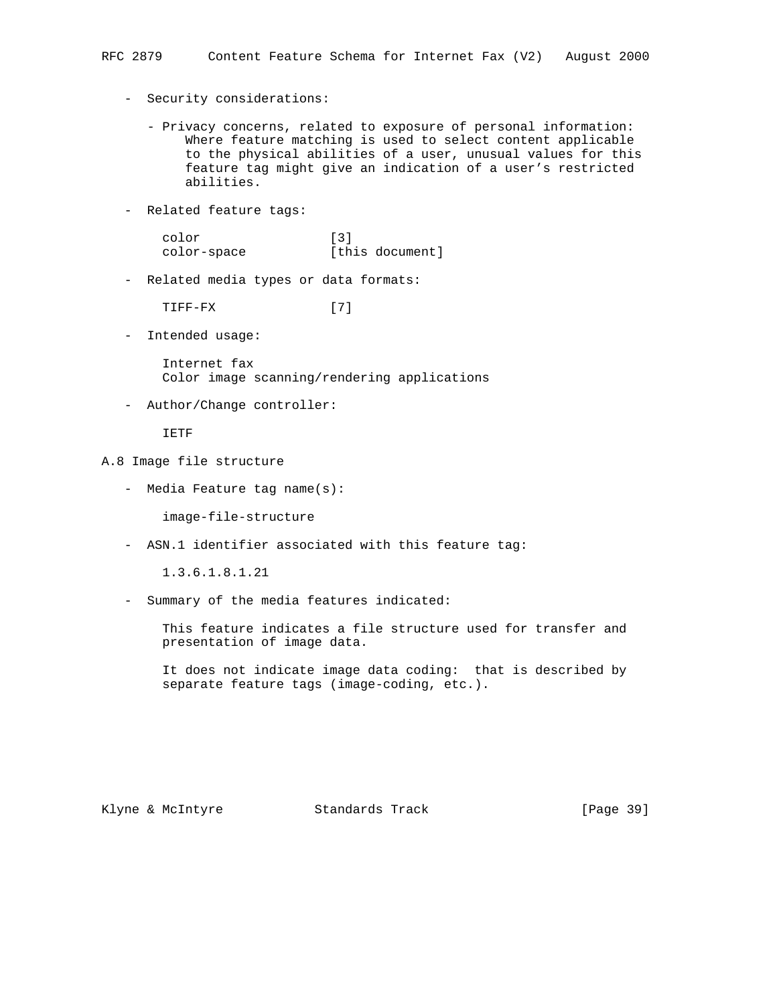- Security considerations:
	- Privacy concerns, related to exposure of personal information: Where feature matching is used to select content applicable to the physical abilities of a user, unusual values for this feature tag might give an indication of a user's restricted abilities.
- Related feature tags:

| color       | $\lceil 3 \rceil$ |
|-------------|-------------------|
| color-space | [this document]   |

- Related media types or data formats:

TIFF-FX [7]

- Intended usage:

 Internet fax Color image scanning/rendering applications

- Author/Change controller:

IETF

- A.8 Image file structure
	- Media Feature tag name(s):

image-file-structure

- ASN.1 identifier associated with this feature tag:

1.3.6.1.8.1.21

- Summary of the media features indicated:

 This feature indicates a file structure used for transfer and presentation of image data.

 It does not indicate image data coding: that is described by separate feature tags (image-coding, etc.).

Klyne & McIntyre Standards Track [Page 39]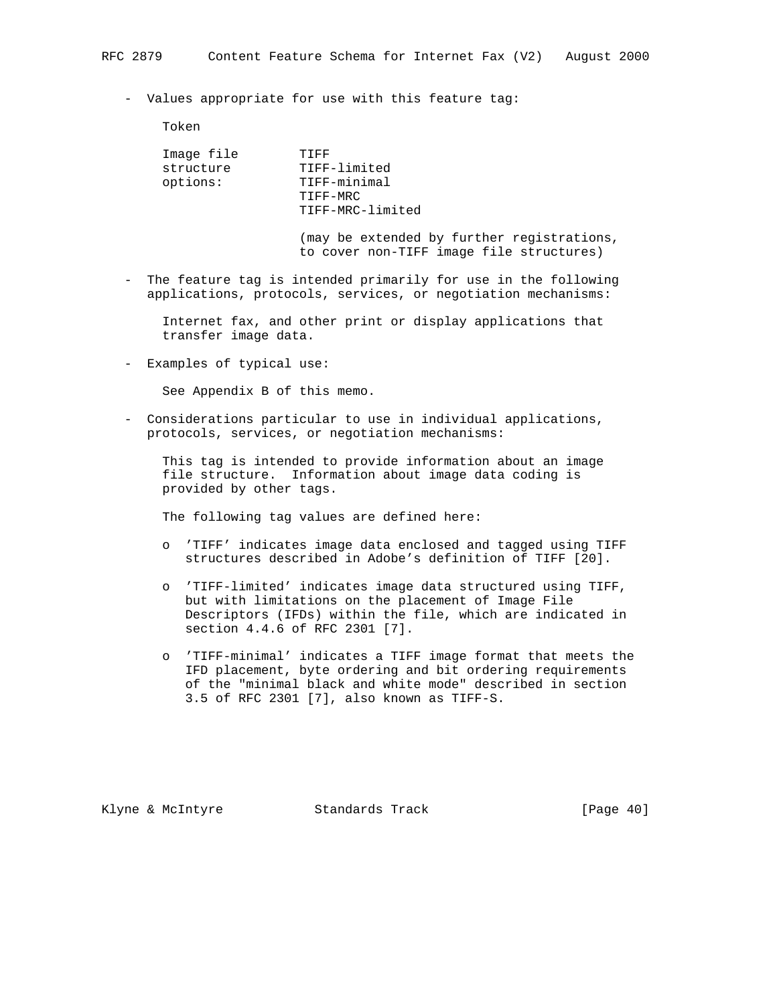- Values appropriate for use with this feature tag:

Token

| Image file | 十二 下下            |
|------------|------------------|
| structure  | TIFF-limited     |
| options:   | TIFF-minimal     |
|            | TIFF-MRC         |
|            | TIFF-MRC-limited |
|            |                  |

 (may be extended by further registrations, to cover non-TIFF image file structures)

 - The feature tag is intended primarily for use in the following applications, protocols, services, or negotiation mechanisms:

 Internet fax, and other print or display applications that transfer image data.

- Examples of typical use:

See Appendix B of this memo.

 - Considerations particular to use in individual applications, protocols, services, or negotiation mechanisms:

 This tag is intended to provide information about an image file structure. Information about image data coding is provided by other tags.

The following tag values are defined here:

- o 'TIFF' indicates image data enclosed and tagged using TIFF structures described in Adobe's definition of TIFF [20].
- o 'TIFF-limited' indicates image data structured using TIFF, but with limitations on the placement of Image File Descriptors (IFDs) within the file, which are indicated in section 4.4.6 of RFC 2301 [7].
- o 'TIFF-minimal' indicates a TIFF image format that meets the IFD placement, byte ordering and bit ordering requirements of the "minimal black and white mode" described in section 3.5 of RFC 2301 [7], also known as TIFF-S.

Klyne & McIntyre  $\sim$  Standards Track [Page 40]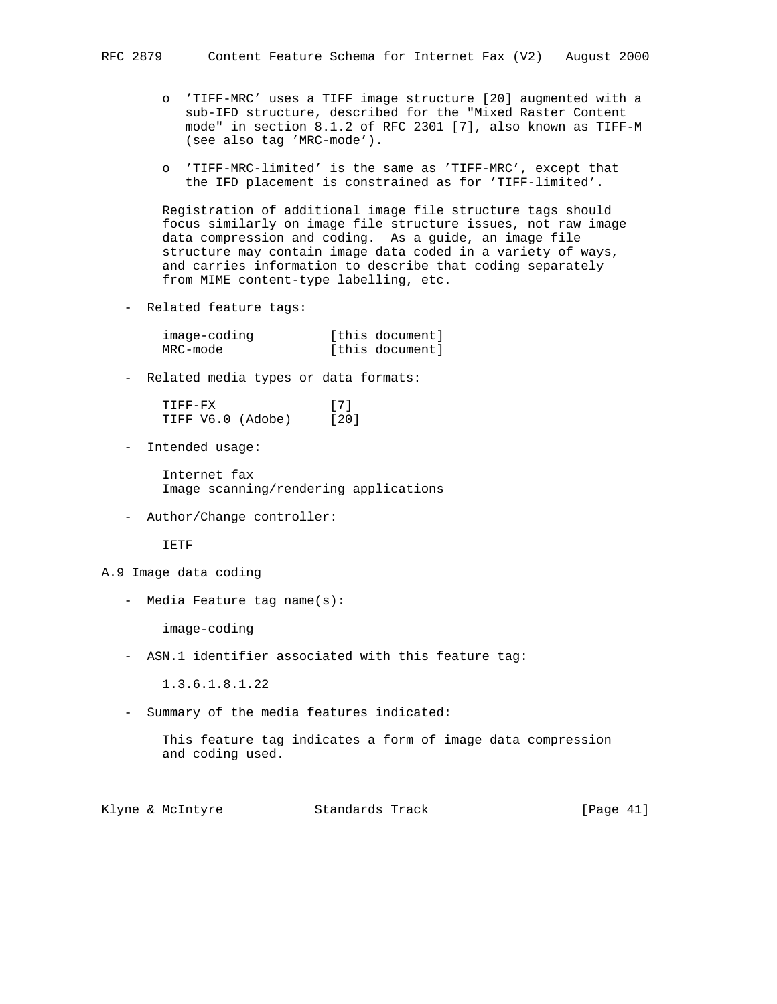- o 'TIFF-MRC' uses a TIFF image structure [20] augmented with a sub-IFD structure, described for the "Mixed Raster Content mode" in section 8.1.2 of RFC 2301 [7], also known as TIFF-M (see also tag 'MRC-mode').
- o 'TIFF-MRC-limited' is the same as 'TIFF-MRC', except that the IFD placement is constrained as for 'TIFF-limited'.

 Registration of additional image file structure tags should focus similarly on image file structure issues, not raw image data compression and coding. As a guide, an image file structure may contain image data coded in a variety of ways, and carries information to describe that coding separately from MIME content-type labelling, etc.

- Related feature tags:

| image-coding | [this document] |
|--------------|-----------------|
| MRC-mode     | [this document] |

- Related media types or data formats:

 TIFF-FX [7] TIFF V6.0 (Adobe) [20]

- Intended usage:

 Internet fax Image scanning/rendering applications

- Author/Change controller:

IETF

- A.9 Image data coding
	- Media Feature tag name(s):

image-coding

- ASN.1 identifier associated with this feature tag:

1.3.6.1.8.1.22

- Summary of the media features indicated:

 This feature tag indicates a form of image data compression and coding used.

Klyne & McIntyre  $\sim$  Standards Track [Page 41]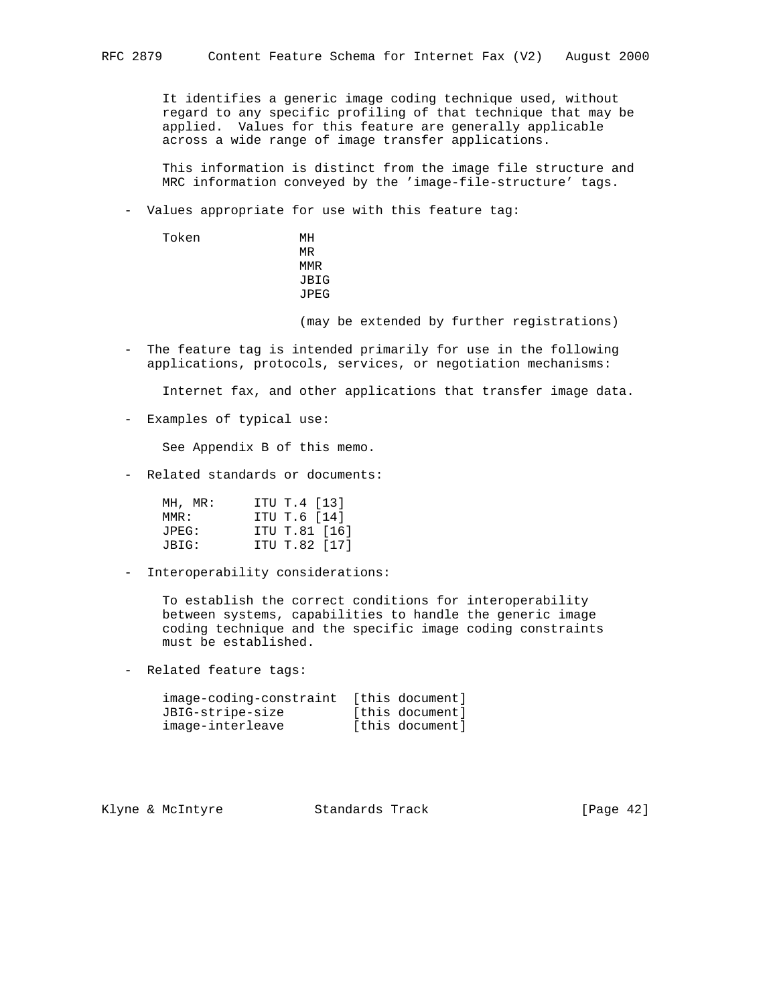It identifies a generic image coding technique used, without regard to any specific profiling of that technique that may be applied. Values for this feature are generally applicable across a wide range of image transfer applications.

 This information is distinct from the image file structure and MRC information conveyed by the 'image-file-structure' tags.

- Values appropriate for use with this feature tag:

 Token MH **MR** MR **MMR**  JBIG JPEG

(may be extended by further registrations)

 - The feature tag is intended primarily for use in the following applications, protocols, services, or negotiation mechanisms:

Internet fax, and other applications that transfer image data.

- Examples of typical use:

See Appendix B of this memo.

- Related standards or documents:

| MH, MR: | ITU T.4 [13]  |
|---------|---------------|
| MMR :   | ITU T.6 [14]  |
| JPEG:   | ITU T.81 [16] |
| JBIG:   | ITU T.82 [17] |

- Interoperability considerations:

 To establish the correct conditions for interoperability between systems, capabilities to handle the generic image coding technique and the specific image coding constraints must be established.

- Related feature tags:

| image-coding-constraint | [this document] |
|-------------------------|-----------------|
| JBIG-stripe-size        | [this document] |
| image-interleave        | [this document] |

Klyne & McIntyre Standards Track [Page 42]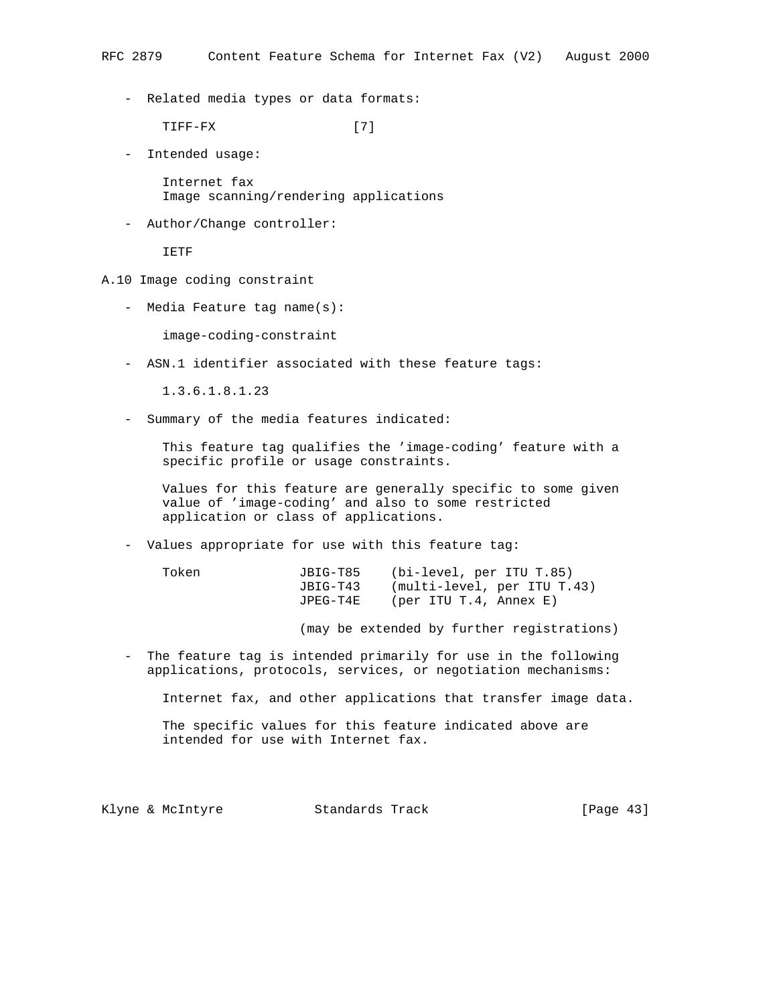- Related media types or data formats:

TIFF-FX [7]

- Intended usage:

 Internet fax Image scanning/rendering applications

- Author/Change controller:

IETF

- A.10 Image coding constraint
	- Media Feature tag name(s):

image-coding-constraint

- ASN.1 identifier associated with these feature tags:

1.3.6.1.8.1.23

- Summary of the media features indicated:

 This feature tag qualifies the 'image-coding' feature with a specific profile or usage constraints.

 Values for this feature are generally specific to some given value of 'image-coding' and also to some restricted application or class of applications.

- Values appropriate for use with this feature tag:

| Token | JBIG-T85 | (bi-level, per ITU T.85)    |
|-------|----------|-----------------------------|
|       | JBIG-T43 | (multi-level, per ITU T.43) |
|       | JPEG-T4E | (per ITU T.4, Annex E)      |

(may be extended by further registrations)

 - The feature tag is intended primarily for use in the following applications, protocols, services, or negotiation mechanisms:

Internet fax, and other applications that transfer image data.

 The specific values for this feature indicated above are intended for use with Internet fax.

Klyne & McIntyre  $\sim$  Standards Track [Page 43]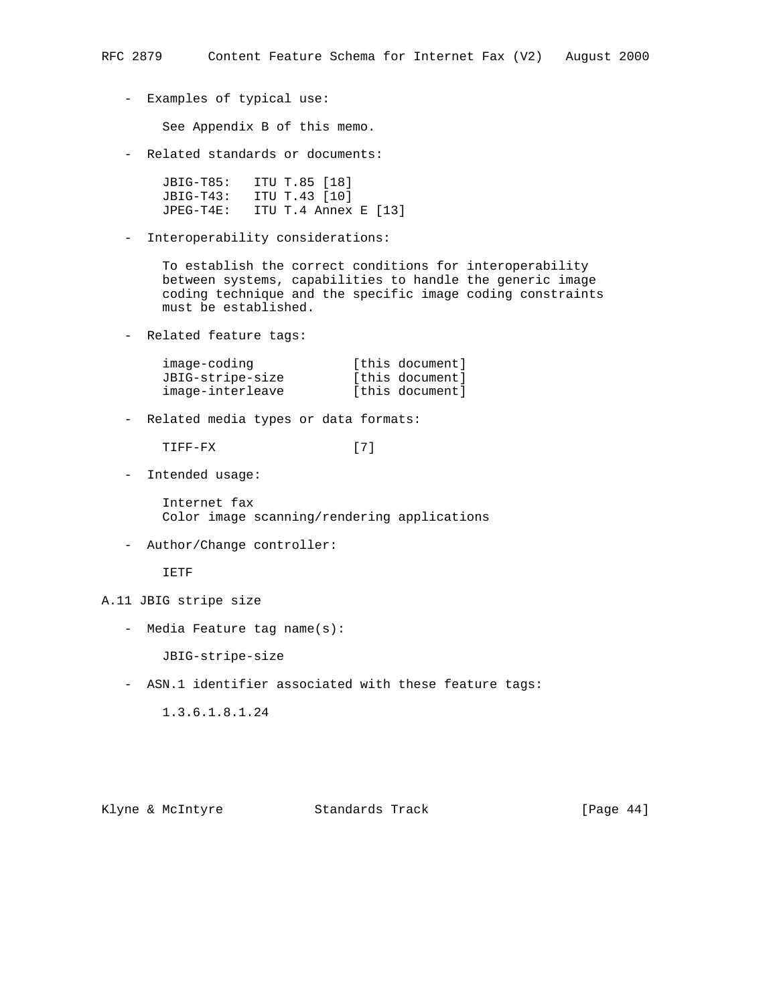- Examples of typical use:

See Appendix B of this memo.

- Related standards or documents:

 JBIG-T85: ITU T.85 [18] JBIG-T43: ITU T.43 [10] JPEG-T4E: ITU T.4 Annex E [13]

- Interoperability considerations:

 To establish the correct conditions for interoperability between systems, capabilities to handle the generic image coding technique and the specific image coding constraints must be established.

- Related feature tags:

| image-coding     | [this document] |
|------------------|-----------------|
| JBIG-stripe-size | [this document] |
| image-interleave | [this document] |

- Related media types or data formats:

TIFF-FX [7]

- Intended usage:

 Internet fax Color image scanning/rendering applications

- Author/Change controller:

IETF

## A.11 JBIG stripe size

- Media Feature tag name(s):

JBIG-stripe-size

- ASN.1 identifier associated with these feature tags:

1.3.6.1.8.1.24

Klyne & McIntyre  $\sim$  Standards Track [Page 44]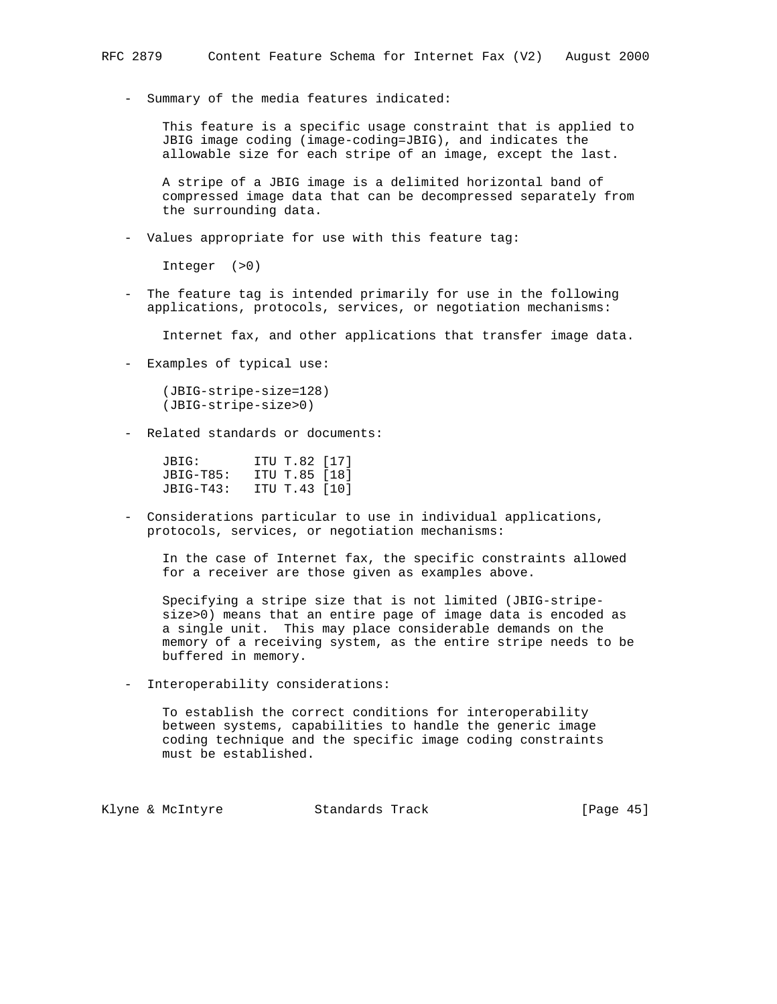- Summary of the media features indicated:

 This feature is a specific usage constraint that is applied to JBIG image coding (image-coding=JBIG), and indicates the allowable size for each stripe of an image, except the last.

 A stripe of a JBIG image is a delimited horizontal band of compressed image data that can be decompressed separately from the surrounding data.

- Values appropriate for use with this feature tag:

Integer (>0)

 - The feature tag is intended primarily for use in the following applications, protocols, services, or negotiation mechanisms:

Internet fax, and other applications that transfer image data.

- Examples of typical use:

 (JBIG-stripe-size=128) (JBIG-stripe-size>0)

- Related standards or documents:

 JBIG: ITU T.82 [17] JBIG-T85: ITU T.85 [18] JBIG-T43: ITU T.43 [10]

 - Considerations particular to use in individual applications, protocols, services, or negotiation mechanisms:

 In the case of Internet fax, the specific constraints allowed for a receiver are those given as examples above.

 Specifying a stripe size that is not limited (JBIG-stripe size>0) means that an entire page of image data is encoded as a single unit. This may place considerable demands on the memory of a receiving system, as the entire stripe needs to be buffered in memory.

- Interoperability considerations:

 To establish the correct conditions for interoperability between systems, capabilities to handle the generic image coding technique and the specific image coding constraints must be established.

Klyne & McIntyre  $\sim$  Standards Track [Page 45]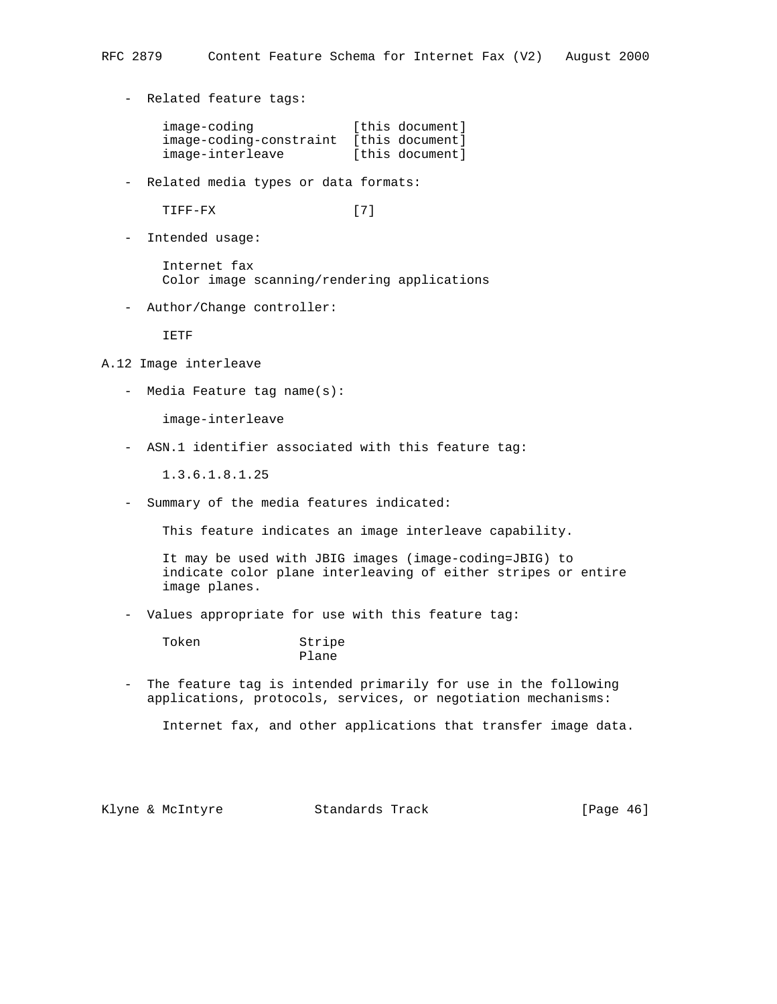- Related feature tags:

| image-coding            | [this document] |
|-------------------------|-----------------|
| image-coding-constraint | [this document] |
| image-interleave        | [this document] |

- Related media types or data formats:

TIFF-FX [7]

- Intended usage:

 Internet fax Color image scanning/rendering applications

- Author/Change controller:

IETF

- A.12 Image interleave
	- Media Feature tag name(s):

image-interleave

- ASN.1 identifier associated with this feature tag:

1.3.6.1.8.1.25

- Summary of the media features indicated:

This feature indicates an image interleave capability.

 It may be used with JBIG images (image-coding=JBIG) to indicate color plane interleaving of either stripes or entire image planes.

- Values appropriate for use with this feature tag:

Plane

Token Stripe

 - The feature tag is intended primarily for use in the following applications, protocols, services, or negotiation mechanisms:

Internet fax, and other applications that transfer image data.

Klyne & McIntyre  $\sim$  Standards Track [Page 46]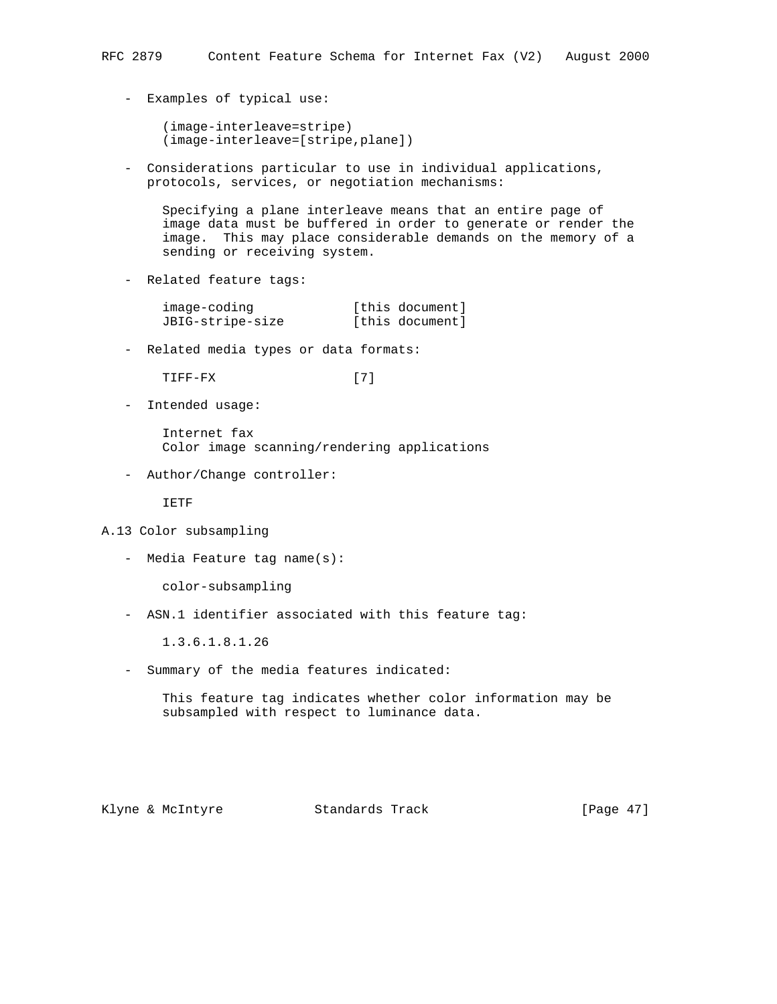- Examples of typical use:

 (image-interleave=stripe) (image-interleave=[stripe,plane])

 - Considerations particular to use in individual applications, protocols, services, or negotiation mechanisms:

 Specifying a plane interleave means that an entire page of image data must be buffered in order to generate or render the image. This may place considerable demands on the memory of a sending or receiving system.

- Related feature tags:

| image-coding     | [this document] |
|------------------|-----------------|
| JBIG-stripe-size | [this document] |

- Related media types or data formats:

TIFF-FX [7]

- Intended usage:

 Internet fax Color image scanning/rendering applications

- Author/Change controller:

IETF

- A.13 Color subsampling
	- Media Feature tag name(s):

color-subsampling

- ASN.1 identifier associated with this feature tag:

1.3.6.1.8.1.26

- Summary of the media features indicated:

 This feature tag indicates whether color information may be subsampled with respect to luminance data.

Klyne & McIntyre  $\sim$  Standards Track [Page 47]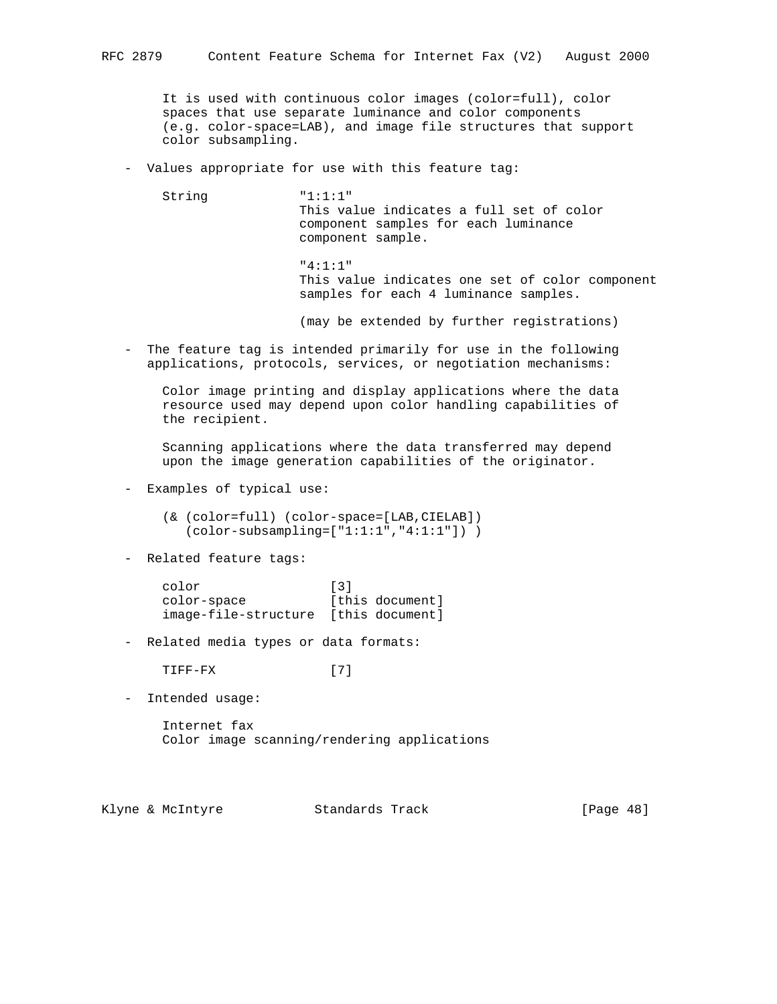It is used with continuous color images (color=full), color spaces that use separate luminance and color components (e.g. color-space=LAB), and image file structures that support color subsampling.

- Values appropriate for use with this feature tag:

String  $"1:1:1"$ 

 This value indicates a full set of color component samples for each luminance component sample.

 "4:1:1" This value indicates one set of color component samples for each 4 luminance samples.

(may be extended by further registrations)

 - The feature tag is intended primarily for use in the following applications, protocols, services, or negotiation mechanisms:

 Color image printing and display applications where the data resource used may depend upon color handling capabilities of the recipient.

 Scanning applications where the data transferred may depend upon the image generation capabilities of the originator.

- Examples of typical use:

 (& (color=full) (color-space=[LAB,CIELAB]) (color-subsampling=["1:1:1","4:1:1"]) )

- Related feature tags:

| color                                | $\lceil 3 \rceil$ |                 |
|--------------------------------------|-------------------|-----------------|
| color-space                          |                   | [this document] |
| image-file-structure [this document] |                   |                 |

- Related media types or data formats:

TIFF-FX [7]

- Intended usage:

 Internet fax Color image scanning/rendering applications

Klyne & McIntyre  $\sim$  Standards Track [Page 48]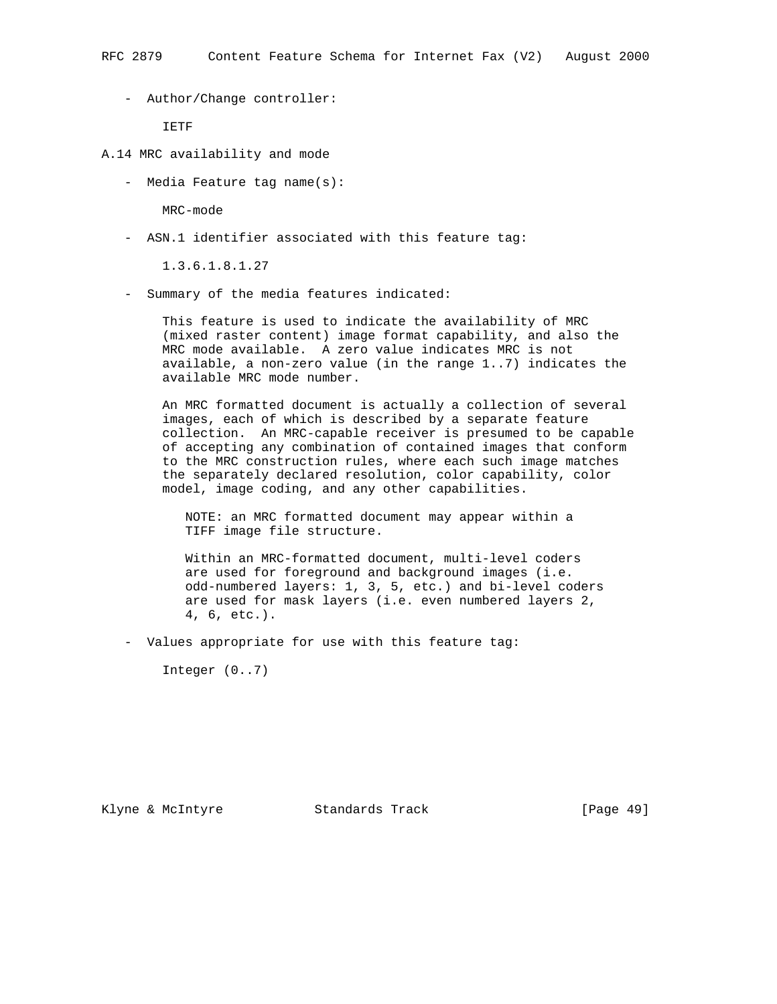- Author/Change controller:

IETF

- A.14 MRC availability and mode
	- Media Feature tag name(s):

MRC-mode

- ASN.1 identifier associated with this feature tag:

1.3.6.1.8.1.27

- Summary of the media features indicated:

 This feature is used to indicate the availability of MRC (mixed raster content) image format capability, and also the MRC mode available. A zero value indicates MRC is not available, a non-zero value (in the range 1..7) indicates the available MRC mode number.

 An MRC formatted document is actually a collection of several images, each of which is described by a separate feature collection. An MRC-capable receiver is presumed to be capable of accepting any combination of contained images that conform to the MRC construction rules, where each such image matches the separately declared resolution, color capability, color model, image coding, and any other capabilities.

 NOTE: an MRC formatted document may appear within a TIFF image file structure.

 Within an MRC-formatted document, multi-level coders are used for foreground and background images (i.e. odd-numbered layers: 1, 3, 5, etc.) and bi-level coders are used for mask layers (i.e. even numbered layers 2, 4, 6, etc.).

- Values appropriate for use with this feature tag:

Integer (0..7)

Klyne & McIntyre Standards Track [Page 49]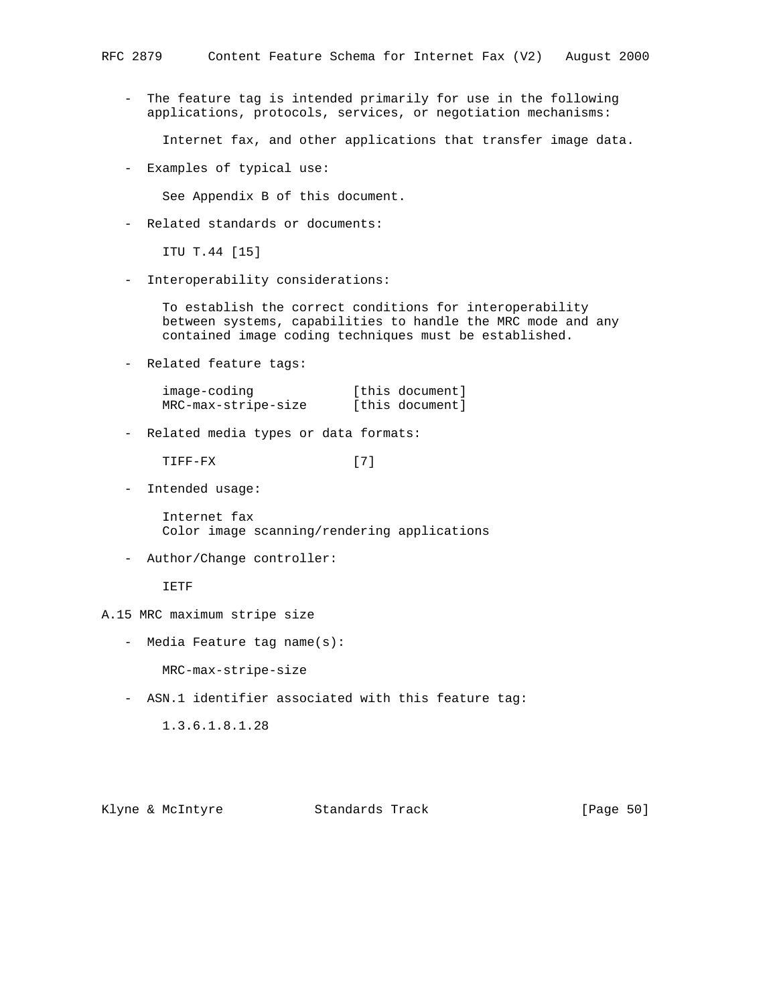- The feature tag is intended primarily for use in the following applications, protocols, services, or negotiation mechanisms:

Internet fax, and other applications that transfer image data.

- Examples of typical use:

See Appendix B of this document.

- Related standards or documents:

ITU T.44 [15]

- Interoperability considerations:

 To establish the correct conditions for interoperability between systems, capabilities to handle the MRC mode and any contained image coding techniques must be established.

- Related feature tags:

| image-coding        | [this document] |
|---------------------|-----------------|
| MRC-max-stripe-size | [this document] |

- Related media types or data formats:

TIFF-FX [7]

- Intended usage:

 Internet fax Color image scanning/rendering applications

- Author/Change controller:

IETF

- A.15 MRC maximum stripe size
	- Media Feature tag name(s):

MRC-max-stripe-size

- ASN.1 identifier associated with this feature tag:

1.3.6.1.8.1.28

Klyne & McIntyre Standards Track [Page 50]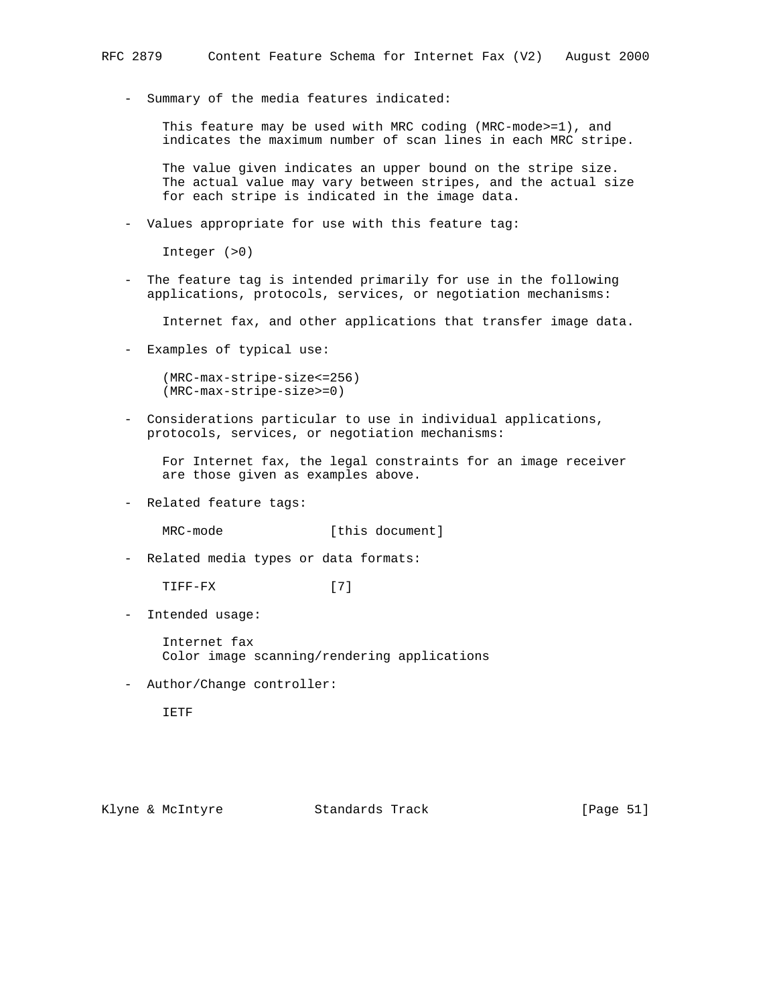- Summary of the media features indicated:

 This feature may be used with MRC coding (MRC-mode>=1), and indicates the maximum number of scan lines in each MRC stripe.

 The value given indicates an upper bound on the stripe size. The actual value may vary between stripes, and the actual size for each stripe is indicated in the image data.

- Values appropriate for use with this feature tag:

Integer (>0)

 - The feature tag is intended primarily for use in the following applications, protocols, services, or negotiation mechanisms:

Internet fax, and other applications that transfer image data.

- Examples of typical use:

 (MRC-max-stripe-size<=256) (MRC-max-stripe-size>=0)

 - Considerations particular to use in individual applications, protocols, services, or negotiation mechanisms:

 For Internet fax, the legal constraints for an image receiver are those given as examples above.

- Related feature tags:

MRC-mode [this document]

- Related media types or data formats:

TIFF-FX [7]

- Intended usage:

 Internet fax Color image scanning/rendering applications

- Author/Change controller:

IETF

Klyne & McIntyre  $\sim$  Standards Track [Page 51]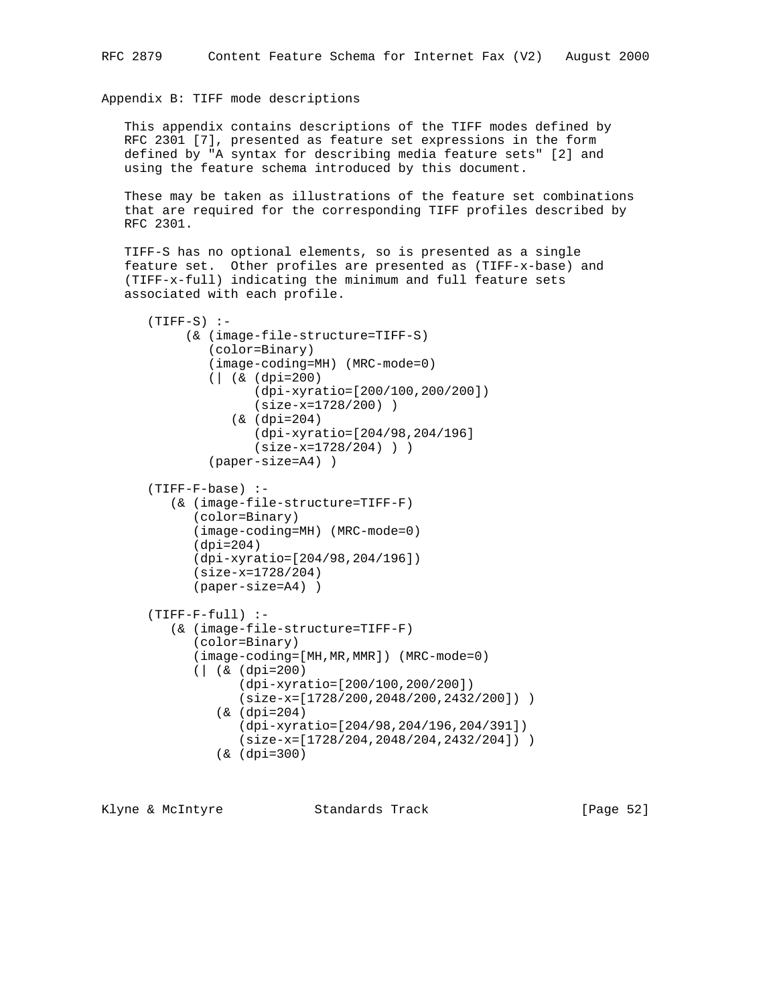### Appendix B: TIFF mode descriptions

 This appendix contains descriptions of the TIFF modes defined by RFC 2301 [7], presented as feature set expressions in the form defined by "A syntax for describing media feature sets" [2] and using the feature schema introduced by this document.

 These may be taken as illustrations of the feature set combinations that are required for the corresponding TIFF profiles described by RFC 2301.

 TIFF-S has no optional elements, so is presented as a single feature set. Other profiles are presented as (TIFF-x-base) and (TIFF-x-full) indicating the minimum and full feature sets associated with each profile.

```
(TIFF-S) :-
      (& (image-file-structure=TIFF-S)
         (color=Binary)
         (image-coding=MH) (MRC-mode=0)
         (| (& (dpi=200)
                (dpi-xyratio=[200/100,200/200])
                (size-x=1728/200) )
            (& (dpi=204)
                (dpi-xyratio=[204/98,204/196]
                (size-x=1728/204) ) )
         (paper-size=A4) )
 (TIFF-F-base) :-
    (& (image-file-structure=TIFF-F)
       (color=Binary)
       (image-coding=MH) (MRC-mode=0)
       (dpi=204)
       (dpi-xyratio=[204/98,204/196])
       (size-x=1728/204)
       (paper-size=A4) )
 (TIFF-F-full) :-
    (& (image-file-structure=TIFF-F)
       (color=Binary)
       (image-coding=[MH,MR,MMR]) (MRC-mode=0)
       (| (& (dpi=200)
             (dpi-xyratio=[200/100,200/200])
              (size-x=[1728/200,2048/200,2432/200]) )
          (& (dpi=204)
              (dpi-xyratio=[204/98,204/196,204/391])
              (size-x=[1728/204,2048/204,2432/204]) )
          (& (dpi=300)
```
Klyne & McIntyre  $\sim$  Standards Track [Page 52]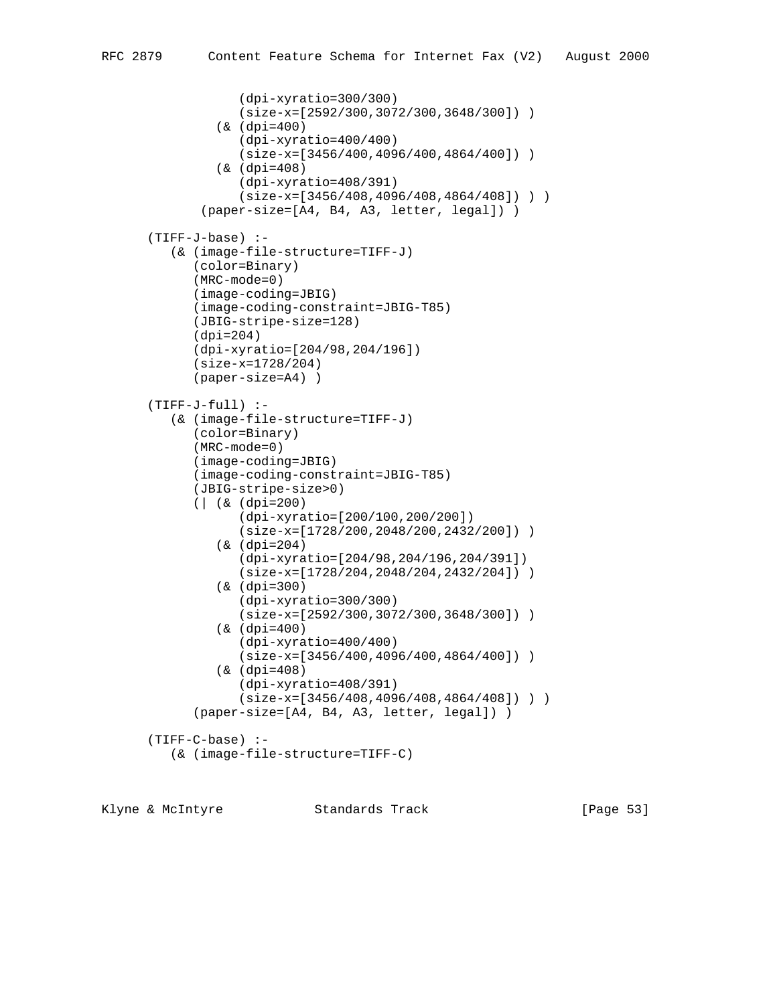```
 (dpi-xyratio=300/300)
              (size-x=[2592/300,3072/300,3648/300]) )
          (& (dpi=400)
              (dpi-xyratio=400/400)
              (size-x=[3456/400,4096/400,4864/400]) )
          (& (dpi=408)
             (dpi-xyratio=408/391)
             (size-x=[3456/408,4096/408,4864/408]) ) )
        (paper-size=[A4, B4, A3, letter, legal]) )
 (TIFF-J-base) :-
    (& (image-file-structure=TIFF-J)
       (color=Binary)
       (MRC-mode=0)
       (image-coding=JBIG)
       (image-coding-constraint=JBIG-T85)
       (JBIG-stripe-size=128)
       (dpi=204)
       (dpi-xyratio=[204/98,204/196])
       (size-x=1728/204)
       (paper-size=A4) )
 (TIFF-J-full) :-
    (& (image-file-structure=TIFF-J)
       (color=Binary)
       (MRC-mode=0)
       (image-coding=JBIG)
       (image-coding-constraint=JBIG-T85)
       (JBIG-stripe-size>0)
       (| (& (dpi=200)
              (dpi-xyratio=[200/100,200/200])
             (size-x=[1728/200,2048/200,2432/200]) )
          (& (dpi=204)
             (dpi-xyratio=[204/98,204/196,204/391])
             (size-x=[1728/204,2048/204,2432/204]) )
          (& (dpi=300)
             (dpi-xyratio=300/300)
              (size-x=[2592/300,3072/300,3648/300]) )
          (& (dpi=400)
             (dpi-xyratio=400/400)
             (size-x=[3456/400,4096/400,4864/400]) )
          (& (dpi=408)
             (dpi-xyratio=408/391)
            (size-x=[3456/408,4096/408,4864/408]) ) (paper-size=[A4, B4, A3, letter, legal]) )
 (TIFF-C-base) :-
    (& (image-file-structure=TIFF-C)
```
Klyne & McIntyre  $\sim$  Standards Track [Page 53]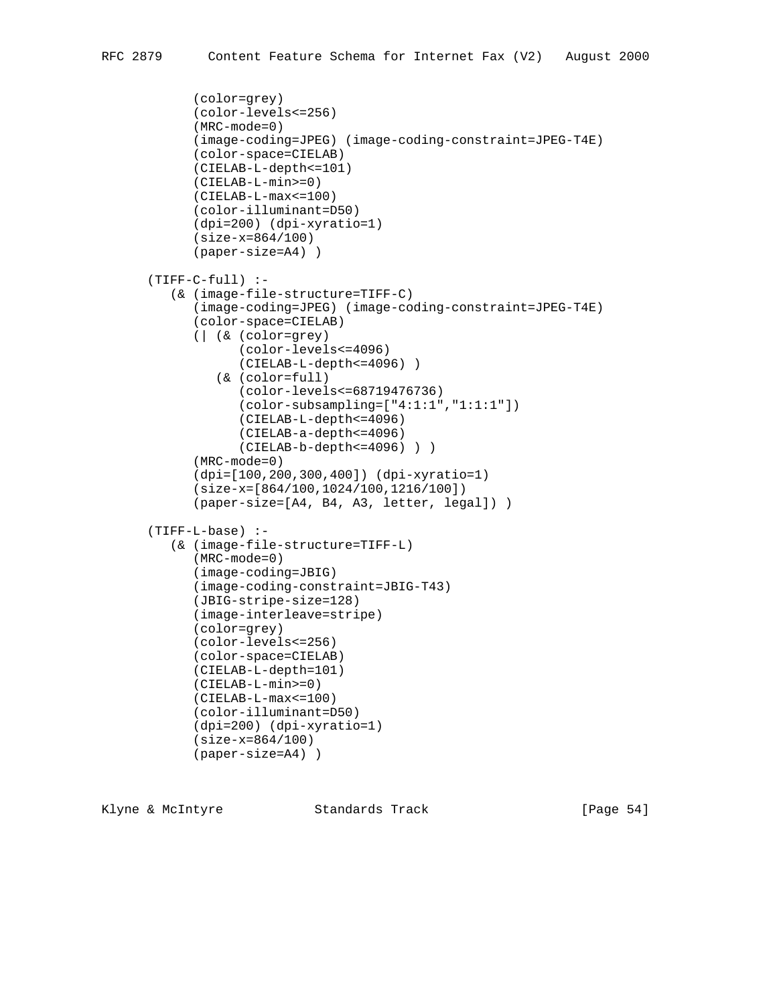```
 (color=grey)
       (color-levels<=256)
       (MRC-mode=0)
       (image-coding=JPEG) (image-coding-constraint=JPEG-T4E)
       (color-space=CIELAB)
       (CIELAB-L-depth<=101)
       (CIELAB-L-min>=0)
       (CIELAB-L-max<=100)
       (color-illuminant=D50)
       (dpi=200) (dpi-xyratio=1)
       (size-x=864/100)
       (paper-size=A4) )
 (TIFF-C-full) :-
    (& (image-file-structure=TIFF-C)
       (image-coding=JPEG) (image-coding-constraint=JPEG-T4E)
       (color-space=CIELAB)
       (| (& (color=grey)
             (color-levels<=4096)
             (CIELAB-L-depth<=4096) )
          (& (color=full)
             (color-levels<=68719476736)
             (color-subsampling=["4:1:1","1:1:1"])
             (CIELAB-L-depth<=4096)
             (CIELAB-a-depth<=4096)
             (CIELAB-b-depth<=4096) ) )
       (MRC-mode=0)
       (dpi=[100,200,300,400]) (dpi-xyratio=1)
       (size-x=[864/100,1024/100,1216/100])
       (paper-size=[A4, B4, A3, letter, legal]) )
 (TIFF-L-base) :-
    (& (image-file-structure=TIFF-L)
       (MRC-mode=0)
       (image-coding=JBIG)
       (image-coding-constraint=JBIG-T43)
       (JBIG-stripe-size=128)
       (image-interleave=stripe)
       (color=grey)
       (color-levels<=256)
       (color-space=CIELAB)
       (CIELAB-L-depth=101)
       (CIELAB-L-min>=0)
       (CIELAB-L-max<=100)
       (color-illuminant=D50)
       (dpi=200) (dpi-xyratio=1)
       (size-x=864/100)
       (paper-size=A4) )
```
Klyne & McIntyre  $\sim$  Standards Track [Page 54]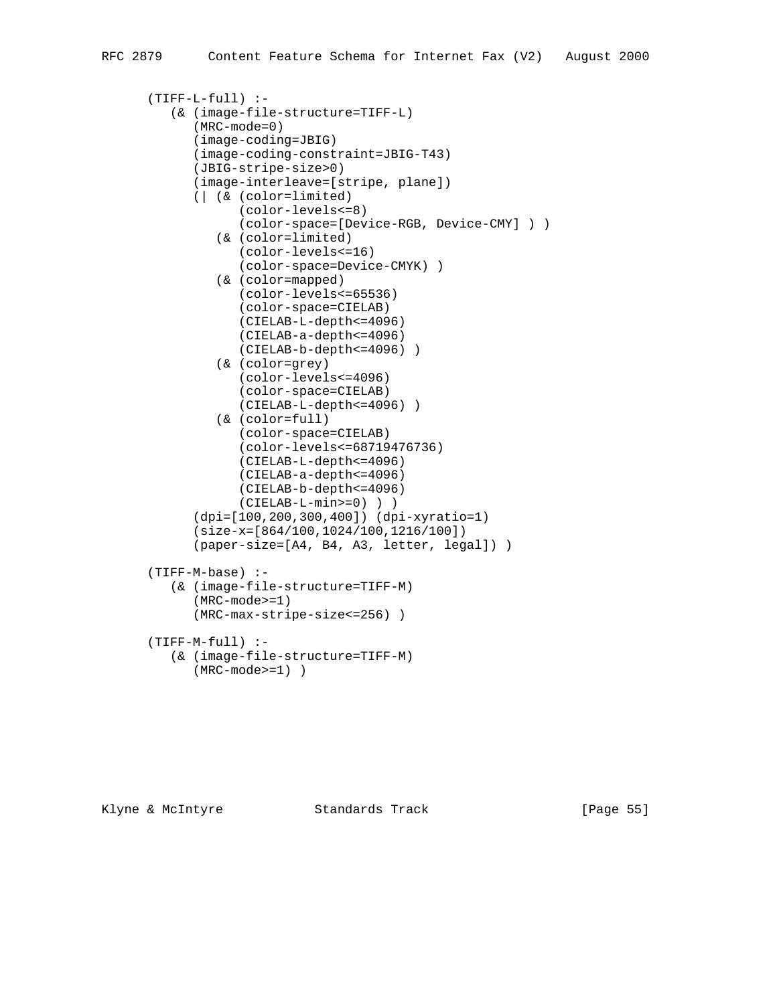```
 (TIFF-L-full) :-
    (& (image-file-structure=TIFF-L)
       (MRC-mode=0)
       (image-coding=JBIG)
       (image-coding-constraint=JBIG-T43)
       (JBIG-stripe-size>0)
       (image-interleave=[stripe, plane])
       (| (& (color=limited)
             (color-levels<=8)
             (color-space=[Device-RGB, Device-CMY] ) )
          (& (color=limited)
             (color-levels<=16)
             (color-space=Device-CMYK) )
          (& (color=mapped)
             (color-levels<=65536)
             (color-space=CIELAB)
             (CIELAB-L-depth<=4096)
             (CIELAB-a-depth<=4096)
             (CIELAB-b-depth<=4096) )
          (& (color=grey)
             (color-levels<=4096)
             (color-space=CIELAB)
             (CIELAB-L-depth<=4096) )
          (& (color=full)
             (color-space=CIELAB)
             (color-levels<=68719476736)
             (CIELAB-L-depth<=4096)
             (CIELAB-a-depth<=4096)
             (CIELAB-b-depth<=4096)
             (CIELAB-L-min>=0) ) )
       (dpi=[100,200,300,400]) (dpi-xyratio=1)
       (size-x=[864/100,1024/100,1216/100])
       (paper-size=[A4, B4, A3, letter, legal]) )
 (TIFF-M-base) :-
    (& (image-file-structure=TIFF-M)
       (MRC-mode>=1)
       (MRC-max-stripe-size<=256) )
 (TIFF-M-full) :-
    (& (image-file-structure=TIFF-M)
       (MRC-mode>=1) )
```
Klyne & McIntyre  $\sim$  Standards Track [Page 55]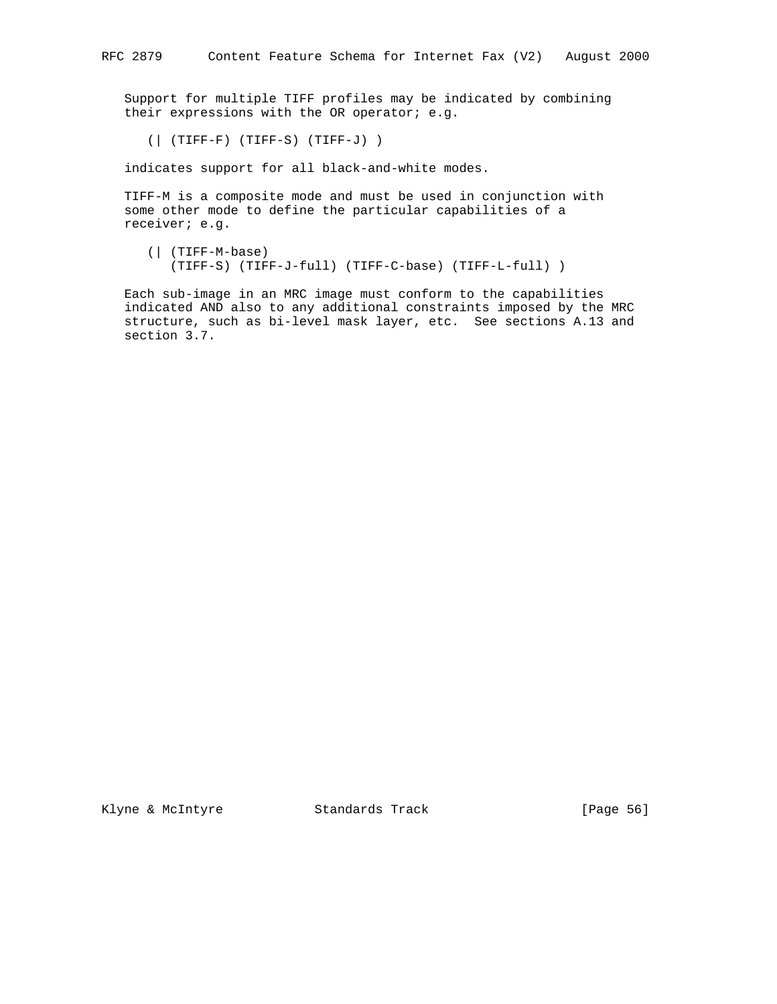Support for multiple TIFF profiles may be indicated by combining their expressions with the OR operator; e.g.

(| (TIFF-F) (TIFF-S) (TIFF-J) )

indicates support for all black-and-white modes.

 TIFF-M is a composite mode and must be used in conjunction with some other mode to define the particular capabilities of a receiver; e.g.

 (| (TIFF-M-base) (TIFF-S) (TIFF-J-full) (TIFF-C-base) (TIFF-L-full) )

 Each sub-image in an MRC image must conform to the capabilities indicated AND also to any additional constraints imposed by the MRC structure, such as bi-level mask layer, etc. See sections A.13 and section 3.7.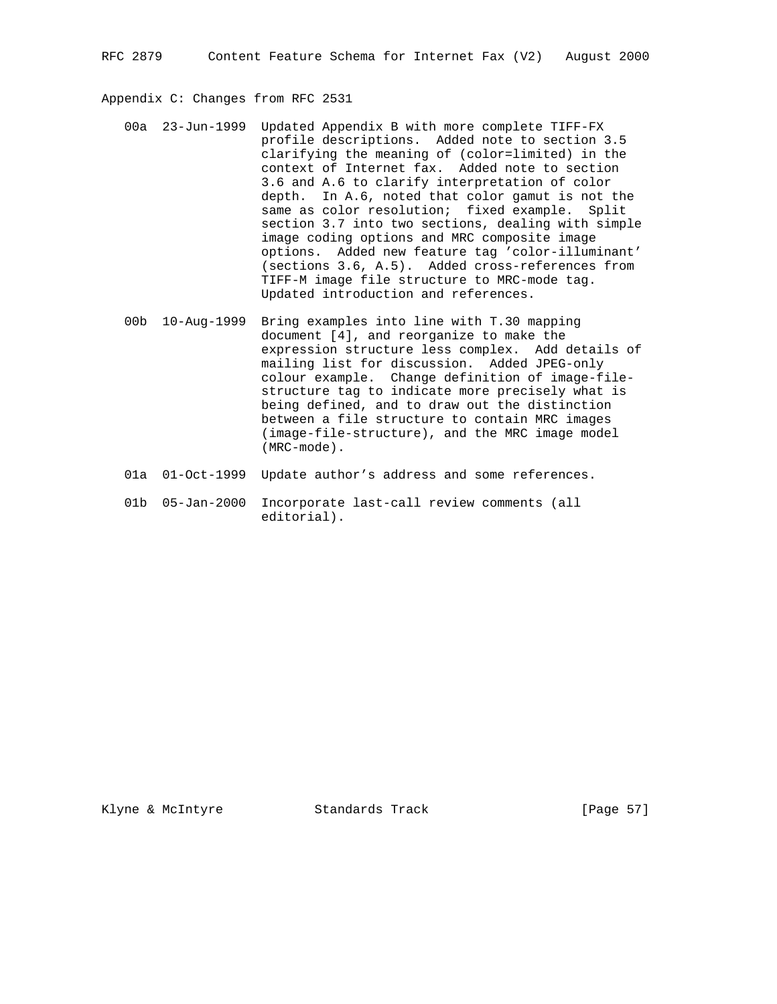Appendix C: Changes from RFC 2531

- 00a 23-Jun-1999 Updated Appendix B with more complete TIFF-FX profile descriptions. Added note to section 3.5 clarifying the meaning of (color=limited) in the context of Internet fax. Added note to section 3.6 and A.6 to clarify interpretation of color depth. In A.6, noted that color gamut is not the same as color resolution; fixed example. Split section 3.7 into two sections, dealing with simple image coding options and MRC composite image options. Added new feature tag 'color-illuminant' (sections 3.6, A.5). Added cross-references from TIFF-M image file structure to MRC-mode tag. Updated introduction and references.
- 00b 10-Aug-1999 Bring examples into line with T.30 mapping document [4], and reorganize to make the expression structure less complex. Add details of mailing list for discussion. Added JPEG-only colour example. Change definition of image-file structure tag to indicate more precisely what is being defined, and to draw out the distinction between a file structure to contain MRC images (image-file-structure), and the MRC image model (MRC-mode).
- 01a 01-Oct-1999 Update author's address and some references.
- 01b 05-Jan-2000 Incorporate last-call review comments (all editorial).